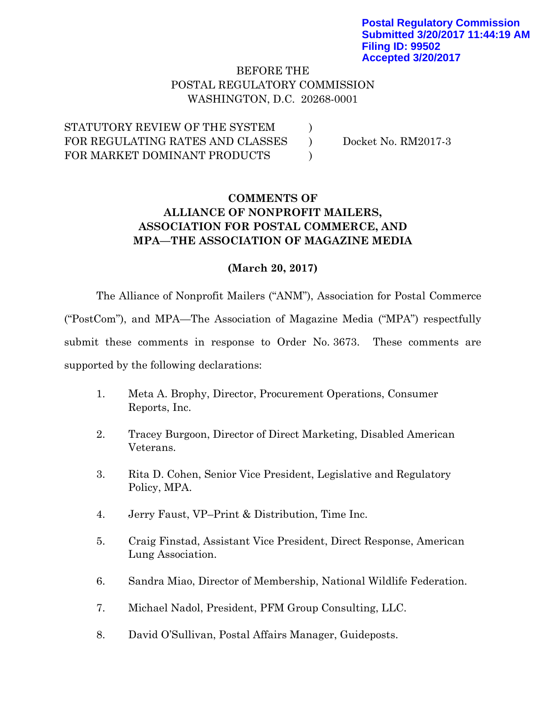### BEFORE THE POSTAL REGULATORY COMMISSION WASHINGTON, D.C. 20268-0001

)  $\mathcal{L}$ )

STATUTORY REVIEW OF THE SYSTEM FOR REGULATING RATES AND CLASSES FOR MARKET DOMINANT PRODUCTS

Docket No. RM2017-3

# **COMMENTS OF ALLIANCE OF NONPROFIT MAILERS, ASSOCIATION FOR POSTAL COMMERCE, AND MPA—THE ASSOCIATION OF MAGAZINE MEDIA**

### **(March 20, 2017)**

The Alliance of Nonprofit Mailers ("ANM"), Association for Postal Commerce ("PostCom"), and MPA—The Association of Magazine Media ("MPA") respectfully submit these comments in response to Order No. 3673. These comments are supported by the following declarations:

- 1. Meta A. Brophy, Director, Procurement Operations, Consumer Reports, Inc.
- 2. Tracey Burgoon, Director of Direct Marketing, Disabled American Veterans.
- 3. Rita D. Cohen, Senior Vice President, Legislative and Regulatory Policy, MPA.
- 4. Jerry Faust, VP–Print & Distribution, Time Inc.
- 5. Craig Finstad, Assistant Vice President, Direct Response, American Lung Association.
- 6. Sandra Miao, Director of Membership, National Wildlife Federation.
- 7. Michael Nadol, President, PFM Group Consulting, LLC.
- 8. David O'Sullivan, Postal Affairs Manager, Guideposts.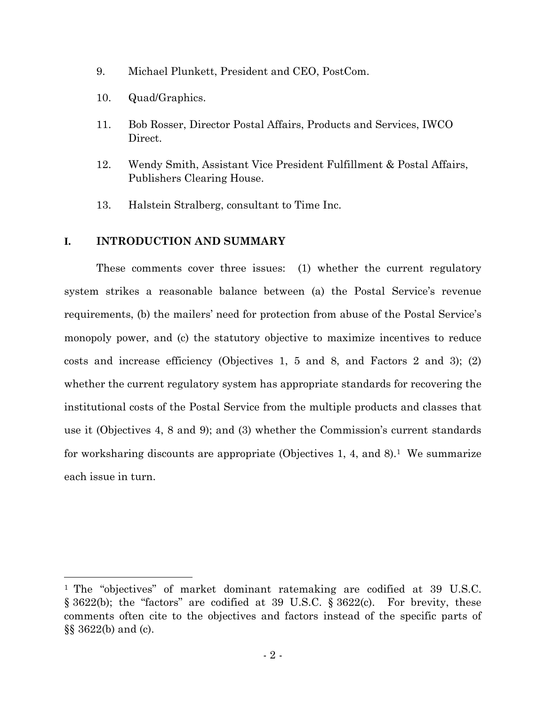- 9. Michael Plunkett, President and CEO, PostCom.
- 10. Quad/Graphics.
- 11. Bob Rosser, Director Postal Affairs, Products and Services, IWCO Direct.
- 12. Wendy Smith, Assistant Vice President Fulfillment & Postal Affairs, Publishers Clearing House.
- 13. Halstein Stralberg, consultant to Time Inc.

#### **I. INTRODUCTION AND SUMMARY**

These comments cover three issues: (1) whether the current regulatory system strikes a reasonable balance between (a) the Postal Service's revenue requirements, (b) the mailers' need for protection from abuse of the Postal Service's monopoly power, and (c) the statutory objective to maximize incentives to reduce costs and increase efficiency (Objectives 1, 5 and 8, and Factors 2 and 3); (2) whether the current regulatory system has appropriate standards for recovering the institutional costs of the Postal Service from the multiple products and classes that use it (Objectives 4, 8 and 9); and (3) whether the Commission's current standards for worksharing discounts are appropriate (Objectives 1, 4, and 8).<sup>1</sup> We summarize each issue in turn.

<sup>1</sup> The "objectives" of market dominant ratemaking are codified at 39 U.S.C. § 3622(b); the "factors" are codified at 39 U.S.C. § 3622(c). For brevity, these comments often cite to the objectives and factors instead of the specific parts of §§ 3622(b) and (c).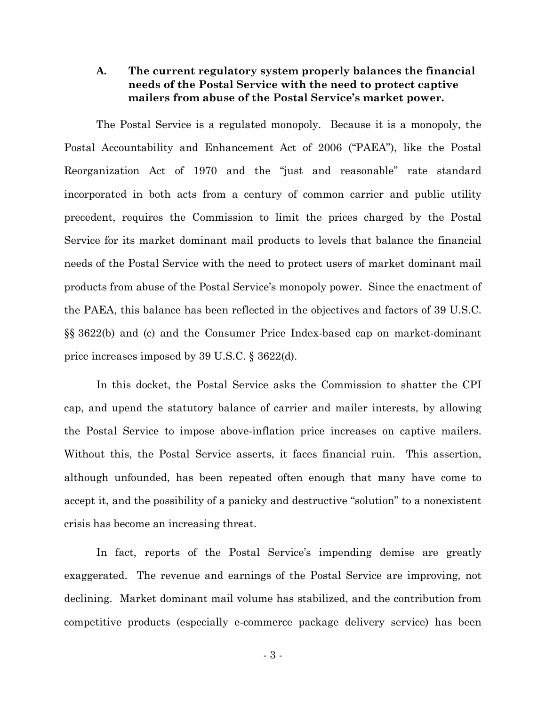### **A. The current regulatory system properly balances the financial needs of the Postal Service with the need to protect captive mailers from abuse of the Postal Service's market power.**

The Postal Service is a regulated monopoly. Because it is a monopoly, the Postal Accountability and Enhancement Act of 2006 ("PAEA"), like the Postal Reorganization Act of 1970 and the "just and reasonable" rate standard incorporated in both acts from a century of common carrier and public utility precedent, requires the Commission to limit the prices charged by the Postal Service for its market dominant mail products to levels that balance the financial needs of the Postal Service with the need to protect users of market dominant mail products from abuse of the Postal Service's monopoly power. Since the enactment of the PAEA, this balance has been reflected in the objectives and factors of 39 U.S.C. §§ 3622(b) and (c) and the Consumer Price Index-based cap on market-dominant price increases imposed by 39 U.S.C. § 3622(d).

In this docket, the Postal Service asks the Commission to shatter the CPI cap, and upend the statutory balance of carrier and mailer interests, by allowing the Postal Service to impose above-inflation price increases on captive mailers. Without this, the Postal Service asserts, it faces financial ruin. This assertion, although unfounded, has been repeated often enough that many have come to accept it, and the possibility of a panicky and destructive "solution" to a nonexistent crisis has become an increasing threat.

In fact, reports of the Postal Service's impending demise are greatly exaggerated. The revenue and earnings of the Postal Service are improving, not declining. Market dominant mail volume has stabilized, and the contribution from competitive products (especially e-commerce package delivery service) has been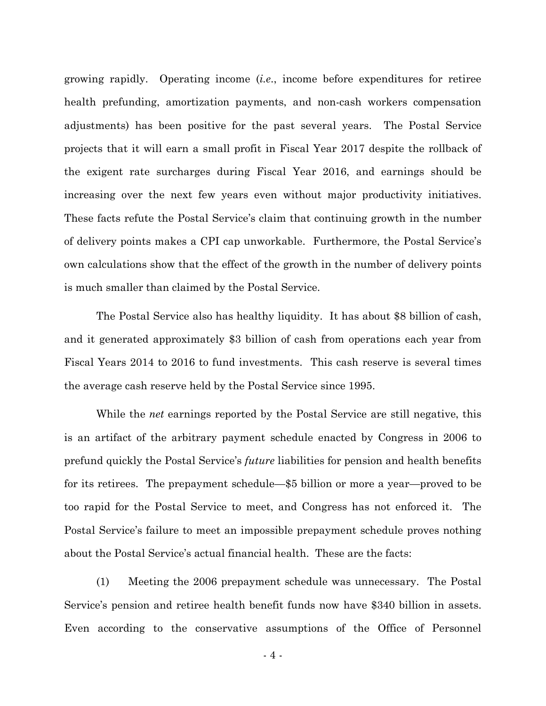growing rapidly. Operating income (*i.e*., income before expenditures for retiree health prefunding, amortization payments, and non-cash workers compensation adjustments) has been positive for the past several years. The Postal Service projects that it will earn a small profit in Fiscal Year 2017 despite the rollback of the exigent rate surcharges during Fiscal Year 2016, and earnings should be increasing over the next few years even without major productivity initiatives. These facts refute the Postal Service's claim that continuing growth in the number of delivery points makes a CPI cap unworkable. Furthermore, the Postal Service's own calculations show that the effect of the growth in the number of delivery points is much smaller than claimed by the Postal Service.

The Postal Service also has healthy liquidity. It has about \$8 billion of cash, and it generated approximately \$3 billion of cash from operations each year from Fiscal Years 2014 to 2016 to fund investments. This cash reserve is several times the average cash reserve held by the Postal Service since 1995.

While the *net* earnings reported by the Postal Service are still negative, this is an artifact of the arbitrary payment schedule enacted by Congress in 2006 to prefund quickly the Postal Service's *future* liabilities for pension and health benefits for its retirees. The prepayment schedule—\$5 billion or more a year—proved to be too rapid for the Postal Service to meet, and Congress has not enforced it. The Postal Service's failure to meet an impossible prepayment schedule proves nothing about the Postal Service's actual financial health. These are the facts:

(1) Meeting the 2006 prepayment schedule was unnecessary. The Postal Service's pension and retiree health benefit funds now have \$340 billion in assets. Even according to the conservative assumptions of the Office of Personnel

- 4 -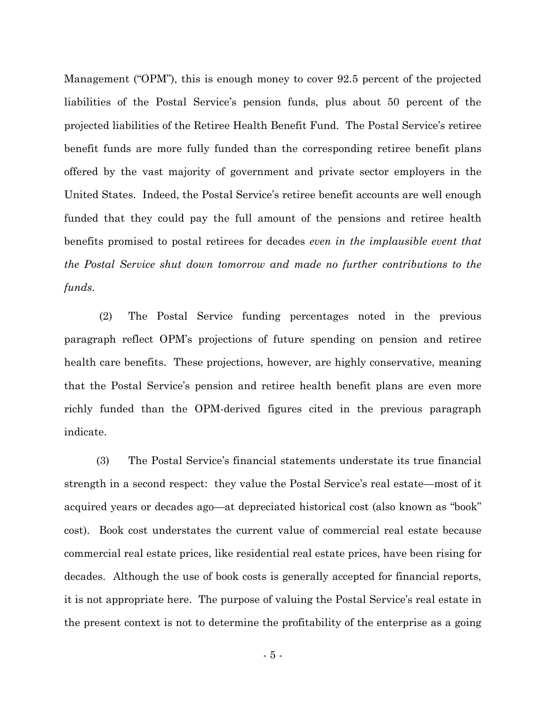Management ("OPM"), this is enough money to cover 92.5 percent of the projected liabilities of the Postal Service's pension funds, plus about 50 percent of the projected liabilities of the Retiree Health Benefit Fund. The Postal Service's retiree benefit funds are more fully funded than the corresponding retiree benefit plans offered by the vast majority of government and private sector employers in the United States. Indeed, the Postal Service's retiree benefit accounts are well enough funded that they could pay the full amount of the pensions and retiree health benefits promised to postal retirees for decades *even in the implausible event that the Postal Service shut down tomorrow and made no further contributions to the funds*.

(2) The Postal Service funding percentages noted in the previous paragraph reflect OPM's projections of future spending on pension and retiree health care benefits. These projections, however, are highly conservative, meaning that the Postal Service's pension and retiree health benefit plans are even more richly funded than the OPM-derived figures cited in the previous paragraph indicate.

(3) The Postal Service's financial statements understate its true financial strength in a second respect: they value the Postal Service's real estate—most of it acquired years or decades ago—at depreciated historical cost (also known as "book" cost). Book cost understates the current value of commercial real estate because commercial real estate prices, like residential real estate prices, have been rising for decades. Although the use of book costs is generally accepted for financial reports, it is not appropriate here. The purpose of valuing the Postal Service's real estate in the present context is not to determine the profitability of the enterprise as a going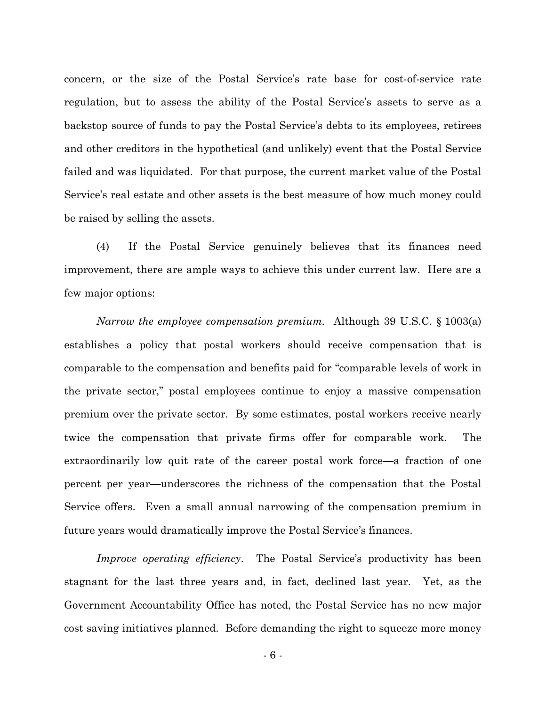concern, or the size of the Postal Service's rate base for cost-of-service rate regulation, but to assess the ability of the Postal Service's assets to serve as a backstop source of funds to pay the Postal Service's debts to its employees, retirees and other creditors in the hypothetical (and unlikely) event that the Postal Service failed and was liquidated. For that purpose, the current market value of the Postal Service's real estate and other assets is the best measure of how much money could be raised by selling the assets.

(4) If the Postal Service genuinely believes that its finances need improvement, there are ample ways to achieve this under current law. Here are a few major options:

*Narrow the employee compensation premium.* Although 39 U.S.C. § 1003(a) establishes a policy that postal workers should receive compensation that is comparable to the compensation and benefits paid for "comparable levels of work in the private sector," postal employees continue to enjoy a massive compensation premium over the private sector. By some estimates, postal workers receive nearly twice the compensation that private firms offer for comparable work. The extraordinarily low quit rate of the career postal work force—a fraction of one percent per year—underscores the richness of the compensation that the Postal Service offers. Even a small annual narrowing of the compensation premium in future years would dramatically improve the Postal Service's finances.

*Improve operating efficiency*. The Postal Service's productivity has been stagnant for the last three years and, in fact, declined last year. Yet, as the Government Accountability Office has noted, the Postal Service has no new major cost saving initiatives planned. Before demanding the right to squeeze more money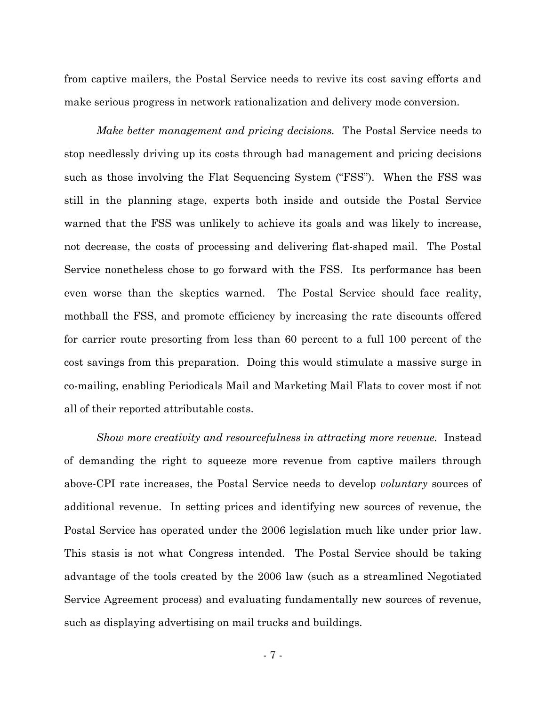from captive mailers, the Postal Service needs to revive its cost saving efforts and make serious progress in network rationalization and delivery mode conversion.

*Make better management and pricing decisions.* The Postal Service needs to stop needlessly driving up its costs through bad management and pricing decisions such as those involving the Flat Sequencing System ("FSS"). When the FSS was still in the planning stage, experts both inside and outside the Postal Service warned that the FSS was unlikely to achieve its goals and was likely to increase, not decrease, the costs of processing and delivering flat-shaped mail. The Postal Service nonetheless chose to go forward with the FSS. Its performance has been even worse than the skeptics warned. The Postal Service should face reality, mothball the FSS, and promote efficiency by increasing the rate discounts offered for carrier route presorting from less than 60 percent to a full 100 percent of the cost savings from this preparation. Doing this would stimulate a massive surge in co-mailing, enabling Periodicals Mail and Marketing Mail Flats to cover most if not all of their reported attributable costs.

*Show more creativity and resourcefulness in attracting more revenue.* Instead of demanding the right to squeeze more revenue from captive mailers through above-CPI rate increases, the Postal Service needs to develop *voluntary* sources of additional revenue. In setting prices and identifying new sources of revenue, the Postal Service has operated under the 2006 legislation much like under prior law. This stasis is not what Congress intended. The Postal Service should be taking advantage of the tools created by the 2006 law (such as a streamlined Negotiated Service Agreement process) and evaluating fundamentally new sources of revenue, such as displaying advertising on mail trucks and buildings.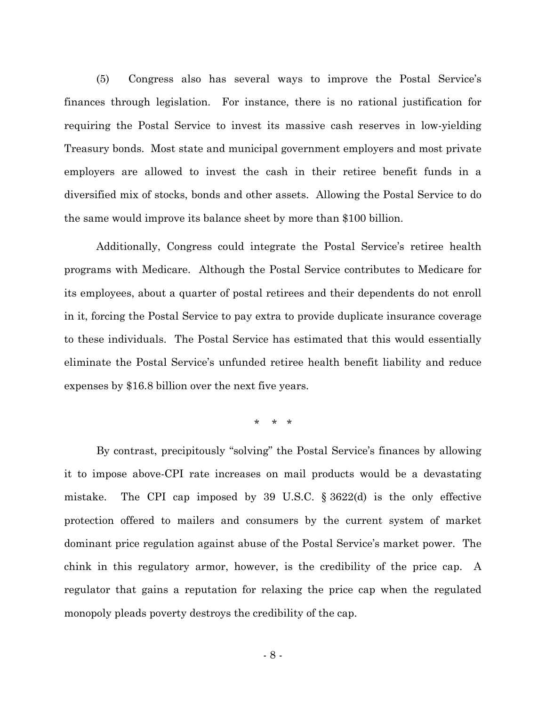(5) Congress also has several ways to improve the Postal Service's finances through legislation. For instance, there is no rational justification for requiring the Postal Service to invest its massive cash reserves in low-yielding Treasury bonds. Most state and municipal government employers and most private employers are allowed to invest the cash in their retiree benefit funds in a diversified mix of stocks, bonds and other assets. Allowing the Postal Service to do the same would improve its balance sheet by more than \$100 billion.

Additionally, Congress could integrate the Postal Service's retiree health programs with Medicare. Although the Postal Service contributes to Medicare for its employees, about a quarter of postal retirees and their dependents do not enroll in it, forcing the Postal Service to pay extra to provide duplicate insurance coverage to these individuals. The Postal Service has estimated that this would essentially eliminate the Postal Service's unfunded retiree health benefit liability and reduce expenses by \$16.8 billion over the next five years.

\* \* \*

By contrast, precipitously "solving" the Postal Service's finances by allowing it to impose above-CPI rate increases on mail products would be a devastating mistake. The CPI cap imposed by 39 U.S.C. § 3622(d) is the only effective protection offered to mailers and consumers by the current system of market dominant price regulation against abuse of the Postal Service's market power. The chink in this regulatory armor, however, is the credibility of the price cap. A regulator that gains a reputation for relaxing the price cap when the regulated monopoly pleads poverty destroys the credibility of the cap.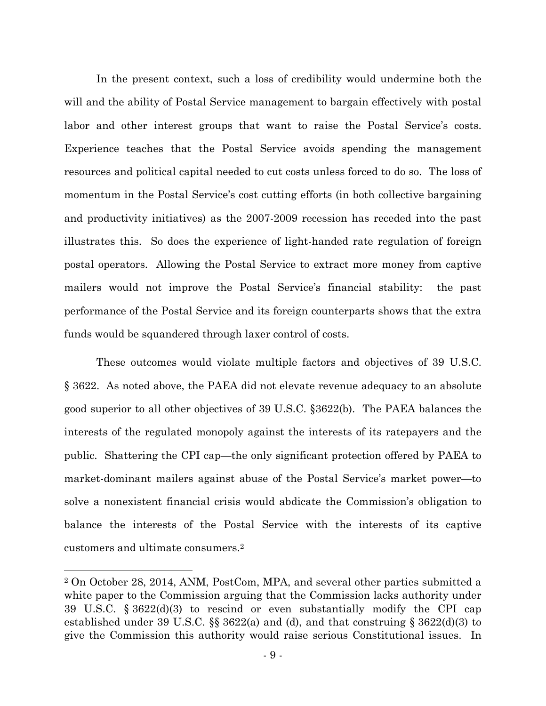In the present context, such a loss of credibility would undermine both the will and the ability of Postal Service management to bargain effectively with postal labor and other interest groups that want to raise the Postal Service's costs. Experience teaches that the Postal Service avoids spending the management resources and political capital needed to cut costs unless forced to do so. The loss of momentum in the Postal Service's cost cutting efforts (in both collective bargaining and productivity initiatives) as the 2007-2009 recession has receded into the past illustrates this. So does the experience of light-handed rate regulation of foreign postal operators. Allowing the Postal Service to extract more money from captive mailers would not improve the Postal Service's financial stability: the past performance of the Postal Service and its foreign counterparts shows that the extra funds would be squandered through laxer control of costs.

These outcomes would violate multiple factors and objectives of 39 U.S.C. § 3622. As noted above, the PAEA did not elevate revenue adequacy to an absolute good superior to all other objectives of 39 U.S.C. §3622(b). The PAEA balances the interests of the regulated monopoly against the interests of its ratepayers and the public. Shattering the CPI cap—the only significant protection offered by PAEA to market-dominant mailers against abuse of the Postal Service's market power—to solve a nonexistent financial crisis would abdicate the Commission's obligation to balance the interests of the Postal Service with the interests of its captive customers and ultimate consumers.<sup>2</sup>

<sup>2</sup> On October 28, 2014, ANM, PostCom, MPA, and several other parties submitted a white paper to the Commission arguing that the Commission lacks authority under 39 U.S.C. § 3622(d)(3) to rescind or even substantially modify the CPI cap established under 39 U.S.C. §§ 3622(a) and (d), and that construing § 3622(d)(3) to give the Commission this authority would raise serious Constitutional issues. In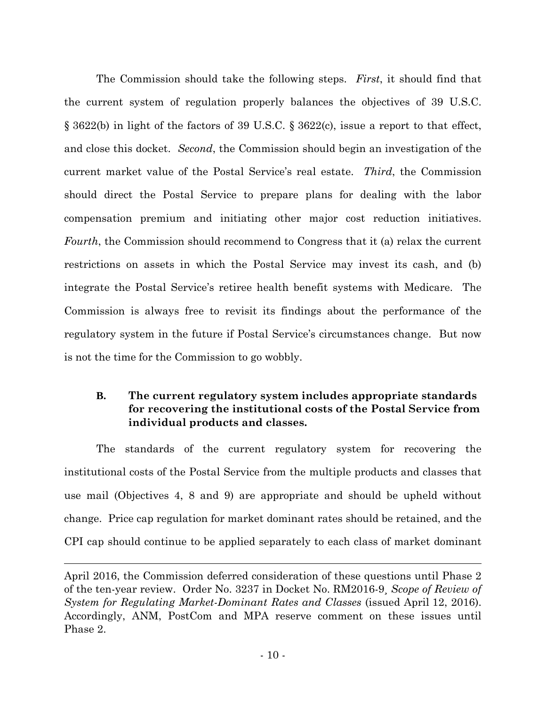The Commission should take the following steps. *First*, it should find that the current system of regulation properly balances the objectives of 39 U.S.C. § 3622(b) in light of the factors of 39 U.S.C. § 3622(c), issue a report to that effect, and close this docket. *Second*, the Commission should begin an investigation of the current market value of the Postal Service's real estate. *Third*, the Commission should direct the Postal Service to prepare plans for dealing with the labor compensation premium and initiating other major cost reduction initiatives. *Fourth*, the Commission should recommend to Congress that it (a) relax the current restrictions on assets in which the Postal Service may invest its cash, and (b) integrate the Postal Service's retiree health benefit systems with Medicare. The Commission is always free to revisit its findings about the performance of the regulatory system in the future if Postal Service's circumstances change. But now is not the time for the Commission to go wobbly.

## **B. The current regulatory system includes appropriate standards for recovering the institutional costs of the Postal Service from individual products and classes.**

The standards of the current regulatory system for recovering the institutional costs of the Postal Service from the multiple products and classes that use mail (Objectives 4, 8 and 9) are appropriate and should be upheld without change. Price cap regulation for market dominant rates should be retained, and the CPI cap should continue to be applied separately to each class of market dominant

April 2016, the Commission deferred consideration of these questions until Phase 2 of the ten-year review. Order No. 3237 in Docket No. RM2016-9¸ *Scope of Review of System for Regulating Market-Dominant Rates and Classes* (issued April 12, 2016). Accordingly, ANM, PostCom and MPA reserve comment on these issues until Phase 2.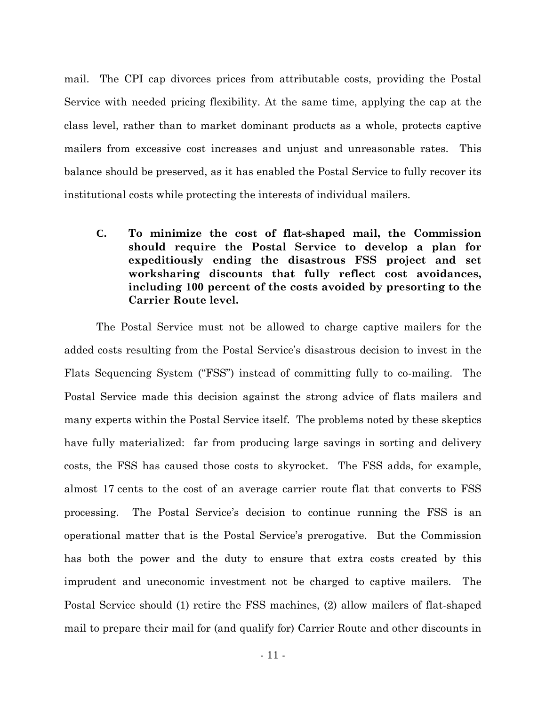mail. The CPI cap divorces prices from attributable costs, providing the Postal Service with needed pricing flexibility. At the same time, applying the cap at the class level, rather than to market dominant products as a whole, protects captive mailers from excessive cost increases and unjust and unreasonable rates. This balance should be preserved, as it has enabled the Postal Service to fully recover its institutional costs while protecting the interests of individual mailers.

**C. To minimize the cost of flat-shaped mail, the Commission should require the Postal Service to develop a plan for expeditiously ending the disastrous FSS project and set worksharing discounts that fully reflect cost avoidances, including 100 percent of the costs avoided by presorting to the Carrier Route level.**

The Postal Service must not be allowed to charge captive mailers for the added costs resulting from the Postal Service's disastrous decision to invest in the Flats Sequencing System ("FSS") instead of committing fully to co-mailing. The Postal Service made this decision against the strong advice of flats mailers and many experts within the Postal Service itself. The problems noted by these skeptics have fully materialized: far from producing large savings in sorting and delivery costs, the FSS has caused those costs to skyrocket. The FSS adds, for example, almost 17 cents to the cost of an average carrier route flat that converts to FSS processing. The Postal Service's decision to continue running the FSS is an operational matter that is the Postal Service's prerogative. But the Commission has both the power and the duty to ensure that extra costs created by this imprudent and uneconomic investment not be charged to captive mailers. The Postal Service should (1) retire the FSS machines, (2) allow mailers of flat-shaped mail to prepare their mail for (and qualify for) Carrier Route and other discounts in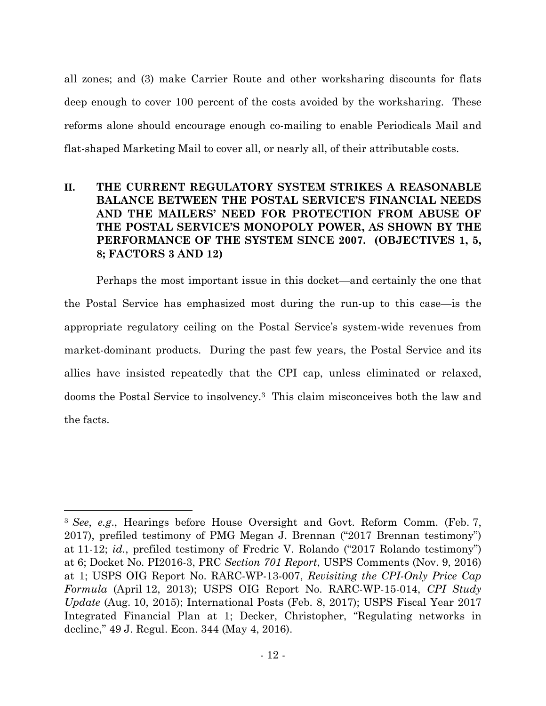all zones; and (3) make Carrier Route and other worksharing discounts for flats deep enough to cover 100 percent of the costs avoided by the worksharing. These reforms alone should encourage enough co-mailing to enable Periodicals Mail and flat-shaped Marketing Mail to cover all, or nearly all, of their attributable costs.

# **II. THE CURRENT REGULATORY SYSTEM STRIKES A REASONABLE BALANCE BETWEEN THE POSTAL SERVICE'S FINANCIAL NEEDS AND THE MAILERS' NEED FOR PROTECTION FROM ABUSE OF THE POSTAL SERVICE'S MONOPOLY POWER, AS SHOWN BY THE PERFORMANCE OF THE SYSTEM SINCE 2007. (OBJECTIVES 1, 5, 8; FACTORS 3 AND 12)**

Perhaps the most important issue in this docket—and certainly the one that the Postal Service has emphasized most during the run-up to this case—is the appropriate regulatory ceiling on the Postal Service's system-wide revenues from market-dominant products. During the past few years, the Postal Service and its allies have insisted repeatedly that the CPI cap, unless eliminated or relaxed, dooms the Postal Service to insolvency.<sup>3</sup> This claim misconceives both the law and the facts.

<sup>3</sup> *See*, *e.g*., Hearings before House Oversight and Govt. Reform Comm. (Feb. 7, 2017), prefiled testimony of PMG Megan J. Brennan ("2017 Brennan testimony") at 11-12; *id.*, prefiled testimony of Fredric V. Rolando ("2017 Rolando testimony") at 6; Docket No. PI2016-3, PRC *Section 701 Report*, USPS Comments (Nov. 9, 2016) at 1; USPS OIG Report No. RARC-WP-13-007, *Revisiting the CPI-Only Price Cap Formula* (April 12, 2013); USPS OIG Report No. RARC-WP-15-014, *CPI Study Update* (Aug. 10, 2015); International Posts (Feb. 8, 2017); USPS Fiscal Year 2017 Integrated Financial Plan at 1; Decker, Christopher, "Regulating networks in decline," 49 J. Regul. Econ. 344 (May 4, 2016).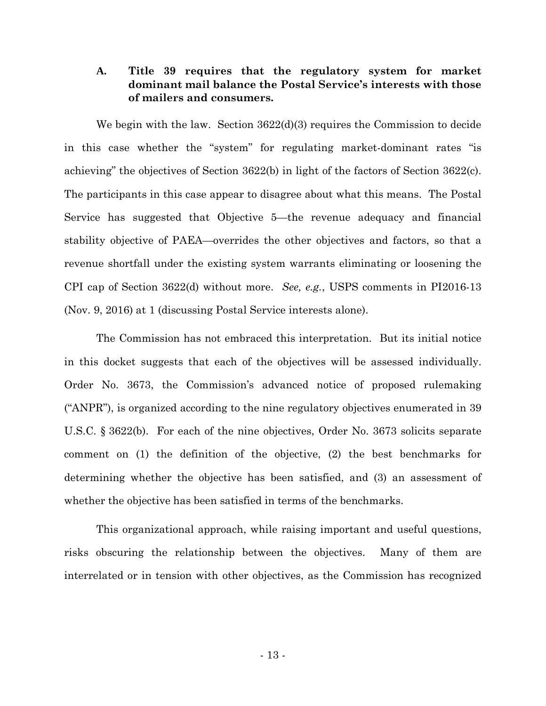### **A. Title 39 requires that the regulatory system for market dominant mail balance the Postal Service's interests with those of mailers and consumers.**

We begin with the law. Section  $3622(d)(3)$  requires the Commission to decide in this case whether the "system" for regulating market-dominant rates "is achieving" the objectives of Section 3622(b) in light of the factors of Section 3622(c). The participants in this case appear to disagree about what this means. The Postal Service has suggested that Objective 5—the revenue adequacy and financial stability objective of PAEA—overrides the other objectives and factors, so that a revenue shortfall under the existing system warrants eliminating or loosening the CPI cap of Section 3622(d) without more. *See, e.g.*, USPS comments in PI2016-13 (Nov. 9, 2016) at 1 (discussing Postal Service interests alone).

The Commission has not embraced this interpretation. But its initial notice in this docket suggests that each of the objectives will be assessed individually. Order No. 3673, the Commission's advanced notice of proposed rulemaking ("ANPR"), is organized according to the nine regulatory objectives enumerated in 39 U.S.C. § 3622(b). For each of the nine objectives, Order No. 3673 solicits separate comment on (1) the definition of the objective, (2) the best benchmarks for determining whether the objective has been satisfied, and (3) an assessment of whether the objective has been satisfied in terms of the benchmarks.

This organizational approach, while raising important and useful questions, risks obscuring the relationship between the objectives. Many of them are interrelated or in tension with other objectives, as the Commission has recognized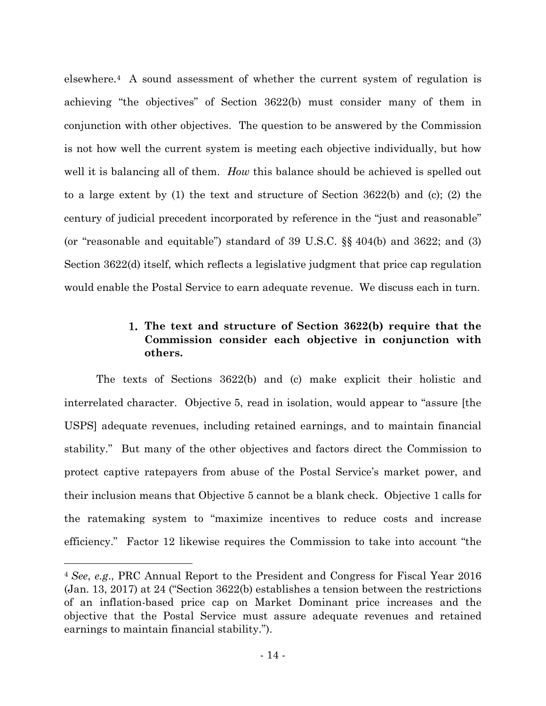elsewhere.<sup>4</sup> A sound assessment of whether the current system of regulation is achieving "the objectives" of Section 3622(b) must consider many of them in conjunction with other objectives. The question to be answered by the Commission is not how well the current system is meeting each objective individually, but how well it is balancing all of them. *How* this balance should be achieved is spelled out to a large extent by (1) the text and structure of Section 3622(b) and (c); (2) the century of judicial precedent incorporated by reference in the "just and reasonable" (or "reasonable and equitable") standard of 39 U.S.C. §§ 404(b) and 3622; and (3) Section 3622(d) itself, which reflects a legislative judgment that price cap regulation would enable the Postal Service to earn adequate revenue. We discuss each in turn.

# **The text and structure of Section 3622(b) require that the Commission consider each objective in conjunction with others.**

The texts of Sections 3622(b) and (c) make explicit their holistic and interrelated character. Objective 5, read in isolation, would appear to "assure [the USPS] adequate revenues, including retained earnings, and to maintain financial stability." But many of the other objectives and factors direct the Commission to protect captive ratepayers from abuse of the Postal Service's market power, and their inclusion means that Objective 5 cannot be a blank check. Objective 1 calls for the ratemaking system to "maximize incentives to reduce costs and increase efficiency." Factor 12 likewise requires the Commission to take into account "the

<sup>4</sup> *See*, *e.g*., PRC Annual Report to the President and Congress for Fiscal Year 2016 (Jan. 13, 2017) at 24 ("Section 3622(b) establishes a tension between the restrictions of an inflation-based price cap on Market Dominant price increases and the objective that the Postal Service must assure adequate revenues and retained earnings to maintain financial stability.").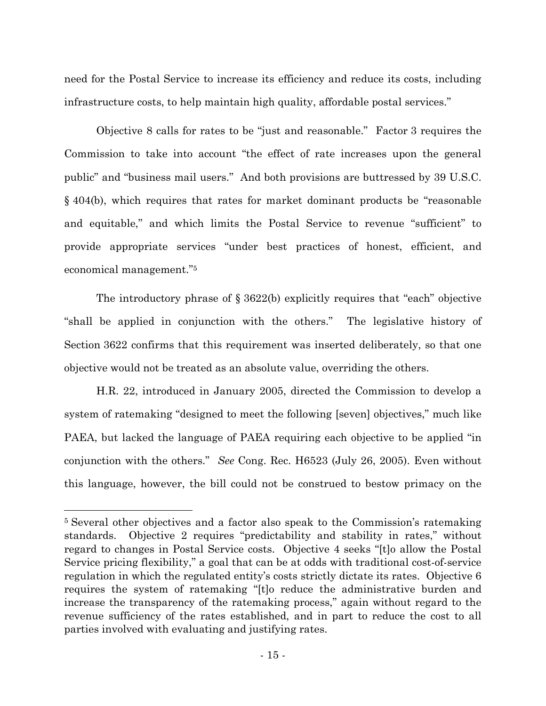need for the Postal Service to increase its efficiency and reduce its costs, including infrastructure costs, to help maintain high quality, affordable postal services."

Objective 8 calls for rates to be "just and reasonable." Factor 3 requires the Commission to take into account "the effect of rate increases upon the general public" and "business mail users." And both provisions are buttressed by 39 U.S.C. § 404(b), which requires that rates for market dominant products be "reasonable and equitable," and which limits the Postal Service to revenue "sufficient" to provide appropriate services "under best practices of honest, efficient, and economical management."<sup>5</sup>

The introductory phrase of § 3622(b) explicitly requires that "each" objective "shall be applied in conjunction with the others." The legislative history of Section 3622 confirms that this requirement was inserted deliberately, so that one objective would not be treated as an absolute value, overriding the others.

H.R. 22, introduced in January 2005, directed the Commission to develop a system of ratemaking "designed to meet the following [seven] objectives," much like PAEA, but lacked the language of PAEA requiring each objective to be applied "in conjunction with the others." *See* Cong. Rec. H6523 (July 26, 2005). Even without this language, however, the bill could not be construed to bestow primacy on the

<sup>5</sup> Several other objectives and a factor also speak to the Commission's ratemaking standards. Objective 2 requires "predictability and stability in rates," without regard to changes in Postal Service costs. Objective 4 seeks "[t]o allow the Postal Service pricing flexibility," a goal that can be at odds with traditional cost-of-service regulation in which the regulated entity's costs strictly dictate its rates. Objective 6 requires the system of ratemaking "[t]o reduce the administrative burden and increase the transparency of the ratemaking process," again without regard to the revenue sufficiency of the rates established, and in part to reduce the cost to all parties involved with evaluating and justifying rates.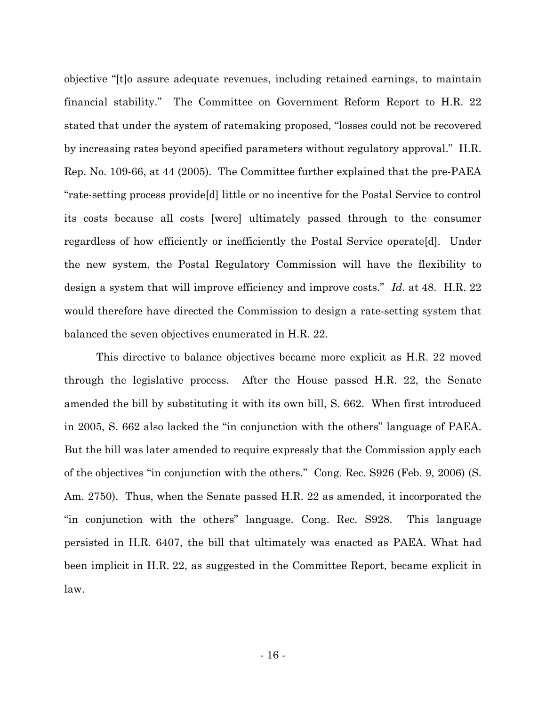objective "[t]o assure adequate revenues, including retained earnings, to maintain financial stability." The Committee on Government Reform Report to H.R. 22 stated that under the system of ratemaking proposed, "losses could not be recovered by increasing rates beyond specified parameters without regulatory approval." H.R. Rep. No. 109-66, at 44 (2005). The Committee further explained that the pre-PAEA "rate-setting process provide[d] little or no incentive for the Postal Service to control its costs because all costs [were] ultimately passed through to the consumer regardless of how efficiently or inefficiently the Postal Service operate[d]. Under the new system, the Postal Regulatory Commission will have the flexibility to design a system that will improve efficiency and improve costs." *Id.* at 48. H.R. 22 would therefore have directed the Commission to design a rate-setting system that balanced the seven objectives enumerated in H.R. 22.

This directive to balance objectives became more explicit as H.R. 22 moved through the legislative process. After the House passed H.R. 22, the Senate amended the bill by substituting it with its own bill, S. 662. When first introduced in 2005, S. 662 also lacked the "in conjunction with the others" language of PAEA. But the bill was later amended to require expressly that the Commission apply each of the objectives "in conjunction with the others." Cong. Rec. S926 (Feb. 9, 2006) (S. Am. 2750). Thus, when the Senate passed H.R. 22 as amended, it incorporated the "in conjunction with the others" language. Cong. Rec. S928. This language persisted in H.R. 6407, the bill that ultimately was enacted as PAEA. What had been implicit in H.R. 22, as suggested in the Committee Report, became explicit in law.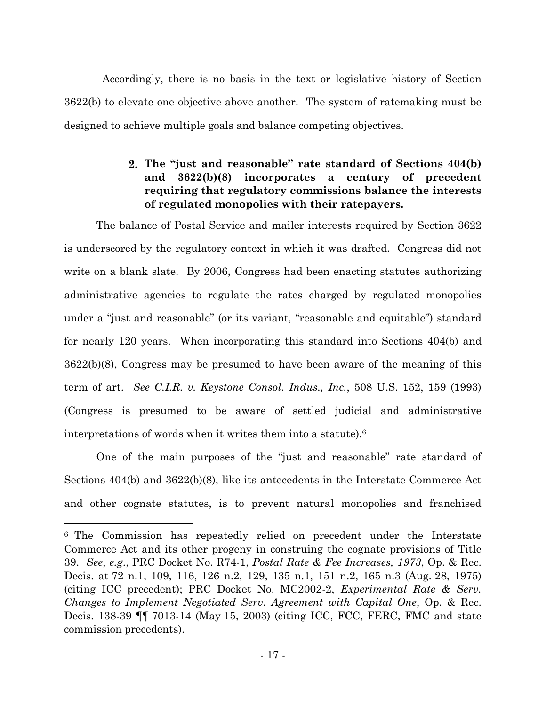Accordingly, there is no basis in the text or legislative history of Section 3622(b) to elevate one objective above another. The system of ratemaking must be designed to achieve multiple goals and balance competing objectives.

# **The "just and reasonable" rate standard of Sections 404(b) and 3622(b)(8) incorporates a century of precedent requiring that regulatory commissions balance the interests of regulated monopolies with their ratepayers.**

The balance of Postal Service and mailer interests required by Section 3622 is underscored by the regulatory context in which it was drafted. Congress did not write on a blank slate. By 2006, Congress had been enacting statutes authorizing administrative agencies to regulate the rates charged by regulated monopolies under a "just and reasonable" (or its variant, "reasonable and equitable") standard for nearly 120 years. When incorporating this standard into Sections 404(b) and 3622(b)(8), Congress may be presumed to have been aware of the meaning of this term of art. *See C.I.R. v. Keystone Consol. Indus., Inc.*, 508 U.S. 152, 159 (1993) (Congress is presumed to be aware of settled judicial and administrative interpretations of words when it writes them into a statute).<sup>6</sup>

One of the main purposes of the "just and reasonable" rate standard of Sections 404(b) and 3622(b)(8), like its antecedents in the Interstate Commerce Act and other cognate statutes, is to prevent natural monopolies and franchised

<sup>6</sup> The Commission has repeatedly relied on precedent under the Interstate Commerce Act and its other progeny in construing the cognate provisions of Title 39. *See*, *e.g*., PRC Docket No. R74-1, *Postal Rate & Fee Increases, 1973*, Op. & Rec. Decis. at 72 n.1, 109, 116, 126 n.2, 129, 135 n.1, 151 n.2, 165 n.3 (Aug. 28, 1975) (citing ICC precedent); PRC Docket No. MC2002-2, *Experimental Rate & Serv. Changes to Implement Negotiated Serv. Agreement with Capital One*, Op. & Rec. Decis. 138-39 ¶¶ 7013-14 (May 15, 2003) (citing ICC, FCC, FERC, FMC and state commission precedents).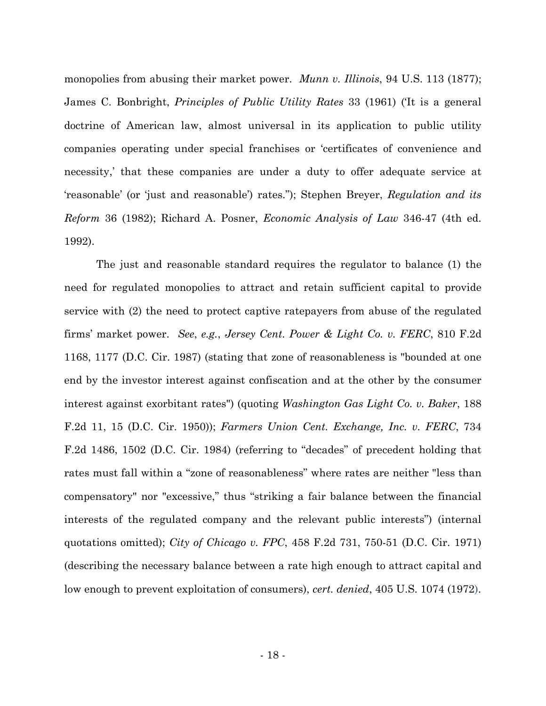monopolies from abusing their market power. *Munn v. Illinois*, 94 U.S. 113 (1877); James C. Bonbright, *Principles of Public Utility Rates* 33 (1961) ('It is a general doctrine of American law, almost universal in its application to public utility companies operating under special franchises or 'certificates of convenience and necessity,' that these companies are under a duty to offer adequate service at 'reasonable' (or 'just and reasonable') rates."); Stephen Breyer, *Regulation and its Reform* 36 (1982); Richard A. Posner, *Economic Analysis of Law* 346-47 (4th ed. 1992).

The just and reasonable standard requires the regulator to balance (1) the need for regulated monopolies to attract and retain sufficient capital to provide service with (2) the need to protect captive ratepayers from abuse of the regulated firms' market power. *See*, *e.g.*, *Jersey Cent. Power & Light Co. v. FERC*, 810 F.2d 1168, 1177 (D.C. Cir. 1987) (stating that zone of reasonableness is "bounded at one end by the investor interest against confiscation and at the other by the consumer interest against exorbitant rates") (quoting *Washington Gas Light Co. v. Baker*, 188 F.2d 11, 15 (D.C. Cir. 1950)); *Farmers Union Cent. Exchange, Inc. v. FERC*, 734 F.2d 1486, 1502 (D.C. Cir. 1984) (referring to "decades" of precedent holding that rates must fall within a "zone of reasonableness" where rates are neither "less than compensatory" nor "excessive," thus "striking a fair balance between the financial interests of the regulated company and the relevant public interests") (internal quotations omitted); *City of Chicago v. FPC*, 458 F.2d 731, 750-51 (D.C. Cir. 1971) (describing the necessary balance between a rate high enough to attract capital and low enough to prevent exploitation of consumers), *cert. denied*, 405 U.S. 1074 (1972).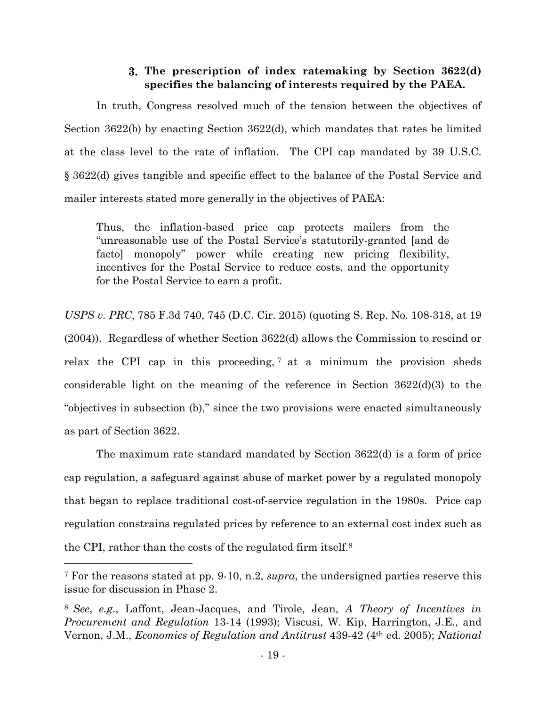### **The prescription of index ratemaking by Section 3622(d) specifies the balancing of interests required by the PAEA.**

In truth, Congress resolved much of the tension between the objectives of Section 3622(b) by enacting Section 3622(d), which mandates that rates be limited at the class level to the rate of inflation. The CPI cap mandated by 39 U.S.C. § 3622(d) gives tangible and specific effect to the balance of the Postal Service and mailer interests stated more generally in the objectives of PAEA:

Thus, the inflation-based price cap protects mailers from the "unreasonable use of the Postal Service's statutorily-granted [and de facto] monopoly" power while creating new pricing flexibility, incentives for the Postal Service to reduce costs, and the opportunity for the Postal Service to earn a profit.

*USPS v. PRC*, 785 F.3d 740, 745 (D.C. Cir. 2015) (quoting S. Rep. No. 108-318, at 19 (2004)). Regardless of whether Section 3622(d) allows the Commission to rescind or relax the CPI cap in this proceeding, <sup>7</sup> at a minimum the provision sheds considerable light on the meaning of the reference in Section 3622(d)(3) to the "objectives in subsection (b)," since the two provisions were enacted simultaneously as part of Section 3622.

The maximum rate standard mandated by Section 3622(d) is a form of price cap regulation, a safeguard against abuse of market power by a regulated monopoly that began to replace traditional cost-of-service regulation in the 1980s. Price cap regulation constrains regulated prices by reference to an external cost index such as the CPI, rather than the costs of the regulated firm itself.<sup>8</sup>

<sup>7</sup> For the reasons stated at pp. 9-10, n.2, *supra*, the undersigned parties reserve this issue for discussion in Phase 2.

<sup>8</sup> *See*, *e.g*., Laffont, Jean-Jacques, and Tirole, Jean, *A Theory of Incentives in Procurement and Regulation* 13-14 (1993); Viscusi, W. Kip, Harrington, J.E., and Vernon, J.M., *Economics of Regulation and Antitrust* 439-42 (4th ed. 2005); *National*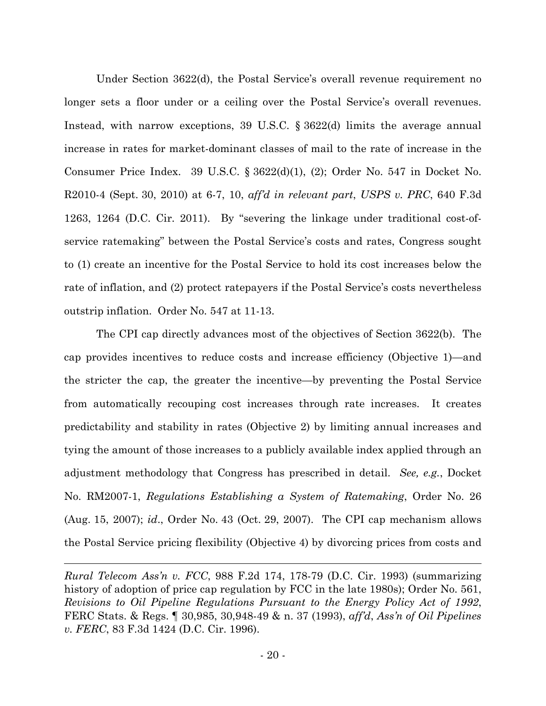Under Section 3622(d), the Postal Service's overall revenue requirement no longer sets a floor under or a ceiling over the Postal Service's overall revenues. Instead, with narrow exceptions, 39 U.S.C. § 3622(d) limits the average annual increase in rates for market-dominant classes of mail to the rate of increase in the Consumer Price Index. 39 U.S.C. § 3622(d)(1), (2); Order No. 547 in Docket No. R2010-4 (Sept. 30, 2010) at 6-7, 10, *aff'd in relevant part*, *USPS v. PRC*, 640 F.3d 1263, 1264 (D.C. Cir. 2011). By "severing the linkage under traditional cost-ofservice ratemaking" between the Postal Service's costs and rates, Congress sought to (1) create an incentive for the Postal Service to hold its cost increases below the rate of inflation, and (2) protect ratepayers if the Postal Service's costs nevertheless outstrip inflation. Order No. 547 at 11-13.

The CPI cap directly advances most of the objectives of Section 3622(b). The cap provides incentives to reduce costs and increase efficiency (Objective 1)—and the stricter the cap, the greater the incentive—by preventing the Postal Service from automatically recouping cost increases through rate increases. It creates predictability and stability in rates (Objective 2) by limiting annual increases and tying the amount of those increases to a publicly available index applied through an adjustment methodology that Congress has prescribed in detail. *See, e.g.*, Docket No. RM2007-1, *Regulations Establishing a System of Ratemaking*, Order No. 26 (Aug. 15, 2007); *id*., Order No. 43 (Oct. 29, 2007). The CPI cap mechanism allows the Postal Service pricing flexibility (Objective 4) by divorcing prices from costs and

*Rural Telecom Ass'n v. FCC*, 988 F.2d 174, 178-79 (D.C. Cir. 1993) (summarizing history of adoption of price cap regulation by FCC in the late 1980s); Order No. 561, *Revisions to Oil Pipeline Regulations Pursuant to the Energy Policy Act of 1992*, FERC Stats. & Regs. ¶ 30,985, 30,948-49 & n. 37 (1993), *aff'd*, *Ass'n of Oil Pipelines v. FERC*, 83 F.3d 1424 (D.C. Cir. 1996).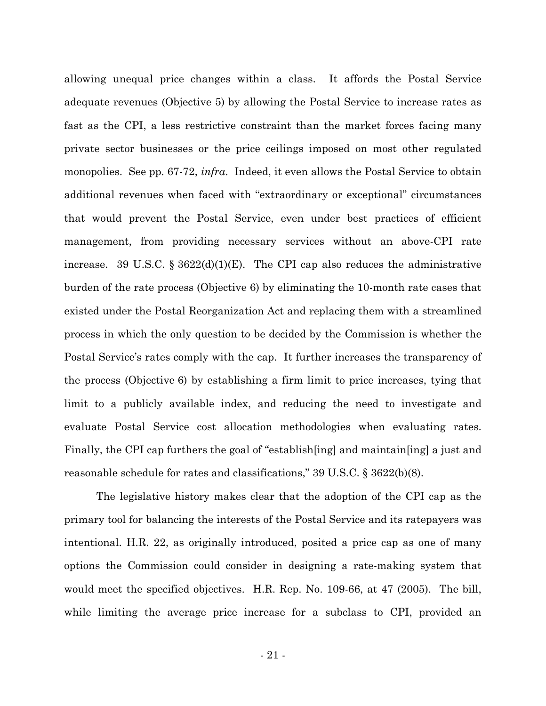allowing unequal price changes within a class. It affords the Postal Service adequate revenues (Objective 5) by allowing the Postal Service to increase rates as fast as the CPI, a less restrictive constraint than the market forces facing many private sector businesses or the price ceilings imposed on most other regulated monopolies. See pp. 67-72, *infra*. Indeed, it even allows the Postal Service to obtain additional revenues when faced with "extraordinary or exceptional" circumstances that would prevent the Postal Service, even under best practices of efficient management, from providing necessary services without an above-CPI rate increase. 39 U.S.C. §  $3622(d)(1)(E)$ . The CPI cap also reduces the administrative burden of the rate process (Objective 6) by eliminating the 10-month rate cases that existed under the Postal Reorganization Act and replacing them with a streamlined process in which the only question to be decided by the Commission is whether the Postal Service's rates comply with the cap. It further increases the transparency of the process (Objective 6) by establishing a firm limit to price increases, tying that limit to a publicly available index, and reducing the need to investigate and evaluate Postal Service cost allocation methodologies when evaluating rates. Finally, the CPI cap furthers the goal of "establish[ing] and maintain[ing] a just and reasonable schedule for rates and classifications," 39 U.S.C. § 3622(b)(8).

The legislative history makes clear that the adoption of the CPI cap as the primary tool for balancing the interests of the Postal Service and its ratepayers was intentional. H.R. 22, as originally introduced, posited a price cap as one of many options the Commission could consider in designing a rate-making system that would meet the specified objectives. H.R. Rep. No. 109-66, at 47 (2005). The bill, while limiting the average price increase for a subclass to CPI, provided an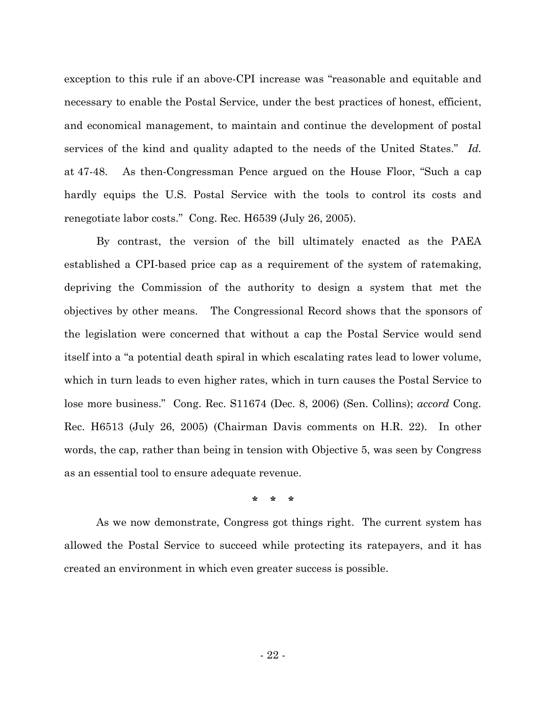exception to this rule if an above-CPI increase was "reasonable and equitable and necessary to enable the Postal Service, under the best practices of honest, efficient, and economical management, to maintain and continue the development of postal services of the kind and quality adapted to the needs of the United States." *Id.* at 47-48. As then-Congressman Pence argued on the House Floor, "Such a cap hardly equips the U.S. Postal Service with the tools to control its costs and renegotiate labor costs." Cong. Rec. H6539 (July 26, 2005).

By contrast, the version of the bill ultimately enacted as the PAEA established a CPI-based price cap as a requirement of the system of ratemaking, depriving the Commission of the authority to design a system that met the objectives by other means. The Congressional Record shows that the sponsors of the legislation were concerned that without a cap the Postal Service would send itself into a "a potential death spiral in which escalating rates lead to lower volume, which in turn leads to even higher rates, which in turn causes the Postal Service to lose more business." Cong. Rec. S11674 (Dec. 8, 2006) (Sen. Collins); *accord* Cong. Rec. H6513 (July 26, 2005) (Chairman Davis comments on H.R. 22). In other words, the cap, rather than being in tension with Objective 5, was seen by Congress as an essential tool to ensure adequate revenue.

**\* \* \***

As we now demonstrate, Congress got things right. The current system has allowed the Postal Service to succeed while protecting its ratepayers, and it has created an environment in which even greater success is possible.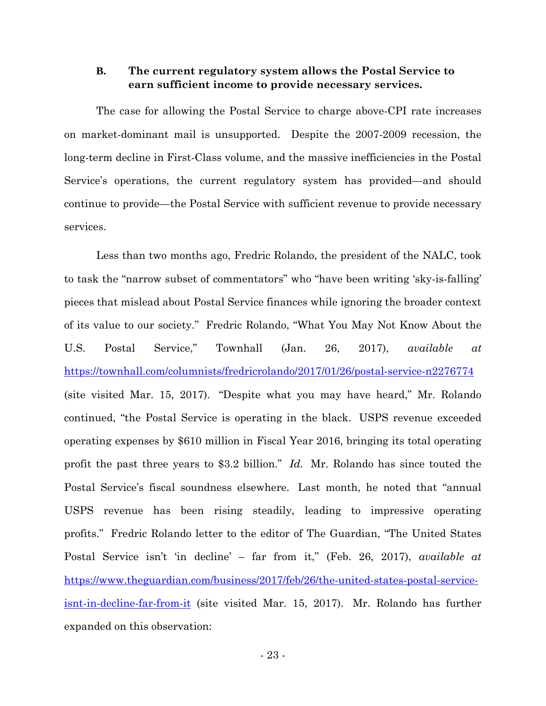#### **B. The current regulatory system allows the Postal Service to earn sufficient income to provide necessary services.**

The case for allowing the Postal Service to charge above-CPI rate increases on market-dominant mail is unsupported. Despite the 2007-2009 recession, the long-term decline in First-Class volume, and the massive inefficiencies in the Postal Service's operations, the current regulatory system has provided—and should continue to provide—the Postal Service with sufficient revenue to provide necessary services.

Less than two months ago, Fredric Rolando, the president of the NALC, took to task the "narrow subset of commentators" who "have been writing 'sky-is-falling' pieces that mislead about Postal Service finances while ignoring the broader context of its value to our society." Fredric Rolando, "What You May Not Know About the U.S. Postal Service," Townhall (Jan. 26, 2017), *available at* https://townhall.com/columnists/fredricrolando/2017/01/26/postal-service-n2276774 (site visited Mar. 15, 2017). "Despite what you may have heard," Mr. Rolando continued, "the Postal Service is operating in the black. USPS revenue exceeded operating expenses by \$610 million in Fiscal Year 2016, bringing its total operating profit the past three years to \$3.2 billion." *Id.* Mr. Rolando has since touted the Postal Service's fiscal soundness elsewhere. Last month, he noted that "annual USPS revenue has been rising steadily, leading to impressive operating profits." Fredric Rolando letter to the editor of The Guardian, "The United States Postal Service isn't 'in decline' – far from it," (Feb. 26, 2017), *available at* https://www.theguardian.com/business/2017/feb/26/the-united-states-postal-serviceisnt-in-decline-far-from-it (site visited Mar. 15, 2017). Mr. Rolando has further expanded on this observation: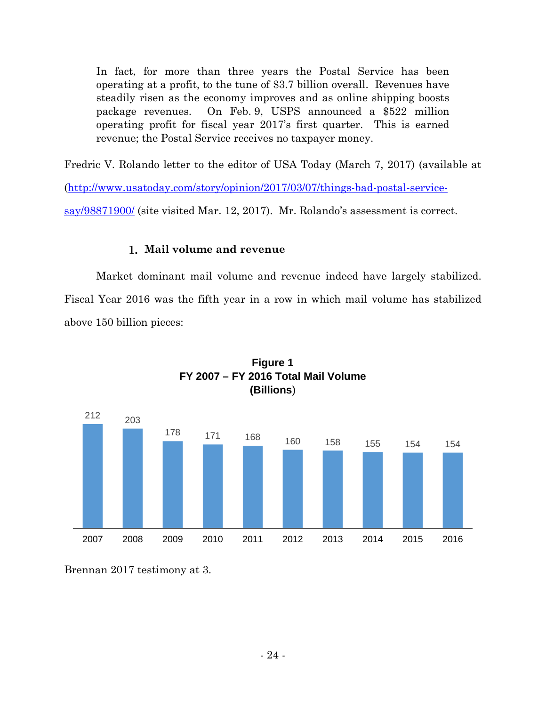In fact, for more than three years the Postal Service has been operating at a profit, to the tune of \$3.7 billion overall. Revenues have steadily risen as the economy improves and as online shipping boosts package revenues. On Feb. 9, USPS announced a \$522 million operating profit for fiscal year 2017's first quarter. This is earned revenue; the Postal Service receives no taxpayer money.

Fredric V. Rolando letter to the editor of USA Today (March 7, 2017) (available at

(http://www.usatoday.com/story/opinion/2017/03/07/things-bad-postal-service-

say/98871900/ (site visited Mar. 12, 2017). Mr. Rolando's assessment is correct.

### **Mail volume and revenue**

Market dominant mail volume and revenue indeed have largely stabilized. Fiscal Year 2016 was the fifth year in a row in which mail volume has stabilized above 150 billion pieces:





Brennan 2017 testimony at 3.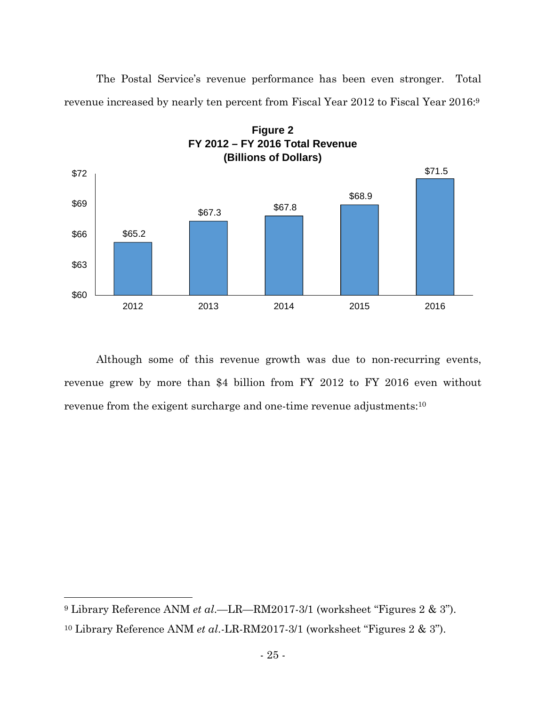The Postal Service's revenue performance has been even stronger. Total revenue increased by nearly ten percent from Fiscal Year 2012 to Fiscal Year 2016:<sup>9</sup>



Although some of this revenue growth was due to non-recurring events, revenue grew by more than \$4 billion from FY 2012 to FY 2016 even without revenue from the exigent surcharge and one-time revenue adjustments:<sup>10</sup>

<sup>9</sup> Library Reference ANM *et al*.—LR—RM2017-3/1 (worksheet "Figures 2 & 3").

<sup>10</sup> Library Reference ANM *et al*.-LR-RM2017-3/1 (worksheet "Figures 2 & 3").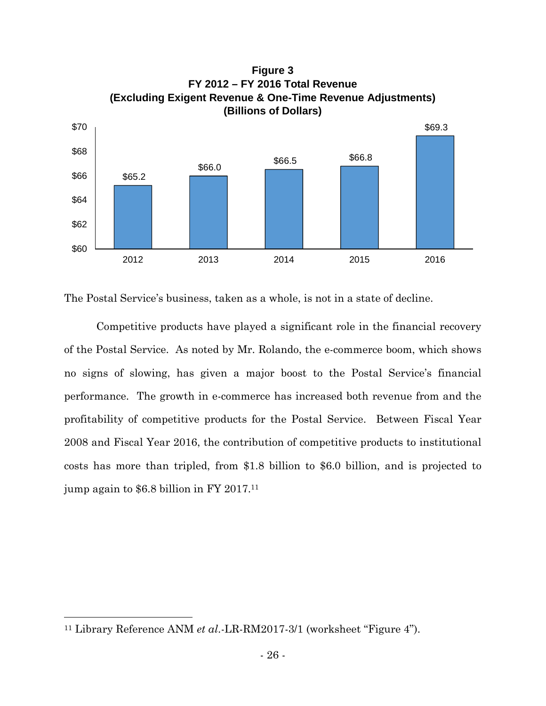

The Postal Service's business, taken as a whole, is not in a state of decline.

Competitive products have played a significant role in the financial recovery of the Postal Service. As noted by Mr. Rolando, the e-commerce boom, which shows no signs of slowing, has given a major boost to the Postal Service's financial performance. The growth in e-commerce has increased both revenue from and the profitability of competitive products for the Postal Service. Between Fiscal Year 2008 and Fiscal Year 2016, the contribution of competitive products to institutional costs has more than tripled, from \$1.8 billion to \$6.0 billion, and is projected to jump again to \$6.8 billion in FY 2017.<sup>11</sup>

<sup>11</sup> Library Reference ANM *et al*.-LR-RM2017-3/1 (worksheet "Figure 4").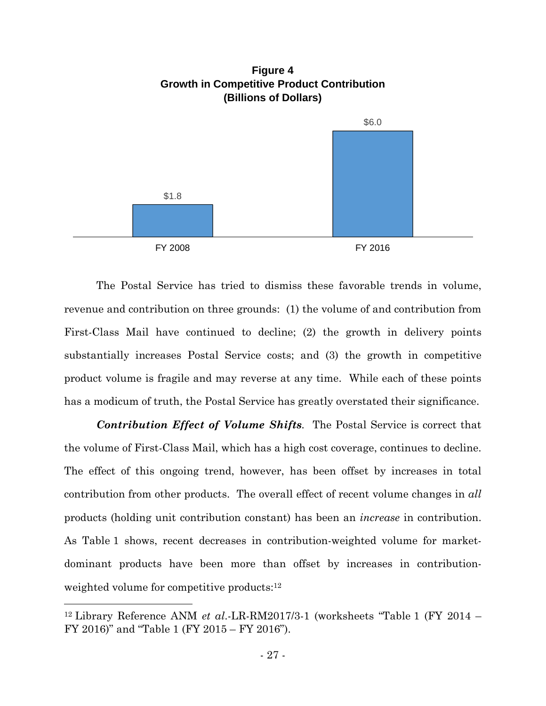

The Postal Service has tried to dismiss these favorable trends in volume, revenue and contribution on three grounds: (1) the volume of and contribution from First-Class Mail have continued to decline; (2) the growth in delivery points substantially increases Postal Service costs; and (3) the growth in competitive product volume is fragile and may reverse at any time. While each of these points has a modicum of truth, the Postal Service has greatly overstated their significance.

*Contribution Effect of Volume Shifts.* The Postal Service is correct that the volume of First-Class Mail, which has a high cost coverage, continues to decline. The effect of this ongoing trend, however, has been offset by increases in total contribution from other products. The overall effect of recent volume changes in *all* products (holding unit contribution constant) has been an *increase* in contribution. As Table 1 shows, recent decreases in contribution-weighted volume for marketdominant products have been more than offset by increases in contributionweighted volume for competitive products:<sup>12</sup>

<sup>12</sup> Library Reference ANM *et al*.-LR-RM2017/3-1 (worksheets "Table 1 (FY 2014 – FY 2016)" and "Table 1 (FY 2015 – FY 2016").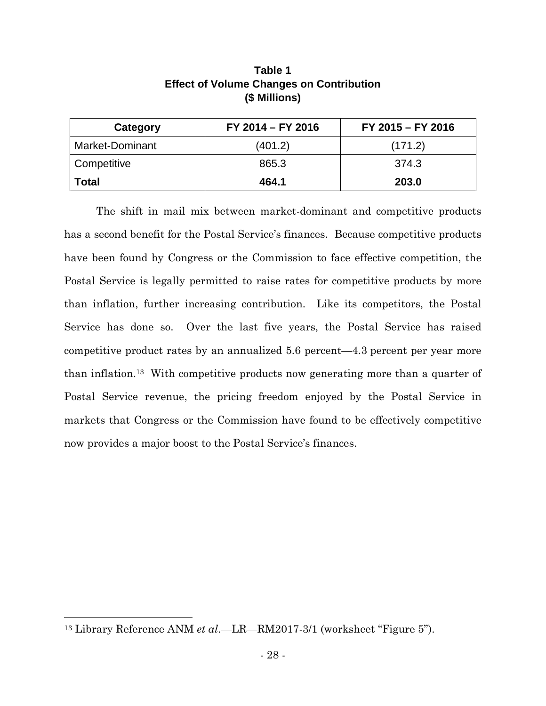| Category        | FY 2014 - FY 2016 | FY 2015 - FY 2016 |
|-----------------|-------------------|-------------------|
| Market-Dominant | (401.2)           | (171.2)           |
| Competitive     | 865.3             | 374.3             |
| <b>Total</b>    | 464.1             | 203.0             |

# **Table 1 Effect of Volume Changes on Contribution (\$ Millions)**

The shift in mail mix between market-dominant and competitive products has a second benefit for the Postal Service's finances. Because competitive products have been found by Congress or the Commission to face effective competition, the Postal Service is legally permitted to raise rates for competitive products by more than inflation, further increasing contribution. Like its competitors, the Postal Service has done so. Over the last five years, the Postal Service has raised competitive product rates by an annualized 5.6 percent—4.3 percent per year more than inflation.<sup>13</sup> With competitive products now generating more than a quarter of Postal Service revenue, the pricing freedom enjoyed by the Postal Service in markets that Congress or the Commission have found to be effectively competitive now provides a major boost to the Postal Service's finances.

<sup>13</sup> Library Reference ANM *et al*.—LR—RM2017-3/1 (worksheet "Figure 5").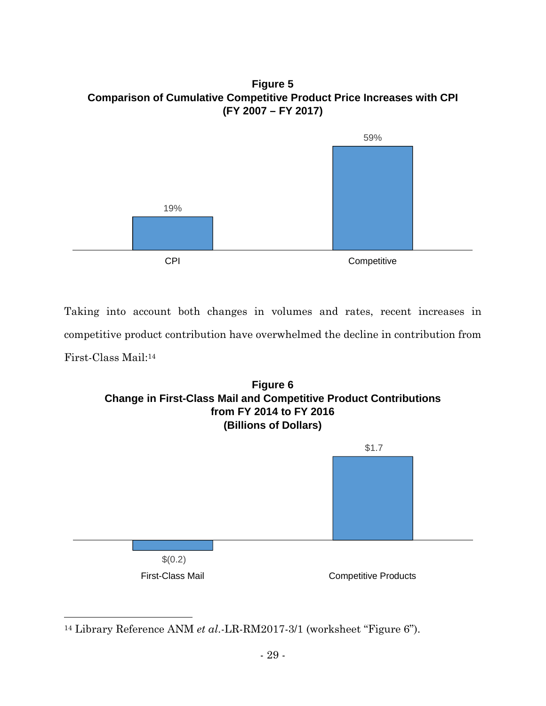**Figure 5 Comparison of Cumulative Competitive Product Price Increases with CPI (FY 2007 – FY 2017)**



Taking into account both changes in volumes and rates, recent increases in competitive product contribution have overwhelmed the decline in contribution from First-Class Mail:<sup>14</sup>



<sup>14</sup> Library Reference ANM *et al*.-LR-RM2017-3/1 (worksheet "Figure 6").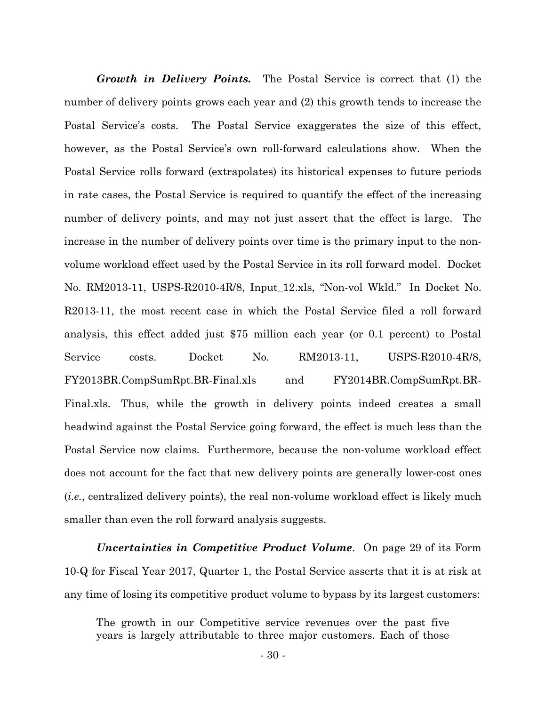*Growth in Delivery Points.* The Postal Service is correct that (1) the number of delivery points grows each year and (2) this growth tends to increase the Postal Service's costs. The Postal Service exaggerates the size of this effect, however, as the Postal Service's own roll-forward calculations show. When the Postal Service rolls forward (extrapolates) its historical expenses to future periods in rate cases, the Postal Service is required to quantify the effect of the increasing number of delivery points, and may not just assert that the effect is large. The increase in the number of delivery points over time is the primary input to the nonvolume workload effect used by the Postal Service in its roll forward model. Docket No. RM2013-11, USPS-R2010-4R/8, Input\_12.xls, "Non-vol Wkld." In Docket No. R2013-11, the most recent case in which the Postal Service filed a roll forward analysis, this effect added just \$75 million each year (or 0.1 percent) to Postal Service costs. Docket No. RM2013-11, USPS-R2010-4R/8, FY2013BR.CompSumRpt.BR-Final.xls and FY2014BR.CompSumRpt.BR-Final.xls. Thus, while the growth in delivery points indeed creates a small headwind against the Postal Service going forward, the effect is much less than the Postal Service now claims. Furthermore, because the non-volume workload effect does not account for the fact that new delivery points are generally lower-cost ones (*i.e.*, centralized delivery points), the real non-volume workload effect is likely much smaller than even the roll forward analysis suggests.

*Uncertainties in Competitive Product Volume*. On page 29 of its Form 10-Q for Fiscal Year 2017, Quarter 1, the Postal Service asserts that it is at risk at any time of losing its competitive product volume to bypass by its largest customers:

The growth in our Competitive service revenues over the past five years is largely attributable to three major customers. Each of those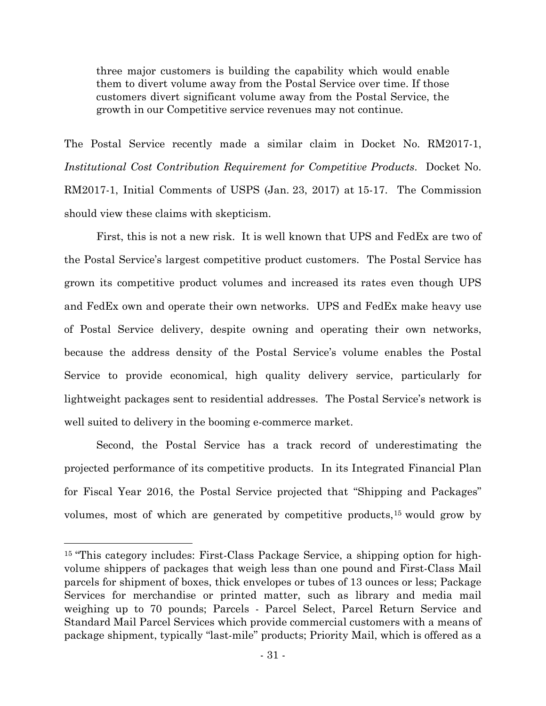three major customers is building the capability which would enable them to divert volume away from the Postal Service over time. If those customers divert significant volume away from the Postal Service, the growth in our Competitive service revenues may not continue.

The Postal Service recently made a similar claim in Docket No. RM2017-1, *Institutional Cost Contribution Requirement for Competitive Products*. Docket No. RM2017-1, Initial Comments of USPS (Jan. 23, 2017) at 15-17. The Commission should view these claims with skepticism.

First, this is not a new risk. It is well known that UPS and FedEx are two of the Postal Service's largest competitive product customers. The Postal Service has grown its competitive product volumes and increased its rates even though UPS and FedEx own and operate their own networks. UPS and FedEx make heavy use of Postal Service delivery, despite owning and operating their own networks, because the address density of the Postal Service's volume enables the Postal Service to provide economical, high quality delivery service, particularly for lightweight packages sent to residential addresses. The Postal Service's network is well suited to delivery in the booming e-commerce market.

Second, the Postal Service has a track record of underestimating the projected performance of its competitive products. In its Integrated Financial Plan for Fiscal Year 2016, the Postal Service projected that "Shipping and Packages" volumes, most of which are generated by competitive products,<sup>15</sup> would grow by

<sup>15</sup> "This category includes: First-Class Package Service, a shipping option for highvolume shippers of packages that weigh less than one pound and First-Class Mail parcels for shipment of boxes, thick envelopes or tubes of 13 ounces or less; Package Services for merchandise or printed matter, such as library and media mail weighing up to 70 pounds; Parcels - Parcel Select, Parcel Return Service and Standard Mail Parcel Services which provide commercial customers with a means of package shipment, typically "last-mile" products; Priority Mail, which is offered as a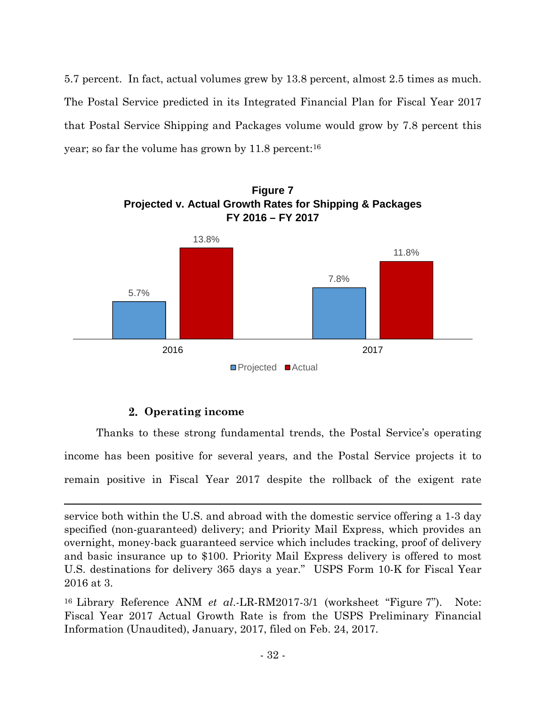5.7 percent. In fact, actual volumes grew by 13.8 percent, almost 2.5 times as much. The Postal Service predicted in its Integrated Financial Plan for Fiscal Year 2017 that Postal Service Shipping and Packages volume would grow by 7.8 percent this year; so far the volume has grown by 11.8 percent:<sup>16</sup>



### **Operating income**

Thanks to these strong fundamental trends, the Postal Service's operating income has been positive for several years, and the Postal Service projects it to remain positive in Fiscal Year 2017 despite the rollback of the exigent rate

<sup>16</sup> Library Reference ANM *et al*.-LR-RM2017-3/1 (worksheet "Figure 7"). Note: Fiscal Year 2017 Actual Growth Rate is from the USPS Preliminary Financial Information (Unaudited), January, 2017, filed on Feb. 24, 2017.

service both within the U.S. and abroad with the domestic service offering a 1-3 day specified (non-guaranteed) delivery; and Priority Mail Express, which provides an overnight, money-back guaranteed service which includes tracking, proof of delivery and basic insurance up to \$100. Priority Mail Express delivery is offered to most U.S. destinations for delivery 365 days a year." USPS Form 10-K for Fiscal Year 2016 at 3.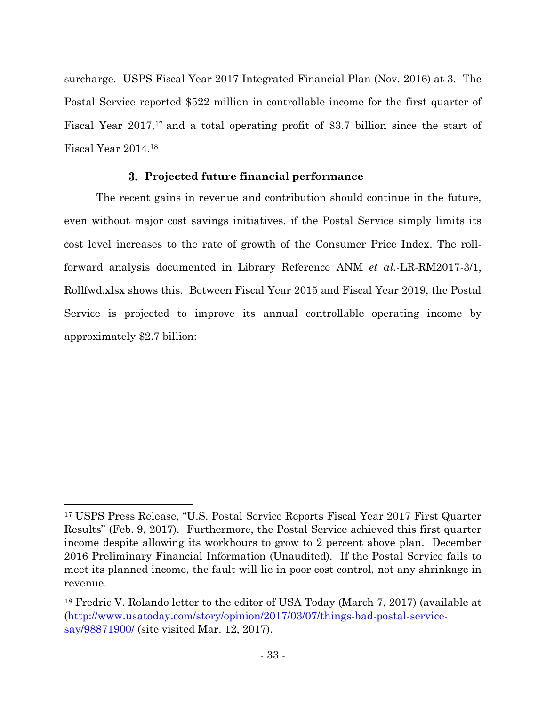surcharge. USPS Fiscal Year 2017 Integrated Financial Plan (Nov. 2016) at 3. The Postal Service reported \$522 million in controllable income for the first quarter of Fiscal Year 2017,<sup>17</sup> and a total operating profit of \$3.7 billion since the start of Fiscal Year 2014.<sup>18</sup>

### **Projected future financial performance**

The recent gains in revenue and contribution should continue in the future, even without major cost savings initiatives, if the Postal Service simply limits its cost level increases to the rate of growth of the Consumer Price Index. The rollforward analysis documented in Library Reference ANM *et al.-*LR-RM2017-3/1, Rollfwd.xlsx shows this. Between Fiscal Year 2015 and Fiscal Year 2019, the Postal Service is projected to improve its annual controllable operating income by approximately \$2.7 billion:

<sup>17</sup> USPS Press Release, "U.S. Postal Service Reports Fiscal Year 2017 First Quarter Results" (Feb. 9, 2017). Furthermore, the Postal Service achieved this first quarter income despite allowing its workhours to grow to 2 percent above plan. December 2016 Preliminary Financial Information (Unaudited). If the Postal Service fails to meet its planned income, the fault will lie in poor cost control, not any shrinkage in revenue.

<sup>18</sup> Fredric V. Rolando letter to the editor of USA Today (March 7, 2017) (available at (http://www.usatoday.com/story/opinion/2017/03/07/things-bad-postal-servicesay/98871900/ (site visited Mar. 12, 2017).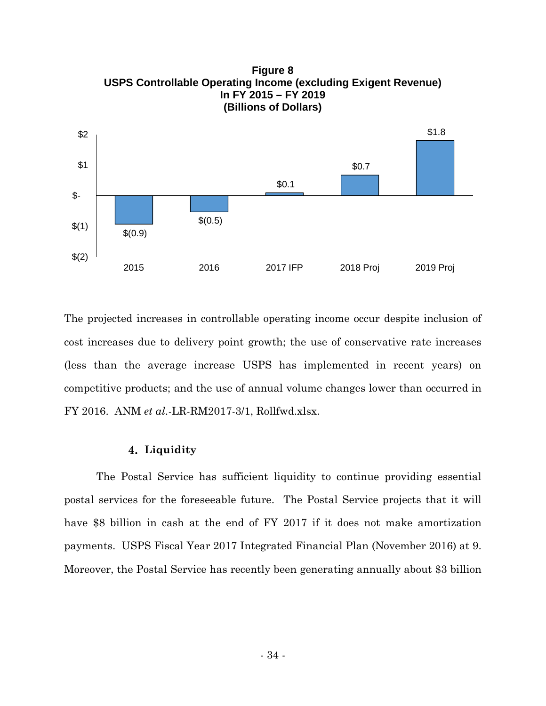

**Figure 8 USPS Controllable Operating Income (excluding Exigent Revenue) In FY 2015 – FY 2019 (Billions of Dollars)**

The projected increases in controllable operating income occur despite inclusion of cost increases due to delivery point growth; the use of conservative rate increases (less than the average increase USPS has implemented in recent years) on competitive products; and the use of annual volume changes lower than occurred in FY 2016. ANM *et al*.-LR-RM2017-3/1, Rollfwd.xlsx.

#### **Liquidity**

The Postal Service has sufficient liquidity to continue providing essential postal services for the foreseeable future. The Postal Service projects that it will have \$8 billion in cash at the end of FY 2017 if it does not make amortization payments. USPS Fiscal Year 2017 Integrated Financial Plan (November 2016) at 9. Moreover, the Postal Service has recently been generating annually about \$3 billion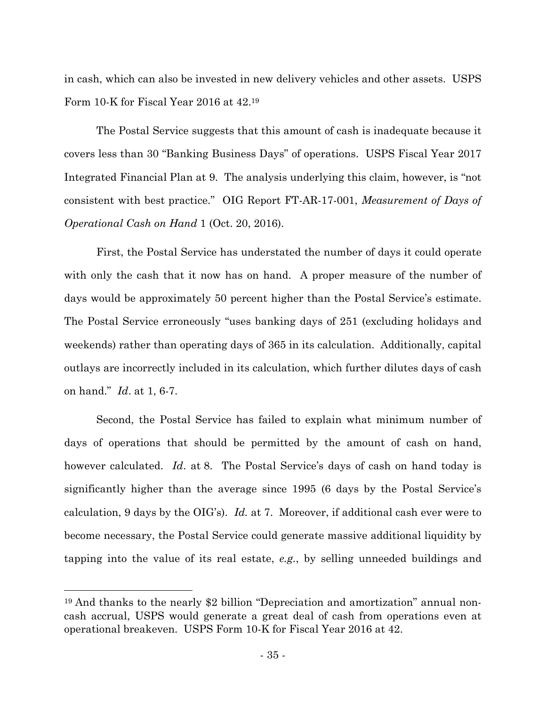in cash, which can also be invested in new delivery vehicles and other assets. USPS Form 10-K for Fiscal Year 2016 at 42.<sup>19</sup>

The Postal Service suggests that this amount of cash is inadequate because it covers less than 30 "Banking Business Days" of operations. USPS Fiscal Year 2017 Integrated Financial Plan at 9. The analysis underlying this claim, however, is "not consistent with best practice." OIG Report FT-AR-17-001, *Measurement of Days of Operational Cash on Hand* 1 (Oct. 20, 2016).

First, the Postal Service has understated the number of days it could operate with only the cash that it now has on hand. A proper measure of the number of days would be approximately 50 percent higher than the Postal Service's estimate. The Postal Service erroneously "uses banking days of 251 (excluding holidays and weekends) rather than operating days of 365 in its calculation. Additionally, capital outlays are incorrectly included in its calculation, which further dilutes days of cash on hand." *Id*. at 1, 6-7.

Second, the Postal Service has failed to explain what minimum number of days of operations that should be permitted by the amount of cash on hand, however calculated. *Id*. at 8. The Postal Service's days of cash on hand today is significantly higher than the average since 1995 (6 days by the Postal Service's calculation, 9 days by the OIG's). *Id.* at 7. Moreover, if additional cash ever were to become necessary, the Postal Service could generate massive additional liquidity by tapping into the value of its real estate, *e.g.*, by selling unneeded buildings and

<sup>19</sup> And thanks to the nearly \$2 billion "Depreciation and amortization" annual noncash accrual, USPS would generate a great deal of cash from operations even at operational breakeven. USPS Form 10-K for Fiscal Year 2016 at 42.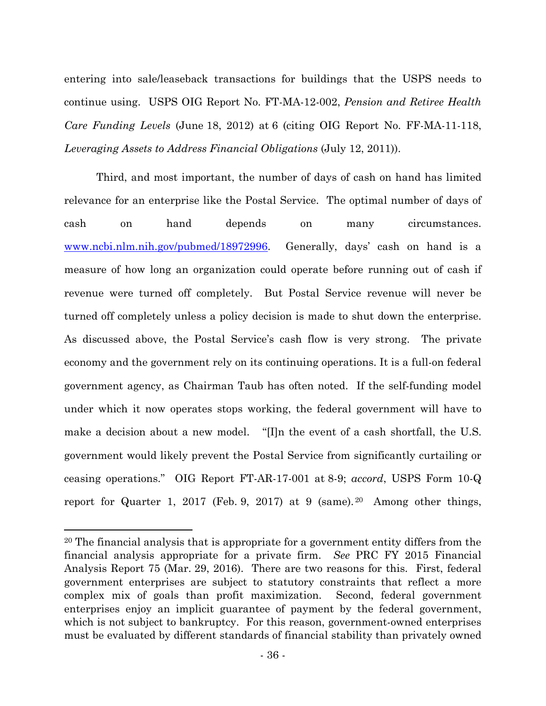entering into sale/leaseback transactions for buildings that the USPS needs to continue using. USPS OIG Report No. FT-MA-12-002, *Pension and Retiree Health Care Funding Levels* (June 18, 2012) at 6 (citing OIG Report No. FF-MA-11-118, *Leveraging Assets to Address Financial Obligations* (July 12, 2011)).

Third, and most important, the number of days of cash on hand has limited relevance for an enterprise like the Postal Service. The optimal number of days of cash on hand depends on many circumstances. www.ncbi.nlm.nih.gov/pubmed/18972996. Generally, days' cash on hand is a measure of how long an organization could operate before running out of cash if revenue were turned off completely. But Postal Service revenue will never be turned off completely unless a policy decision is made to shut down the enterprise. As discussed above, the Postal Service's cash flow is very strong. The private economy and the government rely on its continuing operations. It is a full-on federal government agency, as Chairman Taub has often noted. If the self-funding model under which it now operates stops working, the federal government will have to make a decision about a new model. "[I]n the event of a cash shortfall, the U.S. government would likely prevent the Postal Service from significantly curtailing or ceasing operations." OIG Report FT-AR-17-001 at 8-9; *accord*, USPS Form 10-Q report for Quarter 1, 2017 (Feb. 9, 2017) at 9 (same). <sup>20</sup> Among other things,

<sup>20</sup> The financial analysis that is appropriate for a government entity differs from the financial analysis appropriate for a private firm. *See* PRC FY 2015 Financial Analysis Report 75 (Mar. 29, 2016). There are two reasons for this. First, federal government enterprises are subject to statutory constraints that reflect a more complex mix of goals than profit maximization. Second, federal government enterprises enjoy an implicit guarantee of payment by the federal government, which is not subject to bankruptcy. For this reason, government-owned enterprises must be evaluated by different standards of financial stability than privately owned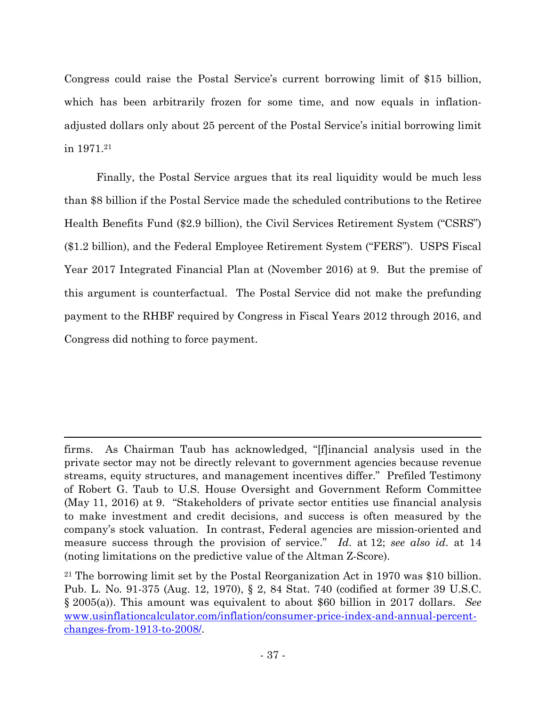Congress could raise the Postal Service's current borrowing limit of \$15 billion, which has been arbitrarily frozen for some time, and now equals in inflationadjusted dollars only about 25 percent of the Postal Service's initial borrowing limit in 1971.<sup>21</sup>

Finally, the Postal Service argues that its real liquidity would be much less than \$8 billion if the Postal Service made the scheduled contributions to the Retiree Health Benefits Fund (\$2.9 billion), the Civil Services Retirement System ("CSRS") (\$1.2 billion), and the Federal Employee Retirement System ("FERS"). USPS Fiscal Year 2017 Integrated Financial Plan at (November 2016) at 9. But the premise of this argument is counterfactual. The Postal Service did not make the prefunding payment to the RHBF required by Congress in Fiscal Years 2012 through 2016, and Congress did nothing to force payment.

firms. As Chairman Taub has acknowledged, "[f]inancial analysis used in the private sector may not be directly relevant to government agencies because revenue streams, equity structures, and management incentives differ." Prefiled Testimony of Robert G. Taub to U.S. House Oversight and Government Reform Committee (May 11, 2016) at 9. "Stakeholders of private sector entities use financial analysis to make investment and credit decisions, and success is often measured by the company's stock valuation. In contrast, Federal agencies are mission-oriented and measure success through the provision of service." *Id*. at 12; *see also id*. at 14 (noting limitations on the predictive value of the Altman Z-Score).

<sup>21</sup> The borrowing limit set by the Postal Reorganization Act in 1970 was \$10 billion. Pub. L. No. 91-375 (Aug. 12, 1970), § 2, 84 Stat. 740 (codified at former 39 U.S.C. § 2005(a)). This amount was equivalent to about \$60 billion in 2017 dollars. *See* www.usinflationcalculator.com/inflation/consumer-price-index-and-annual-percentchanges-from-1913-to-2008/.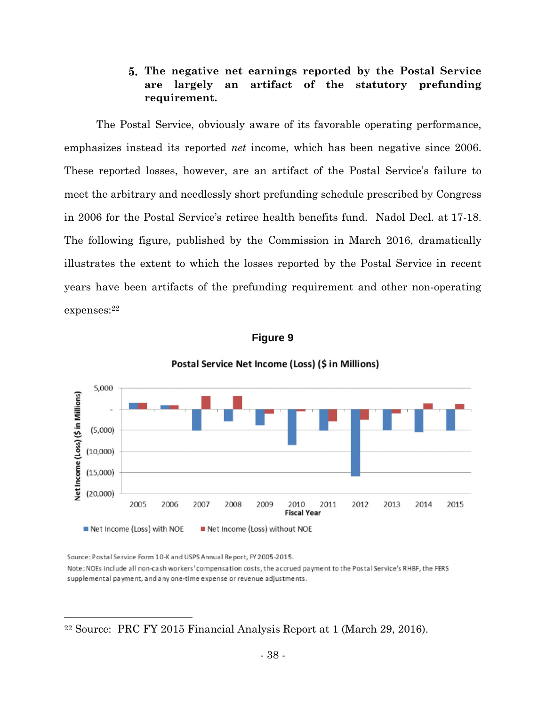### **The negative net earnings reported by the Postal Service are largely an artifact of the statutory prefunding requirement.**

The Postal Service, obviously aware of its favorable operating performance, emphasizes instead its reported *net* income, which has been negative since 2006. These reported losses, however, are an artifact of the Postal Service's failure to meet the arbitrary and needlessly short prefunding schedule prescribed by Congress in 2006 for the Postal Service's retiree health benefits fund. Nadol Decl. at 17-18. The following figure, published by the Commission in March 2016, dramatically illustrates the extent to which the losses reported by the Postal Service in recent years have been artifacts of the prefunding requirement and other non-operating expenses:<sup>22</sup>



# **Figure 9**

#### Postal Service Net Income (Loss) (\$ in Millions)

Source: Postal Service Form 10-K and USPS Annual Report, FY 2005-2015.

Note: NOEs include all non-cash workers' compensation costs, the accrued payment to the Postal Service's RHBF, the FERS supplemental payment, and any one-time expense or revenue adjustments.

<sup>22</sup> Source: PRC FY 2015 Financial Analysis Report at 1 (March 29, 2016).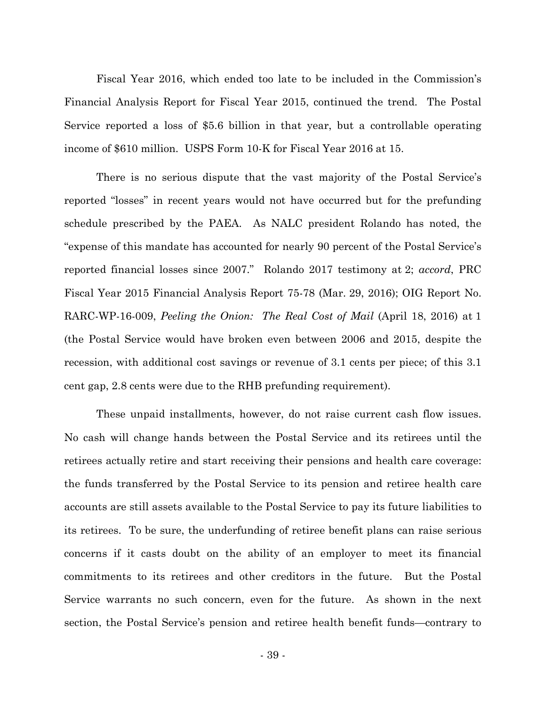Fiscal Year 2016, which ended too late to be included in the Commission's Financial Analysis Report for Fiscal Year 2015, continued the trend. The Postal Service reported a loss of \$5.6 billion in that year, but a controllable operating income of \$610 million. USPS Form 10-K for Fiscal Year 2016 at 15.

There is no serious dispute that the vast majority of the Postal Service's reported "losses" in recent years would not have occurred but for the prefunding schedule prescribed by the PAEA. As NALC president Rolando has noted, the "expense of this mandate has accounted for nearly 90 percent of the Postal Service's reported financial losses since 2007." Rolando 2017 testimony at 2; *accord*, PRC Fiscal Year 2015 Financial Analysis Report 75-78 (Mar. 29, 2016); OIG Report No. RARC-WP-16-009, *Peeling the Onion: The Real Cost of Mail* (April 18, 2016) at 1 (the Postal Service would have broken even between 2006 and 2015, despite the recession, with additional cost savings or revenue of 3.1 cents per piece; of this 3.1 cent gap, 2.8 cents were due to the RHB prefunding requirement).

These unpaid installments, however, do not raise current cash flow issues. No cash will change hands between the Postal Service and its retirees until the retirees actually retire and start receiving their pensions and health care coverage: the funds transferred by the Postal Service to its pension and retiree health care accounts are still assets available to the Postal Service to pay its future liabilities to its retirees. To be sure, the underfunding of retiree benefit plans can raise serious concerns if it casts doubt on the ability of an employer to meet its financial commitments to its retirees and other creditors in the future. But the Postal Service warrants no such concern, even for the future. As shown in the next section, the Postal Service's pension and retiree health benefit funds—contrary to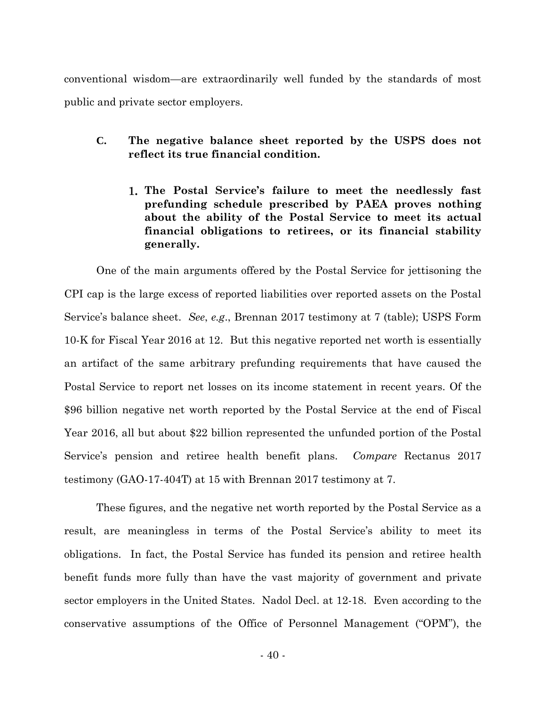conventional wisdom—are extraordinarily well funded by the standards of most public and private sector employers.

- **C. The negative balance sheet reported by the USPS does not reflect its true financial condition.**
	- **The Postal Service's failure to meet the needlessly fast prefunding schedule prescribed by PAEA proves nothing about the ability of the Postal Service to meet its actual financial obligations to retirees, or its financial stability generally.**

One of the main arguments offered by the Postal Service for jettisoning the CPI cap is the large excess of reported liabilities over reported assets on the Postal Service's balance sheet. *See*, *e.g*., Brennan 2017 testimony at 7 (table); USPS Form 10-K for Fiscal Year 2016 at 12. But this negative reported net worth is essentially an artifact of the same arbitrary prefunding requirements that have caused the Postal Service to report net losses on its income statement in recent years. Of the \$96 billion negative net worth reported by the Postal Service at the end of Fiscal Year 2016, all but about \$22 billion represented the unfunded portion of the Postal Service's pension and retiree health benefit plans. *Compare* Rectanus 2017 testimony (GAO-17-404T) at 15 with Brennan 2017 testimony at 7.

These figures, and the negative net worth reported by the Postal Service as a result, are meaningless in terms of the Postal Service's ability to meet its obligations. In fact, the Postal Service has funded its pension and retiree health benefit funds more fully than have the vast majority of government and private sector employers in the United States. Nadol Decl. at 12-18. Even according to the conservative assumptions of the Office of Personnel Management ("OPM"), the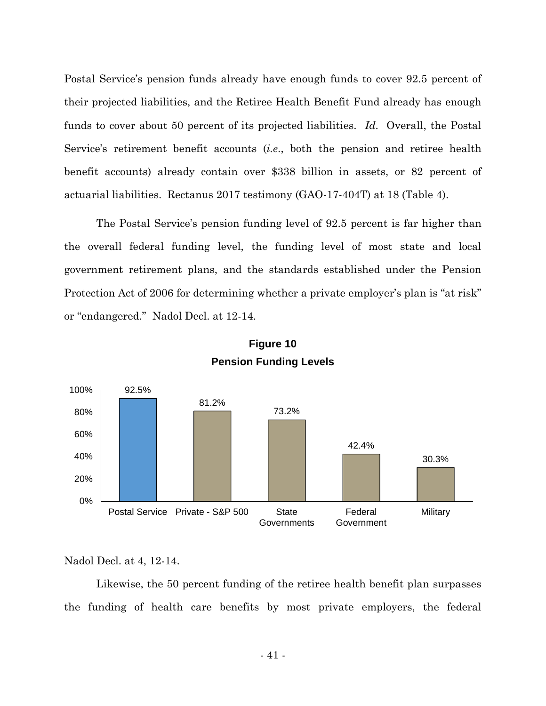Postal Service's pension funds already have enough funds to cover 92.5 percent of their projected liabilities, and the Retiree Health Benefit Fund already has enough funds to cover about 50 percent of its projected liabilities. *Id*. Overall, the Postal Service's retirement benefit accounts (*i.e*., both the pension and retiree health benefit accounts) already contain over \$338 billion in assets, or 82 percent of actuarial liabilities. Rectanus 2017 testimony (GAO-17-404T) at 18 (Table 4).

The Postal Service's pension funding level of 92.5 percent is far higher than the overall federal funding level, the funding level of most state and local government retirement plans, and the standards established under the Pension Protection Act of 2006 for determining whether a private employer's plan is "at risk" or "endangered." Nadol Decl. at 12-14.



# **Figure 10 Pension Funding Levels**

Nadol Decl. at 4, 12-14.

Likewise, the 50 percent funding of the retiree health benefit plan surpasses the funding of health care benefits by most private employers, the federal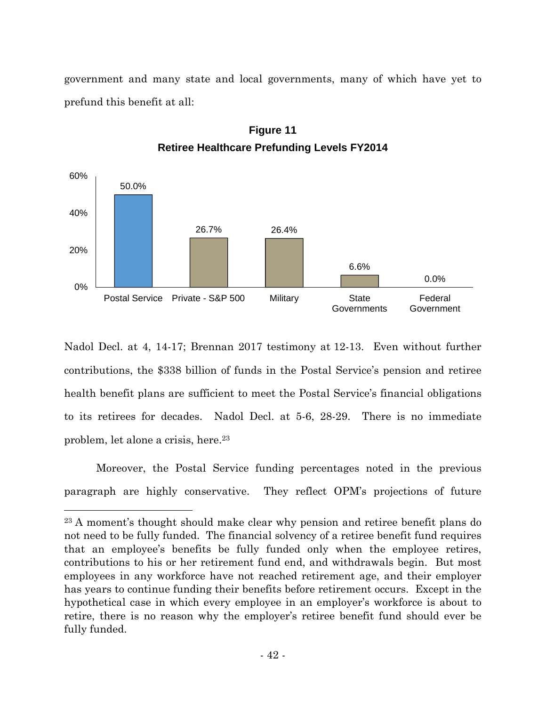government and many state and local governments, many of which have yet to prefund this benefit at all:



**Figure 11 Retiree Healthcare Prefunding Levels FY2014**

Nadol Decl. at 4, 14-17; Brennan 2017 testimony at 12-13. Even without further contributions, the \$338 billion of funds in the Postal Service's pension and retiree health benefit plans are sufficient to meet the Postal Service's financial obligations to its retirees for decades. Nadol Decl. at 5-6, 28-29. There is no immediate problem, let alone a crisis, here.<sup>23</sup>

Moreover, the Postal Service funding percentages noted in the previous paragraph are highly conservative. They reflect OPM's projections of future

<sup>23</sup> A moment's thought should make clear why pension and retiree benefit plans do not need to be fully funded. The financial solvency of a retiree benefit fund requires that an employee's benefits be fully funded only when the employee retires, contributions to his or her retirement fund end, and withdrawals begin. But most employees in any workforce have not reached retirement age, and their employer has years to continue funding their benefits before retirement occurs. Except in the hypothetical case in which every employee in an employer's workforce is about to retire, there is no reason why the employer's retiree benefit fund should ever be fully funded.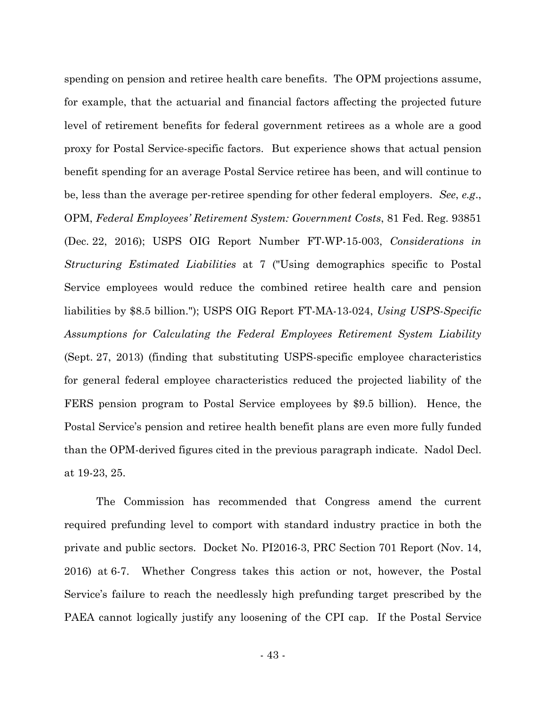spending on pension and retiree health care benefits. The OPM projections assume, for example, that the actuarial and financial factors affecting the projected future level of retirement benefits for federal government retirees as a whole are a good proxy for Postal Service-specific factors. But experience shows that actual pension benefit spending for an average Postal Service retiree has been, and will continue to be, less than the average per-retiree spending for other federal employers. *See*, *e.g*., OPM, *Federal Employees' Retirement System: Government Costs*, 81 Fed. Reg. 93851 (Dec. 22, 2016); USPS OIG Report Number FT-WP-15-003, *Considerations in Structuring Estimated Liabilities* at 7 ("Using demographics specific to Postal Service employees would reduce the combined retiree health care and pension liabilities by \$8.5 billion."); USPS OIG Report FT-MA-13-024, *Using USPS-Specific Assumptions for Calculating the Federal Employees Retirement System Liability* (Sept. 27, 2013) (finding that substituting USPS-specific employee characteristics for general federal employee characteristics reduced the projected liability of the FERS pension program to Postal Service employees by \$9.5 billion). Hence, the Postal Service's pension and retiree health benefit plans are even more fully funded than the OPM-derived figures cited in the previous paragraph indicate. Nadol Decl. at 19-23, 25.

The Commission has recommended that Congress amend the current required prefunding level to comport with standard industry practice in both the private and public sectors. Docket No. PI2016-3, PRC Section 701 Report (Nov. 14, 2016) at 6-7. Whether Congress takes this action or not, however, the Postal Service's failure to reach the needlessly high prefunding target prescribed by the PAEA cannot logically justify any loosening of the CPI cap. If the Postal Service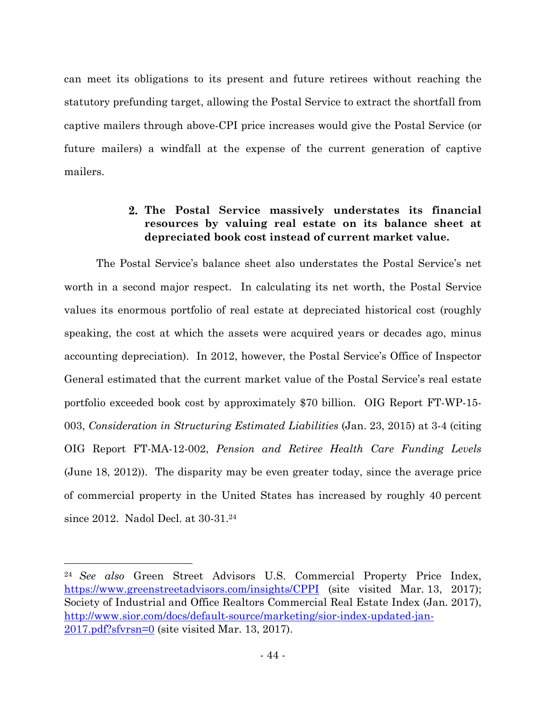can meet its obligations to its present and future retirees without reaching the statutory prefunding target, allowing the Postal Service to extract the shortfall from captive mailers through above-CPI price increases would give the Postal Service (or future mailers) a windfall at the expense of the current generation of captive mailers.

## **The Postal Service massively understates its financial resources by valuing real estate on its balance sheet at depreciated book cost instead of current market value.**

The Postal Service's balance sheet also understates the Postal Service's net worth in a second major respect. In calculating its net worth, the Postal Service values its enormous portfolio of real estate at depreciated historical cost (roughly speaking, the cost at which the assets were acquired years or decades ago, minus accounting depreciation). In 2012, however, the Postal Service's Office of Inspector General estimated that the current market value of the Postal Service's real estate portfolio exceeded book cost by approximately \$70 billion. OIG Report FT-WP-15- 003, *Consideration in Structuring Estimated Liabilities* (Jan. 23, 2015) at 3-4 (citing OIG Report FT-MA-12-002, *Pension and Retiree Health Care Funding Levels* (June 18, 2012)). The disparity may be even greater today, since the average price of commercial property in the United States has increased by roughly 40 percent since 2012. Nadol Decl. at 30-31.<sup>24</sup>

<sup>24</sup> *See also* Green Street Advisors U.S. Commercial Property Price Index, https://www.greenstreetadvisors.com/insights/CPPI (site visited Mar. 13, 2017); Society of Industrial and Office Realtors Commercial Real Estate Index (Jan. 2017), http://www.sior.com/docs/default-source/marketing/sior-index-updated-jan-2017.pdf?sfvrsn=0 (site visited Mar. 13, 2017).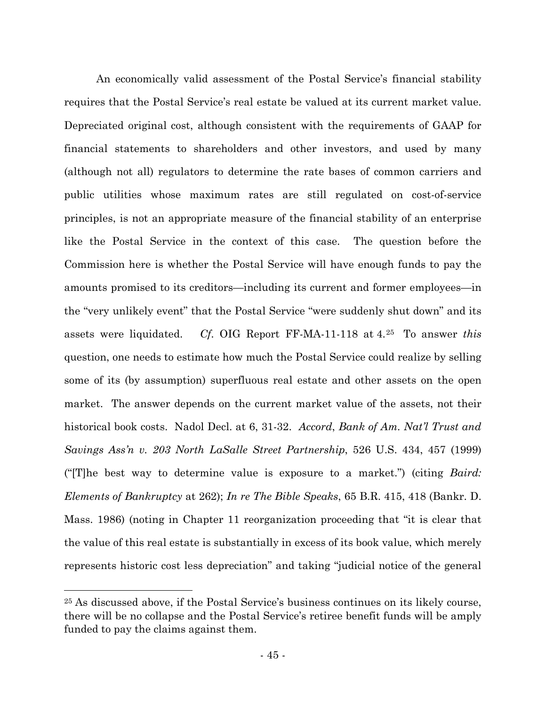An economically valid assessment of the Postal Service's financial stability requires that the Postal Service's real estate be valued at its current market value. Depreciated original cost, although consistent with the requirements of GAAP for financial statements to shareholders and other investors, and used by many (although not all) regulators to determine the rate bases of common carriers and public utilities whose maximum rates are still regulated on cost-of-service principles, is not an appropriate measure of the financial stability of an enterprise like the Postal Service in the context of this case. The question before the Commission here is whether the Postal Service will have enough funds to pay the amounts promised to its creditors—including its current and former employees—in the "very unlikely event" that the Postal Service "were suddenly shut down" and its assets were liquidated. *Cf*. OIG Report FF-MA-11-118 at 4.<sup>25</sup> To answer *this* question, one needs to estimate how much the Postal Service could realize by selling some of its (by assumption) superfluous real estate and other assets on the open market. The answer depends on the current market value of the assets, not their historical book costs. Nadol Decl. at 6, 31-32. *Accord*, *Bank of Am. Nat'l Trust and Savings Ass'n v. 203 North LaSalle Street Partnership*, 526 U.S. 434, 457 (1999) ("[T]he best way to determine value is exposure to a market.") (citing *Baird: Elements of Bankruptcy* at 262); *In re The Bible Speaks*, 65 B.R. 415, 418 (Bankr. D. Mass. 1986) (noting in Chapter 11 reorganization proceeding that "it is clear that the value of this real estate is substantially in excess of its book value, which merely represents historic cost less depreciation" and taking "judicial notice of the general

<sup>25</sup> As discussed above, if the Postal Service's business continues on its likely course, there will be no collapse and the Postal Service's retiree benefit funds will be amply funded to pay the claims against them.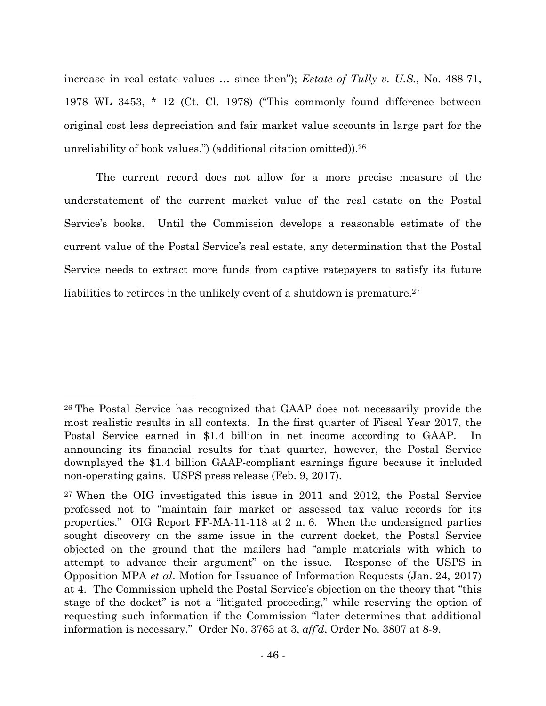increase in real estate values … since then"); *Estate of Tully v. U.S.*, No. 488-71, 1978 WL 3453, \* 12 (Ct. Cl. 1978) ("This commonly found difference between original cost less depreciation and fair market value accounts in large part for the unreliability of book values.") (additional citation omitted)).<sup>26</sup>

The current record does not allow for a more precise measure of the understatement of the current market value of the real estate on the Postal Service's books. Until the Commission develops a reasonable estimate of the current value of the Postal Service's real estate, any determination that the Postal Service needs to extract more funds from captive ratepayers to satisfy its future liabilities to retirees in the unlikely event of a shutdown is premature.<sup>27</sup>

<sup>26</sup> The Postal Service has recognized that GAAP does not necessarily provide the most realistic results in all contexts. In the first quarter of Fiscal Year 2017, the Postal Service earned in \$1.4 billion in net income according to GAAP. In announcing its financial results for that quarter, however, the Postal Service downplayed the \$1.4 billion GAAP-compliant earnings figure because it included non-operating gains. USPS press release (Feb. 9, 2017).

<sup>&</sup>lt;sup>27</sup> When the OIG investigated this issue in 2011 and 2012, the Postal Service professed not to "maintain fair market or assessed tax value records for its properties." OIG Report FF-MA-11-118 at 2 n. 6. When the undersigned parties sought discovery on the same issue in the current docket, the Postal Service objected on the ground that the mailers had "ample materials with which to attempt to advance their argument" on the issue. Response of the USPS in Opposition MPA *et al*. Motion for Issuance of Information Requests (Jan. 24, 2017) at 4. The Commission upheld the Postal Service's objection on the theory that "this stage of the docket" is not a "litigated proceeding," while reserving the option of requesting such information if the Commission "later determines that additional information is necessary." Order No. 3763 at 3, *aff'd*, Order No. 3807 at 8-9.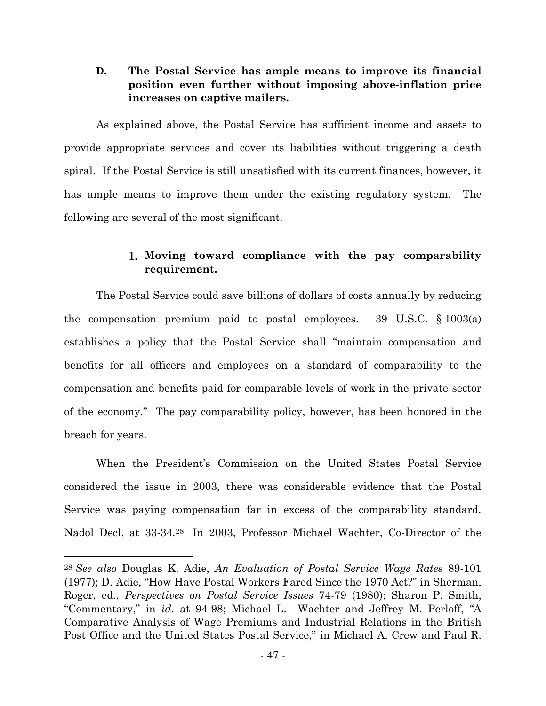### **D. The Postal Service has ample means to improve its financial position even further without imposing above-inflation price increases on captive mailers.**

As explained above, the Postal Service has sufficient income and assets to provide appropriate services and cover its liabilities without triggering a death spiral. If the Postal Service is still unsatisfied with its current finances, however, it has ample means to improve them under the existing regulatory system. The following are several of the most significant.

### **Moving toward compliance with the pay comparability requirement.**

The Postal Service could save billions of dollars of costs annually by reducing the compensation premium paid to postal employees. 39 U.S.C. § 1003(a) establishes a policy that the Postal Service shall "maintain compensation and benefits for all officers and employees on a standard of comparability to the compensation and benefits paid for comparable levels of work in the private sector of the economy." The pay comparability policy, however, has been honored in the breach for years.

When the President's Commission on the United States Postal Service considered the issue in 2003, there was considerable evidence that the Postal Service was paying compensation far in excess of the comparability standard. Nadol Decl. at 33-34.<sup>28</sup> In 2003, Professor Michael Wachter, Co-Director of the

<sup>28</sup> *See also* Douglas K. Adie, *An Evaluation of Postal Service Wage Rates* 89-101 (1977); D. Adie, "How Have Postal Workers Fared Since the 1970 Act?" in Sherman, Roger, ed., *Perspectives on Postal Service Issues* 74-79 (1980); Sharon P. Smith, "Commentary," in *id*. at 94-98; Michael L. Wachter and Jeffrey M. Perloff, "A Comparative Analysis of Wage Premiums and Industrial Relations in the British Post Office and the United States Postal Service," in Michael A. Crew and Paul R.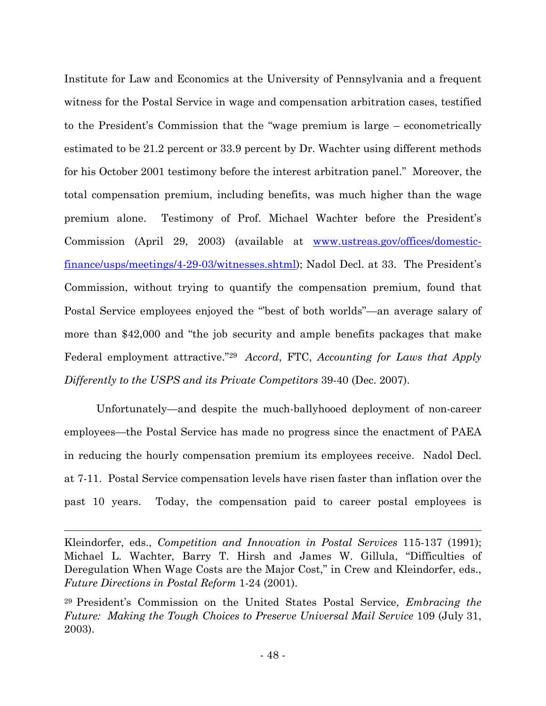Institute for Law and Economics at the University of Pennsylvania and a frequent witness for the Postal Service in wage and compensation arbitration cases, testified to the President's Commission that the "wage premium is large – econometrically estimated to be 21.2 percent or 33.9 percent by Dr. Wachter using different methods for his October 2001 testimony before the interest arbitration panel." Moreover, the total compensation premium, including benefits, was much higher than the wage premium alone. Testimony of Prof. Michael Wachter before the President's Commission (April 29, 2003) (available at www.ustreas.gov/offices/domesticfinance/usps/meetings/4-29-03/witnesses.shtml); Nadol Decl. at 33. The President's Commission, without trying to quantify the compensation premium, found that Postal Service employees enjoyed the "'best of both worlds"—an average salary of more than \$42,000 and "the job security and ample benefits packages that make Federal employment attractive."<sup>29</sup> *Accord*, FTC, *Accounting for Laws that Apply Differently to the USPS and its Private Competitors* 39-40 (Dec. 2007).

Unfortunately—and despite the much-ballyhooed deployment of non-career employees—the Postal Service has made no progress since the enactment of PAEA in reducing the hourly compensation premium its employees receive. Nadol Decl. at 7-11. Postal Service compensation levels have risen faster than inflation over the past 10 years. Today, the compensation paid to career postal employees is

Kleindorfer, eds., *Competition and Innovation in Postal Services* 115-137 (1991); Michael L. Wachter, Barry T. Hirsh and James W. Gillula, "Difficulties of Deregulation When Wage Costs are the Major Cost," in Crew and Kleindorfer, eds., *Future Directions in Postal Reform* 1-24 (2001).

<sup>29</sup> President's Commission on the United States Postal Service, *Embracing the Future: Making the Tough Choices to Preserve Universal Mail Service* 109 (July 31, 2003).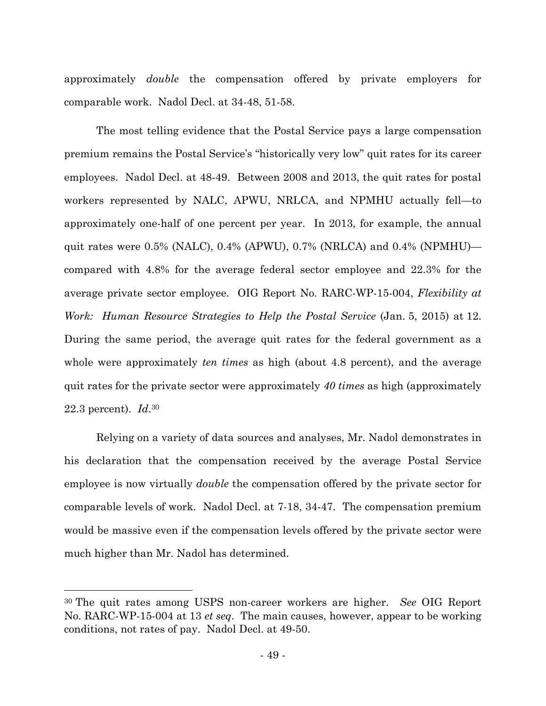approximately *double* the compensation offered by private employers for comparable work. Nadol Decl. at 34-48, 51-58.

The most telling evidence that the Postal Service pays a large compensation premium remains the Postal Service's "historically very low" quit rates for its career employees. Nadol Decl. at 48-49. Between 2008 and 2013, the quit rates for postal workers represented by NALC, APWU, NRLCA, and NPMHU actually fell—to approximately one-half of one percent per year. In 2013, for example, the annual quit rates were 0.5% (NALC), 0.4% (APWU), 0.7% (NRLCA) and 0.4% (NPMHU) compared with 4.8% for the average federal sector employee and 22.3% for the average private sector employee. OIG Report No. RARC-WP-15-004, *Flexibility at Work: Human Resource Strategies to Help the Postal Service* (Jan. 5, 2015) at 12. During the same period, the average quit rates for the federal government as a whole were approximately *ten times* as high (about 4.8 percent), and the average quit rates for the private sector were approximately *40 times* as high (approximately 22.3 percent). *Id*. 30

Relying on a variety of data sources and analyses, Mr. Nadol demonstrates in his declaration that the compensation received by the average Postal Service employee is now virtually *double* the compensation offered by the private sector for comparable levels of work. Nadol Decl. at 7-18, 34-47. The compensation premium would be massive even if the compensation levels offered by the private sector were much higher than Mr. Nadol has determined.

<sup>30</sup> The quit rates among USPS non-career workers are higher. *See* OIG Report No. RARC-WP-15-004 at 13 *et seq*. The main causes, however, appear to be working conditions, not rates of pay. Nadol Decl. at 49-50.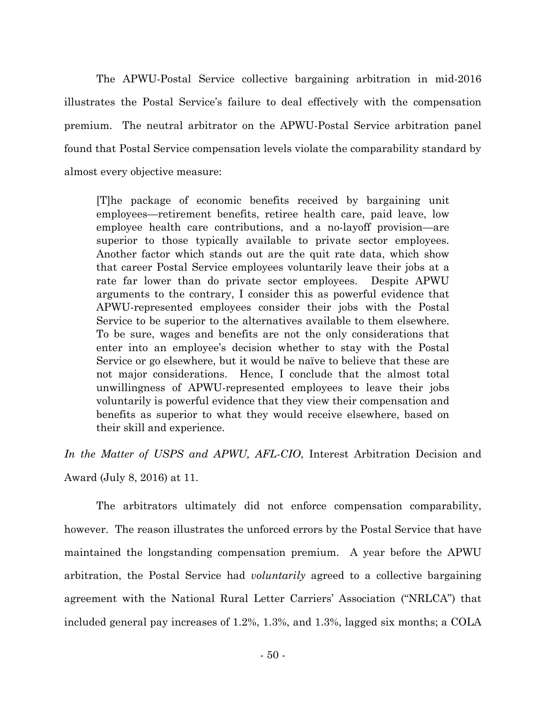The APWU-Postal Service collective bargaining arbitration in mid-2016 illustrates the Postal Service's failure to deal effectively with the compensation premium. The neutral arbitrator on the APWU-Postal Service arbitration panel found that Postal Service compensation levels violate the comparability standard by almost every objective measure:

[T]he package of economic benefits received by bargaining unit employees—retirement benefits, retiree health care, paid leave, low employee health care contributions, and a no-layoff provision—are superior to those typically available to private sector employees. Another factor which stands out are the quit rate data, which show that career Postal Service employees voluntarily leave their jobs at a rate far lower than do private sector employees. Despite APWU arguments to the contrary, I consider this as powerful evidence that APWU-represented employees consider their jobs with the Postal Service to be superior to the alternatives available to them elsewhere. To be sure, wages and benefits are not the only considerations that enter into an employee's decision whether to stay with the Postal Service or go elsewhere, but it would be naïve to believe that these are not major considerations. Hence, I conclude that the almost total unwillingness of APWU-represented employees to leave their jobs voluntarily is powerful evidence that they view their compensation and benefits as superior to what they would receive elsewhere, based on their skill and experience.

*In the Matter of USPS and APWU, AFL-CIO*, Interest Arbitration Decision and Award (July 8, 2016) at 11.

The arbitrators ultimately did not enforce compensation comparability, however. The reason illustrates the unforced errors by the Postal Service that have maintained the longstanding compensation premium. A year before the APWU arbitration, the Postal Service had *voluntarily* agreed to a collective bargaining agreement with the National Rural Letter Carriers' Association ("NRLCA") that included general pay increases of 1.2%, 1.3%, and 1.3%, lagged six months; a COLA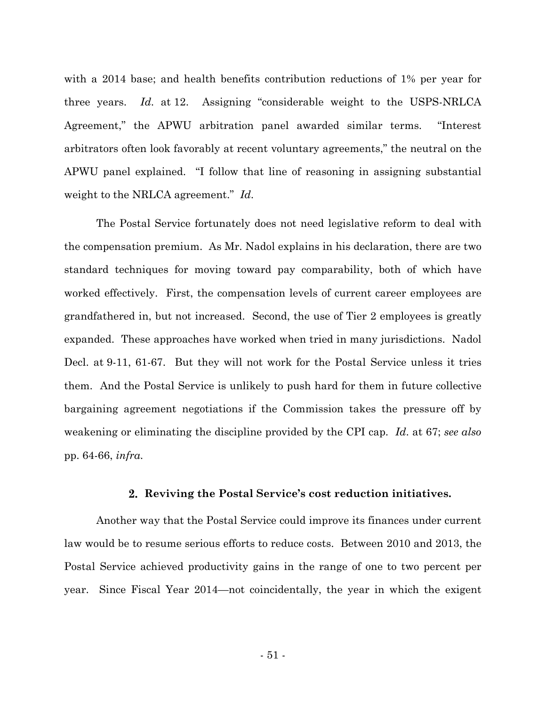with a 2014 base; and health benefits contribution reductions of 1% per year for three years. *Id*. at 12. Assigning "considerable weight to the USPS-NRLCA Agreement," the APWU arbitration panel awarded similar terms. "Interest arbitrators often look favorably at recent voluntary agreements," the neutral on the APWU panel explained. "I follow that line of reasoning in assigning substantial weight to the NRLCA agreement." *Id*.

The Postal Service fortunately does not need legislative reform to deal with the compensation premium. As Mr. Nadol explains in his declaration, there are two standard techniques for moving toward pay comparability, both of which have worked effectively. First, the compensation levels of current career employees are grandfathered in, but not increased. Second, the use of Tier 2 employees is greatly expanded. These approaches have worked when tried in many jurisdictions. Nadol Decl. at 9-11, 61-67. But they will not work for the Postal Service unless it tries them. And the Postal Service is unlikely to push hard for them in future collective bargaining agreement negotiations if the Commission takes the pressure off by weakening or eliminating the discipline provided by the CPI cap. *Id*. at 67; *see also* pp. 64-66, *infra*.

#### **Reviving the Postal Service's cost reduction initiatives.**

Another way that the Postal Service could improve its finances under current law would be to resume serious efforts to reduce costs. Between 2010 and 2013, the Postal Service achieved productivity gains in the range of one to two percent per year. Since Fiscal Year 2014—not coincidentally, the year in which the exigent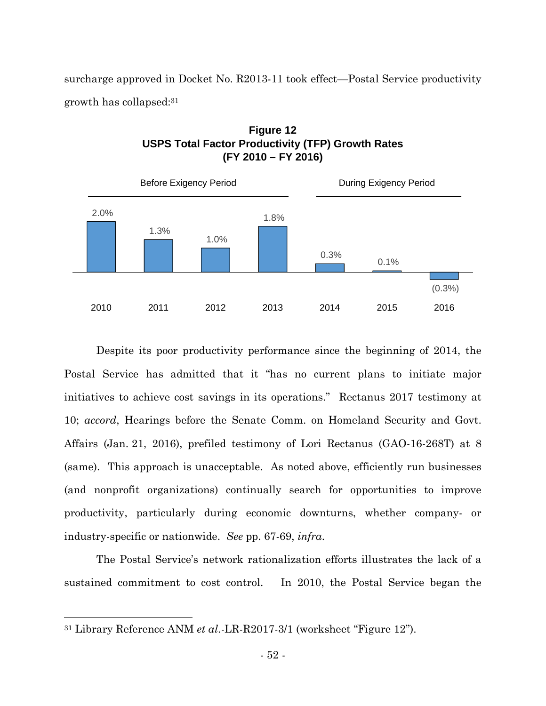surcharge approved in Docket No. R2013-11 took effect—Postal Service productivity growth has collapsed:<sup>31</sup>





Despite its poor productivity performance since the beginning of 2014, the Postal Service has admitted that it "has no current plans to initiate major initiatives to achieve cost savings in its operations." Rectanus 2017 testimony at 10; *accord*, Hearings before the Senate Comm. on Homeland Security and Govt. Affairs (Jan. 21, 2016), prefiled testimony of Lori Rectanus (GAO-16-268T) at 8 (same). This approach is unacceptable. As noted above, efficiently run businesses (and nonprofit organizations) continually search for opportunities to improve productivity, particularly during economic downturns, whether company- or industry-specific or nationwide. *See* pp. 67-69, *infra*.

The Postal Service's network rationalization efforts illustrates the lack of a sustained commitment to cost control. In 2010, the Postal Service began the

<sup>31</sup> Library Reference ANM *et al*.-LR-R2017-3/1 (worksheet "Figure 12").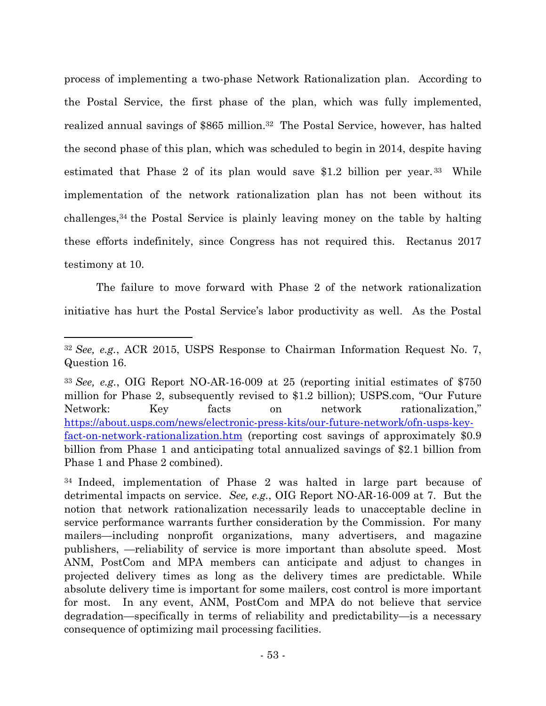process of implementing a two-phase Network Rationalization plan. According to the Postal Service, the first phase of the plan, which was fully implemented, realized annual savings of \$865 million.<sup>32</sup> The Postal Service, however, has halted the second phase of this plan, which was scheduled to begin in 2014, despite having estimated that Phase 2 of its plan would save \$1.2 billion per year. <sup>33</sup> While implementation of the network rationalization plan has not been without its challenges,<sup>34</sup> the Postal Service is plainly leaving money on the table by halting these efforts indefinitely, since Congress has not required this. Rectanus 2017 testimony at 10.

The failure to move forward with Phase 2 of the network rationalization initiative has hurt the Postal Service's labor productivity as well. As the Postal

<sup>32</sup> *See, e.g.*, ACR 2015, USPS Response to Chairman Information Request No. 7, Question 16.

<sup>33</sup> *See, e.g.*, OIG Report NO-AR-16-009 at 25 (reporting initial estimates of \$750 million for Phase 2, subsequently revised to \$1.2 billion); USPS.com, "Our Future Network: Key facts on network rationalization," https://about.usps.com/news/electronic-press-kits/our-future-network/ofn-usps-keyfact-on-network-rationalization.htm (reporting cost savings of approximately \$0.9 billion from Phase 1 and anticipating total annualized savings of \$2.1 billion from Phase 1 and Phase 2 combined).

<sup>34</sup> Indeed, implementation of Phase 2 was halted in large part because of detrimental impacts on service. *See, e.g.*, OIG Report NO-AR-16-009 at 7. But the notion that network rationalization necessarily leads to unacceptable decline in service performance warrants further consideration by the Commission. For many mailers—including nonprofit organizations, many advertisers, and magazine publishers, —reliability of service is more important than absolute speed. Most ANM, PostCom and MPA members can anticipate and adjust to changes in projected delivery times as long as the delivery times are predictable. While absolute delivery time is important for some mailers, cost control is more important for most. In any event, ANM, PostCom and MPA do not believe that service degradation—specifically in terms of reliability and predictability—is a necessary consequence of optimizing mail processing facilities.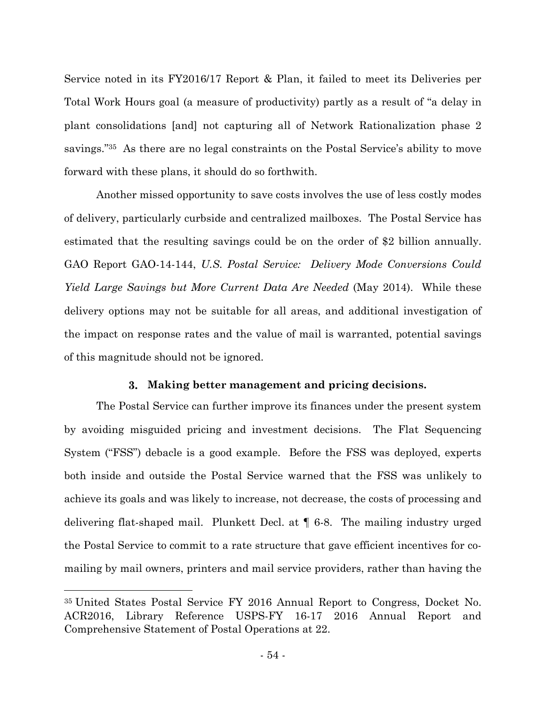Service noted in its FY2016/17 Report & Plan, it failed to meet its Deliveries per Total Work Hours goal (a measure of productivity) partly as a result of "a delay in plant consolidations [and] not capturing all of Network Rationalization phase 2 savings."<sup>35</sup> As there are no legal constraints on the Postal Service's ability to move forward with these plans, it should do so forthwith.

Another missed opportunity to save costs involves the use of less costly modes of delivery, particularly curbside and centralized mailboxes. The Postal Service has estimated that the resulting savings could be on the order of \$2 billion annually. GAO Report GAO-14-144, *U.S. Postal Service: Delivery Mode Conversions Could Yield Large Savings but More Current Data Are Needed* (May 2014). While these delivery options may not be suitable for all areas, and additional investigation of the impact on response rates and the value of mail is warranted, potential savings of this magnitude should not be ignored.

#### **Making better management and pricing decisions.**

The Postal Service can further improve its finances under the present system by avoiding misguided pricing and investment decisions. The Flat Sequencing System ("FSS") debacle is a good example. Before the FSS was deployed, experts both inside and outside the Postal Service warned that the FSS was unlikely to achieve its goals and was likely to increase, not decrease, the costs of processing and delivering flat-shaped mail. Plunkett Decl. at ¶ 6-8. The mailing industry urged the Postal Service to commit to a rate structure that gave efficient incentives for comailing by mail owners, printers and mail service providers, rather than having the

<sup>35</sup> United States Postal Service FY 2016 Annual Report to Congress, Docket No. ACR2016, Library Reference USPS-FY 16-17 2016 Annual Report and Comprehensive Statement of Postal Operations at 22.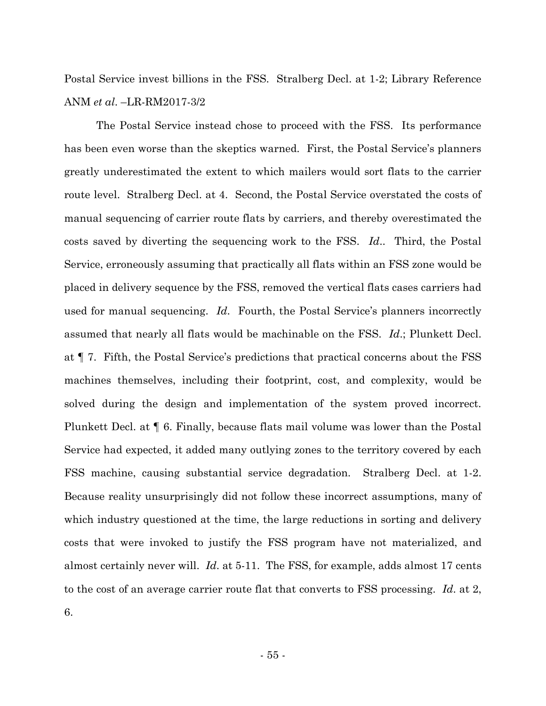Postal Service invest billions in the FSS. Stralberg Decl. at 1-2; Library Reference ANM *et al*. –LR-RM2017-3/2

The Postal Service instead chose to proceed with the FSS. Its performance has been even worse than the skeptics warned. First, the Postal Service's planners greatly underestimated the extent to which mailers would sort flats to the carrier route level. Stralberg Decl. at 4. Second, the Postal Service overstated the costs of manual sequencing of carrier route flats by carriers, and thereby overestimated the costs saved by diverting the sequencing work to the FSS. *Id*.. Third, the Postal Service, erroneously assuming that practically all flats within an FSS zone would be placed in delivery sequence by the FSS, removed the vertical flats cases carriers had used for manual sequencing. *Id*. Fourth, the Postal Service's planners incorrectly assumed that nearly all flats would be machinable on the FSS. *Id*.; Plunkett Decl. at ¶ 7. Fifth, the Postal Service's predictions that practical concerns about the FSS machines themselves, including their footprint, cost, and complexity, would be solved during the design and implementation of the system proved incorrect. Plunkett Decl. at ¶ 6. Finally, because flats mail volume was lower than the Postal Service had expected, it added many outlying zones to the territory covered by each FSS machine, causing substantial service degradation. Stralberg Decl. at 1-2. Because reality unsurprisingly did not follow these incorrect assumptions, many of which industry questioned at the time, the large reductions in sorting and delivery costs that were invoked to justify the FSS program have not materialized, and almost certainly never will. *Id*. at 5-11. The FSS, for example, adds almost 17 cents to the cost of an average carrier route flat that converts to FSS processing. *Id*. at 2, 6.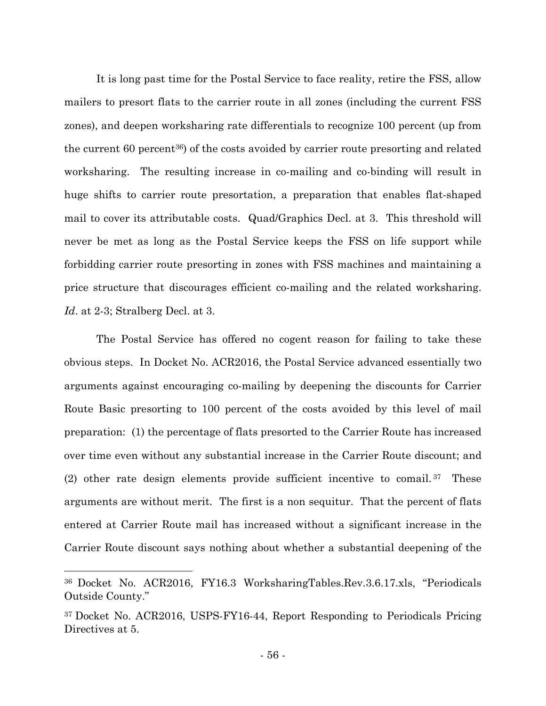It is long past time for the Postal Service to face reality, retire the FSS, allow mailers to presort flats to the carrier route in all zones (including the current FSS zones), and deepen worksharing rate differentials to recognize 100 percent (up from the current 60 percent36) of the costs avoided by carrier route presorting and related worksharing. The resulting increase in co-mailing and co-binding will result in huge shifts to carrier route presortation, a preparation that enables flat-shaped mail to cover its attributable costs. Quad/Graphics Decl. at 3. This threshold will never be met as long as the Postal Service keeps the FSS on life support while forbidding carrier route presorting in zones with FSS machines and maintaining a price structure that discourages efficient co-mailing and the related worksharing. *Id*. at 2-3; Stralberg Decl. at 3.

The Postal Service has offered no cogent reason for failing to take these obvious steps. In Docket No. ACR2016, the Postal Service advanced essentially two arguments against encouraging co-mailing by deepening the discounts for Carrier Route Basic presorting to 100 percent of the costs avoided by this level of mail preparation: (1) the percentage of flats presorted to the Carrier Route has increased over time even without any substantial increase in the Carrier Route discount; and (2) other rate design elements provide sufficient incentive to comail. <sup>37</sup> These arguments are without merit. The first is a non sequitur. That the percent of flats entered at Carrier Route mail has increased without a significant increase in the Carrier Route discount says nothing about whether a substantial deepening of the

<sup>36</sup> Docket No. ACR2016, FY16.3 WorksharingTables.Rev.3.6.17.xls, "Periodicals Outside County."

<sup>37</sup> Docket No. ACR2016, USPS-FY16-44, Report Responding to Periodicals Pricing Directives at 5.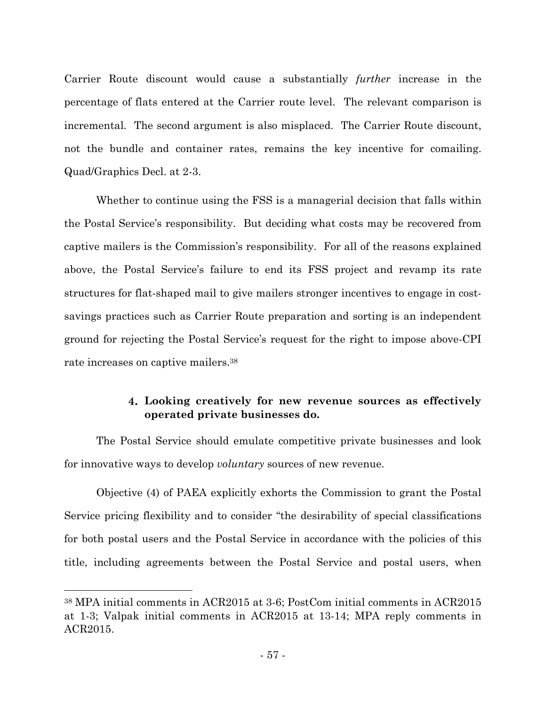Carrier Route discount would cause a substantially *further* increase in the percentage of flats entered at the Carrier route level. The relevant comparison is incremental*.* The second argument is also misplaced. The Carrier Route discount, not the bundle and container rates, remains the key incentive for comailing. Quad/Graphics Decl. at 2-3.

Whether to continue using the FSS is a managerial decision that falls within the Postal Service's responsibility. But deciding what costs may be recovered from captive mailers is the Commission's responsibility. For all of the reasons explained above, the Postal Service's failure to end its FSS project and revamp its rate structures for flat-shaped mail to give mailers stronger incentives to engage in costsavings practices such as Carrier Route preparation and sorting is an independent ground for rejecting the Postal Service's request for the right to impose above-CPI rate increases on captive mailers.<sup>38</sup>

## **Looking creatively for new revenue sources as effectively operated private businesses do.**

The Postal Service should emulate competitive private businesses and look for innovative ways to develop *voluntary* sources of new revenue.

Objective (4) of PAEA explicitly exhorts the Commission to grant the Postal Service pricing flexibility and to consider "the desirability of special classifications for both postal users and the Postal Service in accordance with the policies of this title, including agreements between the Postal Service and postal users, when

<sup>38</sup> MPA initial comments in ACR2015 at 3-6; PostCom initial comments in ACR2015 at 1-3; Valpak initial comments in ACR2015 at 13-14; MPA reply comments in ACR2015.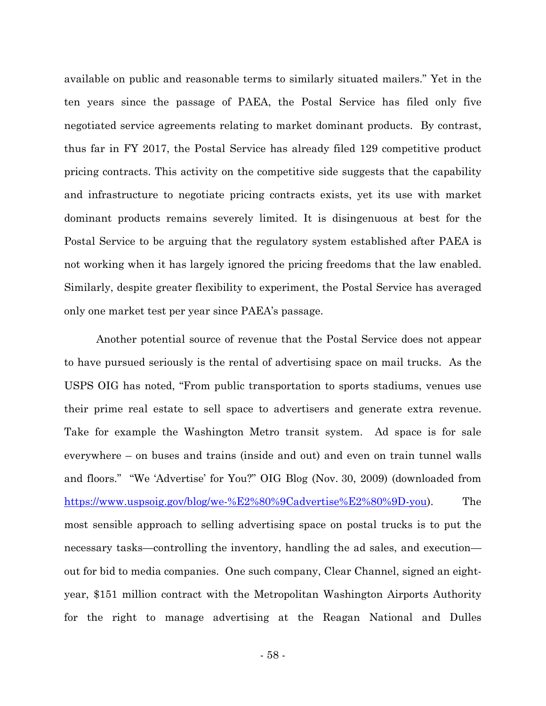available on public and reasonable terms to similarly situated mailers." Yet in the ten years since the passage of PAEA, the Postal Service has filed only five negotiated service agreements relating to market dominant products. By contrast, thus far in FY 2017, the Postal Service has already filed 129 competitive product pricing contracts. This activity on the competitive side suggests that the capability and infrastructure to negotiate pricing contracts exists, yet its use with market dominant products remains severely limited. It is disingenuous at best for the Postal Service to be arguing that the regulatory system established after PAEA is not working when it has largely ignored the pricing freedoms that the law enabled. Similarly, despite greater flexibility to experiment, the Postal Service has averaged only one market test per year since PAEA's passage.

Another potential source of revenue that the Postal Service does not appear to have pursued seriously is the rental of advertising space on mail trucks. As the USPS OIG has noted, "From public transportation to sports stadiums, venues use their prime real estate to sell space to advertisers and generate extra revenue. Take for example the Washington Metro transit system. Ad space is for sale everywhere – on buses and trains (inside and out) and even on train tunnel walls and floors." "We 'Advertise' for You?" OIG Blog (Nov. 30, 2009) (downloaded from https://www.uspsoig.gov/blog/we-%E2%80%9Cadvertise%E2%80%9D-you). The most sensible approach to selling advertising space on postal trucks is to put the necessary tasks—controlling the inventory, handling the ad sales, and execution out for bid to media companies. One such company, Clear Channel, signed an eightyear, \$151 million contract with the Metropolitan Washington Airports Authority for the right to manage advertising at the Reagan National and Dulles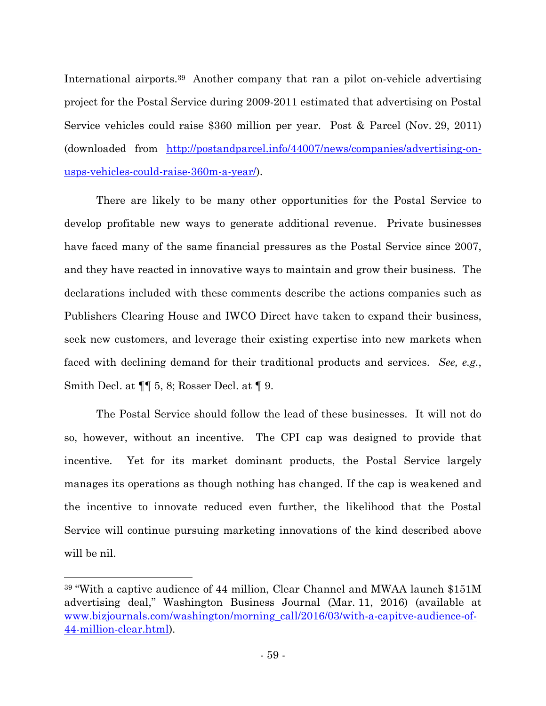International airports.<sup>39</sup> Another company that ran a pilot on-vehicle advertising project for the Postal Service during 2009-2011 estimated that advertising on Postal Service vehicles could raise \$360 million per year. Post & Parcel (Nov. 29, 2011) (downloaded from http://postandparcel.info/44007/news/companies/advertising-onusps-vehicles-could-raise-360m-a-year/).

There are likely to be many other opportunities for the Postal Service to develop profitable new ways to generate additional revenue. Private businesses have faced many of the same financial pressures as the Postal Service since 2007, and they have reacted in innovative ways to maintain and grow their business. The declarations included with these comments describe the actions companies such as Publishers Clearing House and IWCO Direct have taken to expand their business, seek new customers, and leverage their existing expertise into new markets when faced with declining demand for their traditional products and services. *See, e.g.*, Smith Decl. at ¶¶ 5, 8; Rosser Decl. at ¶ 9.

The Postal Service should follow the lead of these businesses. It will not do so, however, without an incentive. The CPI cap was designed to provide that incentive. Yet for its market dominant products, the Postal Service largely manages its operations as though nothing has changed. If the cap is weakened and the incentive to innovate reduced even further, the likelihood that the Postal Service will continue pursuing marketing innovations of the kind described above will be nil.

<sup>39</sup> "With a captive audience of 44 million, Clear Channel and MWAA launch \$151M advertising deal," Washington Business Journal (Mar. 11, 2016) (available at www.bizjournals.com/washington/morning\_call/2016/03/with-a-capitve-audience-of-44-million-clear.html).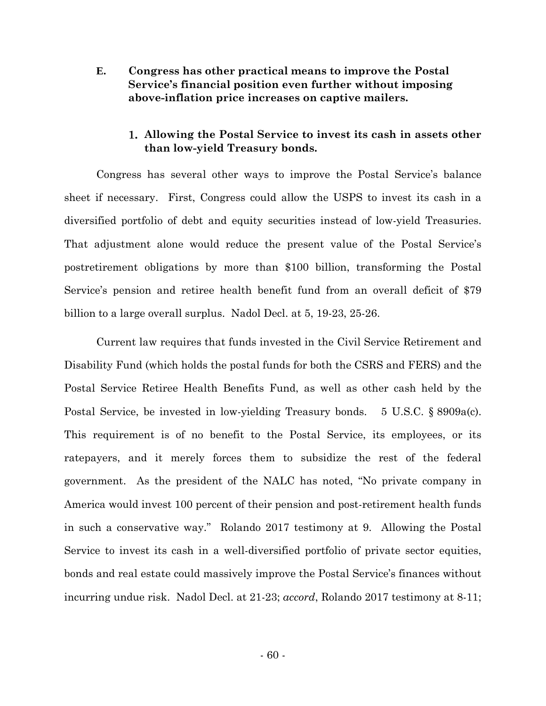**E. Congress has other practical means to improve the Postal Service's financial position even further without imposing above-inflation price increases on captive mailers.**

### **Allowing the Postal Service to invest its cash in assets other than low-yield Treasury bonds.**

Congress has several other ways to improve the Postal Service's balance sheet if necessary. First, Congress could allow the USPS to invest its cash in a diversified portfolio of debt and equity securities instead of low-yield Treasuries. That adjustment alone would reduce the present value of the Postal Service's postretirement obligations by more than \$100 billion, transforming the Postal Service's pension and retiree health benefit fund from an overall deficit of \$79 billion to a large overall surplus. Nadol Decl. at 5, 19-23, 25-26.

Current law requires that funds invested in the Civil Service Retirement and Disability Fund (which holds the postal funds for both the CSRS and FERS) and the Postal Service Retiree Health Benefits Fund, as well as other cash held by the Postal Service, be invested in low-yielding Treasury bonds. 5 U.S.C. § 8909a(c). This requirement is of no benefit to the Postal Service, its employees, or its ratepayers, and it merely forces them to subsidize the rest of the federal government. As the president of the NALC has noted, "No private company in America would invest 100 percent of their pension and post-retirement health funds in such a conservative way." Rolando 2017 testimony at 9. Allowing the Postal Service to invest its cash in a well-diversified portfolio of private sector equities, bonds and real estate could massively improve the Postal Service's finances without incurring undue risk. Nadol Decl. at 21-23; *accord*, Rolando 2017 testimony at 8-11;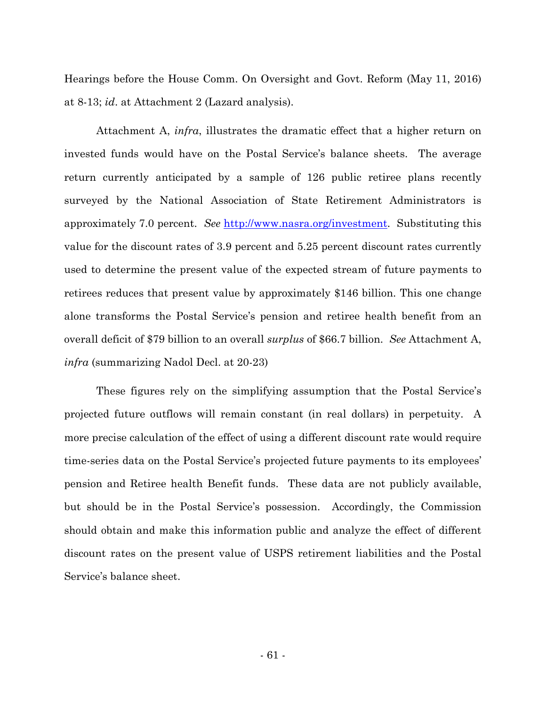Hearings before the House Comm. On Oversight and Govt. Reform (May 11, 2016) at 8-13; *id*. at Attachment 2 (Lazard analysis).

Attachment A, *infra*, illustrates the dramatic effect that a higher return on invested funds would have on the Postal Service's balance sheets. The average return currently anticipated by a sample of 126 public retiree plans recently surveyed by the National Association of State Retirement Administrators is approximately 7.0 percent. *See* http://www.nasra.org/investment. Substituting this value for the discount rates of 3.9 percent and 5.25 percent discount rates currently used to determine the present value of the expected stream of future payments to retirees reduces that present value by approximately \$146 billion. This one change alone transforms the Postal Service's pension and retiree health benefit from an overall deficit of \$79 billion to an overall *surplus* of \$66.7 billion. *See* Attachment A, *infra* (summarizing Nadol Decl. at 20-23)

These figures rely on the simplifying assumption that the Postal Service's projected future outflows will remain constant (in real dollars) in perpetuity. A more precise calculation of the effect of using a different discount rate would require time-series data on the Postal Service's projected future payments to its employees' pension and Retiree health Benefit funds. These data are not publicly available, but should be in the Postal Service's possession. Accordingly, the Commission should obtain and make this information public and analyze the effect of different discount rates on the present value of USPS retirement liabilities and the Postal Service's balance sheet.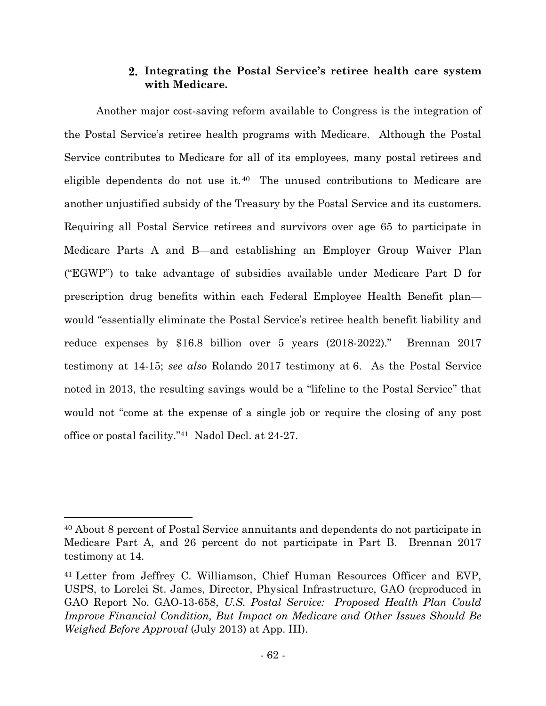### **Integrating the Postal Service's retiree health care system with Medicare.**

Another major cost-saving reform available to Congress is the integration of the Postal Service's retiree health programs with Medicare. Although the Postal Service contributes to Medicare for all of its employees, many postal retirees and eligible dependents do not use it.<sup>40</sup> The unused contributions to Medicare are another unjustified subsidy of the Treasury by the Postal Service and its customers. Requiring all Postal Service retirees and survivors over age 65 to participate in Medicare Parts A and B—and establishing an Employer Group Waiver Plan ("EGWP") to take advantage of subsidies available under Medicare Part D for prescription drug benefits within each Federal Employee Health Benefit plan would "essentially eliminate the Postal Service's retiree health benefit liability and reduce expenses by \$16.8 billion over 5 years (2018-2022)." Brennan 2017 testimony at 14-15; *see also* Rolando 2017 testimony at 6. As the Postal Service noted in 2013, the resulting savings would be a "lifeline to the Postal Service" that would not "come at the expense of a single job or require the closing of any post office or postal facility."<sup>41</sup> Nadol Decl. at 24-27.

<sup>40</sup> About 8 percent of Postal Service annuitants and dependents do not participate in Medicare Part A, and 26 percent do not participate in Part B. Brennan 2017 testimony at 14.

<sup>41</sup> Letter from Jeffrey C. Williamson, Chief Human Resources Officer and EVP, USPS, to Lorelei St. James, Director, Physical Infrastructure, GAO (reproduced in GAO Report No. GAO-13-658, *U.S. Postal Service: Proposed Health Plan Could Improve Financial Condition, But Impact on Medicare and Other Issues Should Be Weighed Before Approval* (July 2013) at App. III).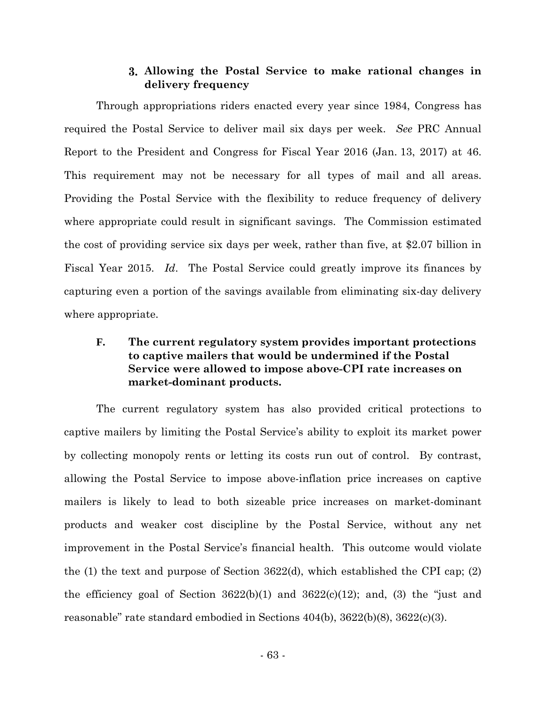### **Allowing the Postal Service to make rational changes in delivery frequency**

Through appropriations riders enacted every year since 1984, Congress has required the Postal Service to deliver mail six days per week. *See* PRC Annual Report to the President and Congress for Fiscal Year 2016 (Jan. 13, 2017) at 46. This requirement may not be necessary for all types of mail and all areas. Providing the Postal Service with the flexibility to reduce frequency of delivery where appropriate could result in significant savings. The Commission estimated the cost of providing service six days per week, rather than five, at \$2.07 billion in Fiscal Year 2015. *Id*. The Postal Service could greatly improve its finances by capturing even a portion of the savings available from eliminating six-day delivery where appropriate.

## **F. The current regulatory system provides important protections to captive mailers that would be undermined if the Postal Service were allowed to impose above-CPI rate increases on market-dominant products.**

The current regulatory system has also provided critical protections to captive mailers by limiting the Postal Service's ability to exploit its market power by collecting monopoly rents or letting its costs run out of control. By contrast, allowing the Postal Service to impose above-inflation price increases on captive mailers is likely to lead to both sizeable price increases on market-dominant products and weaker cost discipline by the Postal Service, without any net improvement in the Postal Service's financial health. This outcome would violate the (1) the text and purpose of Section 3622(d), which established the CPI cap; (2) the efficiency goal of Section  $3622(b)(1)$  and  $3622(c)(12)$ ; and, (3) the "just and reasonable" rate standard embodied in Sections 404(b), 3622(b)(8), 3622(c)(3).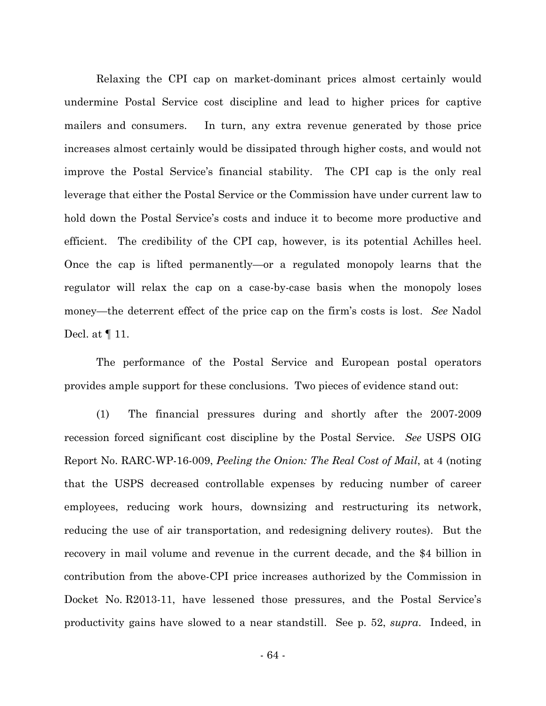Relaxing the CPI cap on market-dominant prices almost certainly would undermine Postal Service cost discipline and lead to higher prices for captive mailers and consumers. In turn, any extra revenue generated by those price increases almost certainly would be dissipated through higher costs, and would not improve the Postal Service's financial stability. The CPI cap is the only real leverage that either the Postal Service or the Commission have under current law to hold down the Postal Service's costs and induce it to become more productive and efficient. The credibility of the CPI cap, however, is its potential Achilles heel. Once the cap is lifted permanently—or a regulated monopoly learns that the regulator will relax the cap on a case-by-case basis when the monopoly loses money—the deterrent effect of the price cap on the firm's costs is lost. *See* Nadol Decl. at ¶ 11.

The performance of the Postal Service and European postal operators provides ample support for these conclusions. Two pieces of evidence stand out:

(1) The financial pressures during and shortly after the 2007-2009 recession forced significant cost discipline by the Postal Service. *See* USPS OIG Report No. RARC-WP-16-009, *Peeling the Onion: The Real Cost of Mail*, at 4 (noting that the USPS decreased controllable expenses by reducing number of career employees, reducing work hours, downsizing and restructuring its network, reducing the use of air transportation, and redesigning delivery routes). But the recovery in mail volume and revenue in the current decade, and the \$4 billion in contribution from the above-CPI price increases authorized by the Commission in Docket No. R2013-11, have lessened those pressures, and the Postal Service's productivity gains have slowed to a near standstill. See p. 52, *supra*. Indeed, in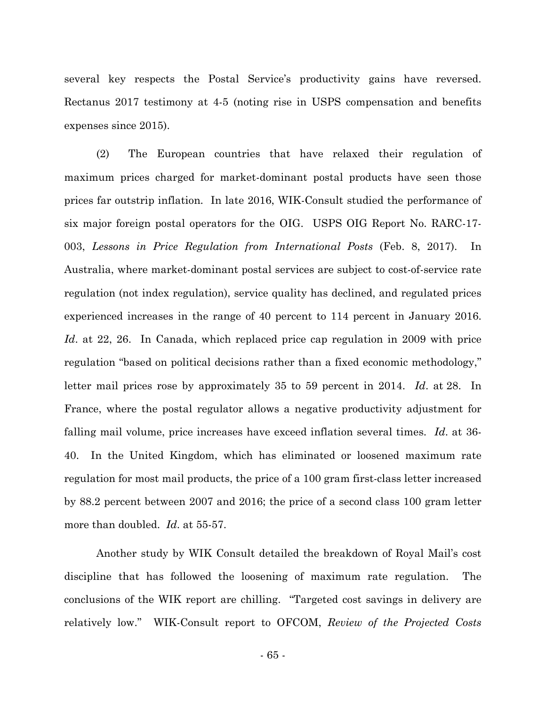several key respects the Postal Service's productivity gains have reversed. Rectanus 2017 testimony at 4-5 (noting rise in USPS compensation and benefits expenses since 2015).

(2) The European countries that have relaxed their regulation of maximum prices charged for market-dominant postal products have seen those prices far outstrip inflation. In late 2016, WIK-Consult studied the performance of six major foreign postal operators for the OIG. USPS OIG Report No. RARC-17- 003, *Lessons in Price Regulation from International Posts* (Feb. 8, 2017). In Australia, where market-dominant postal services are subject to cost-of-service rate regulation (not index regulation), service quality has declined, and regulated prices experienced increases in the range of 40 percent to 114 percent in January 2016. *Id*. at 22, 26. In Canada, which replaced price cap regulation in 2009 with price regulation "based on political decisions rather than a fixed economic methodology," letter mail prices rose by approximately 35 to 59 percent in 2014. *Id*. at 28. In France, where the postal regulator allows a negative productivity adjustment for falling mail volume, price increases have exceed inflation several times. *Id*. at 36- 40. In the United Kingdom, which has eliminated or loosened maximum rate regulation for most mail products, the price of a 100 gram first-class letter increased by 88.2 percent between 2007 and 2016; the price of a second class 100 gram letter more than doubled. *Id*. at 55-57.

Another study by WIK Consult detailed the breakdown of Royal Mail's cost discipline that has followed the loosening of maximum rate regulation. The conclusions of the WIK report are chilling. "Targeted cost savings in delivery are relatively low." WIK-Consult report to OFCOM, *Review of the Projected Costs*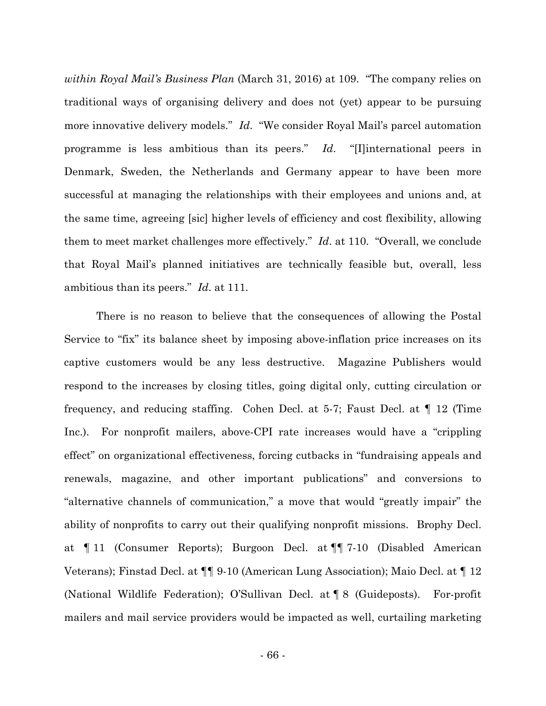*within Royal Mail's Business Plan* (March 31, 2016) at 109. "The company relies on traditional ways of organising delivery and does not (yet) appear to be pursuing more innovative delivery models." *Id*. "We consider Royal Mail's parcel automation programme is less ambitious than its peers." *Id*. "[I]international peers in Denmark, Sweden, the Netherlands and Germany appear to have been more successful at managing the relationships with their employees and unions and, at the same time, agreeing [sic] higher levels of efficiency and cost flexibility, allowing them to meet market challenges more effectively." *Id*. at 110. "Overall, we conclude that Royal Mail's planned initiatives are technically feasible but, overall, less ambitious than its peers." *Id*. at 111.

There is no reason to believe that the consequences of allowing the Postal Service to "fix" its balance sheet by imposing above-inflation price increases on its captive customers would be any less destructive. Magazine Publishers would respond to the increases by closing titles, going digital only, cutting circulation or frequency, and reducing staffing. Cohen Decl. at 5-7; Faust Decl. at ¶ 12 (Time Inc.). For nonprofit mailers, above-CPI rate increases would have a "crippling effect" on organizational effectiveness, forcing cutbacks in "fundraising appeals and renewals, magazine, and other important publications" and conversions to "alternative channels of communication," a move that would "greatly impair" the ability of nonprofits to carry out their qualifying nonprofit missions. Brophy Decl. at ¶ 11 (Consumer Reports); Burgoon Decl. at ¶¶ 7-10 (Disabled American Veterans); Finstad Decl. at ¶¶ 9-10 (American Lung Association); Maio Decl. at ¶ 12 (National Wildlife Federation); O'Sullivan Decl. at ¶ 8 (Guideposts). For-profit mailers and mail service providers would be impacted as well, curtailing marketing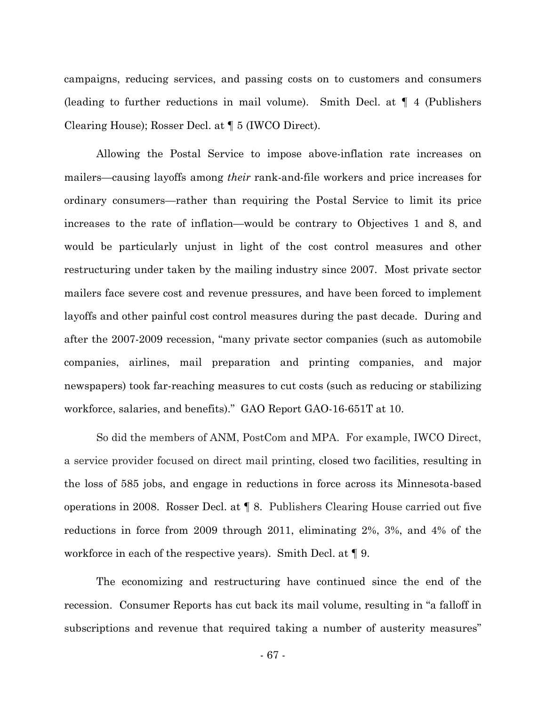campaigns, reducing services, and passing costs on to customers and consumers (leading to further reductions in mail volume). Smith Decl. at ¶ 4 (Publishers Clearing House); Rosser Decl. at ¶ 5 (IWCO Direct).

Allowing the Postal Service to impose above-inflation rate increases on mailers—causing layoffs among *their* rank-and-file workers and price increases for ordinary consumers—rather than requiring the Postal Service to limit its price increases to the rate of inflation—would be contrary to Objectives 1 and 8, and would be particularly unjust in light of the cost control measures and other restructuring under taken by the mailing industry since 2007. Most private sector mailers face severe cost and revenue pressures, and have been forced to implement layoffs and other painful cost control measures during the past decade. During and after the 2007-2009 recession, "many private sector companies (such as automobile companies, airlines, mail preparation and printing companies, and major newspapers) took far-reaching measures to cut costs (such as reducing or stabilizing workforce, salaries, and benefits)." GAO Report GAO-16-651T at 10.

So did the members of ANM, PostCom and MPA. For example, IWCO Direct, a service provider focused on direct mail printing, closed two facilities, resulting in the loss of 585 jobs, and engage in reductions in force across its Minnesota-based operations in 2008. Rosser Decl. at ¶ 8. Publishers Clearing House carried out five reductions in force from 2009 through 2011, eliminating 2%, 3%, and 4% of the workforce in each of the respective years). Smith Decl. at ¶ 9.

The economizing and restructuring have continued since the end of the recession. Consumer Reports has cut back its mail volume, resulting in "a falloff in subscriptions and revenue that required taking a number of austerity measures"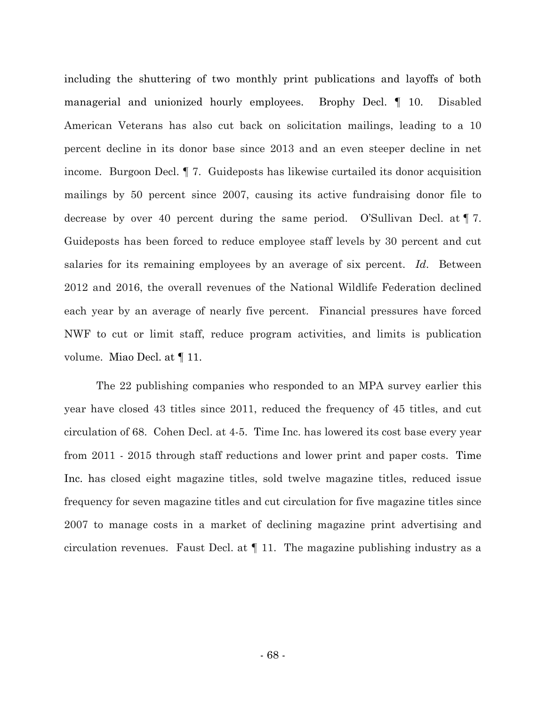including the shuttering of two monthly print publications and layoffs of both managerial and unionized hourly employees. Brophy Decl. ¶ 10. Disabled American Veterans has also cut back on solicitation mailings, leading to a 10 percent decline in its donor base since 2013 and an even steeper decline in net income. Burgoon Decl. ¶ 7. Guideposts has likewise curtailed its donor acquisition mailings by 50 percent since 2007, causing its active fundraising donor file to decrease by over 40 percent during the same period. O'Sullivan Decl. at ¶ 7. Guideposts has been forced to reduce employee staff levels by 30 percent and cut salaries for its remaining employees by an average of six percent. *Id*. Between 2012 and 2016, the overall revenues of the National Wildlife Federation declined each year by an average of nearly five percent. Financial pressures have forced NWF to cut or limit staff, reduce program activities, and limits is publication volume. Miao Decl. at ¶ 11.

The 22 publishing companies who responded to an MPA survey earlier this year have closed 43 titles since 2011, reduced the frequency of 45 titles, and cut circulation of 68. Cohen Decl. at 4-5. Time Inc. has lowered its cost base every year from 2011 - 2015 through staff reductions and lower print and paper costs. Time Inc. has closed eight magazine titles, sold twelve magazine titles, reduced issue frequency for seven magazine titles and cut circulation for five magazine titles since 2007 to manage costs in a market of declining magazine print advertising and circulation revenues. Faust Decl. at  $\P$  11. The magazine publishing industry as a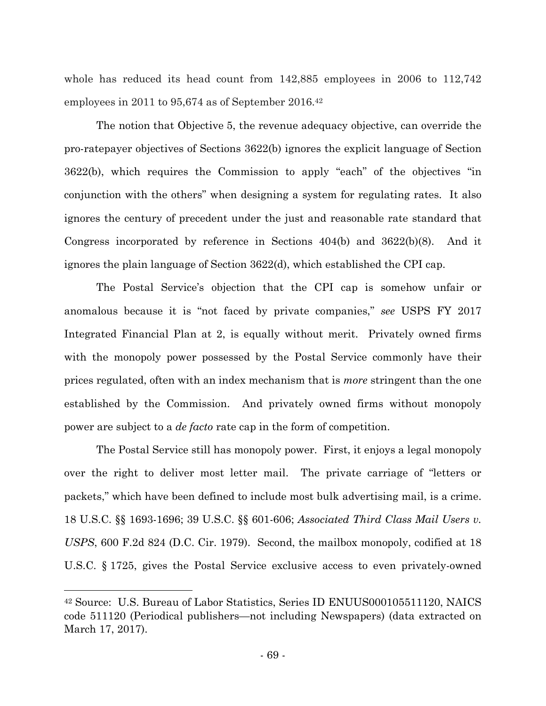whole has reduced its head count from 142,885 employees in 2006 to 112,742 employees in 2011 to 95,674 as of September 2016.<sup>42</sup>

The notion that Objective 5, the revenue adequacy objective, can override the pro-ratepayer objectives of Sections 3622(b) ignores the explicit language of Section 3622(b), which requires the Commission to apply "each" of the objectives "in conjunction with the others" when designing a system for regulating rates. It also ignores the century of precedent under the just and reasonable rate standard that Congress incorporated by reference in Sections  $404(b)$  and  $3622(b)(8)$ . And it ignores the plain language of Section 3622(d), which established the CPI cap.

The Postal Service's objection that the CPI cap is somehow unfair or anomalous because it is "not faced by private companies," *see* USPS FY 2017 Integrated Financial Plan at 2, is equally without merit. Privately owned firms with the monopoly power possessed by the Postal Service commonly have their prices regulated, often with an index mechanism that is *more* stringent than the one established by the Commission. And privately owned firms without monopoly power are subject to a *de facto* rate cap in the form of competition.

The Postal Service still has monopoly power. First, it enjoys a legal monopoly over the right to deliver most letter mail. The private carriage of "letters or packets," which have been defined to include most bulk advertising mail, is a crime. 18 U.S.C. §§ 1693-1696; 39 U.S.C. §§ 601-606; *Associated Third Class Mail Users v. USPS*, 600 F.2d 824 (D.C. Cir. 1979). Second, the mailbox monopoly, codified at 18 U.S.C. § 1725, gives the Postal Service exclusive access to even privately-owned

<sup>42</sup> Source: U.S. Bureau of Labor Statistics, Series ID ENUUS000105511120, NAICS code 511120 (Periodical publishers—not including Newspapers) (data extracted on March 17, 2017).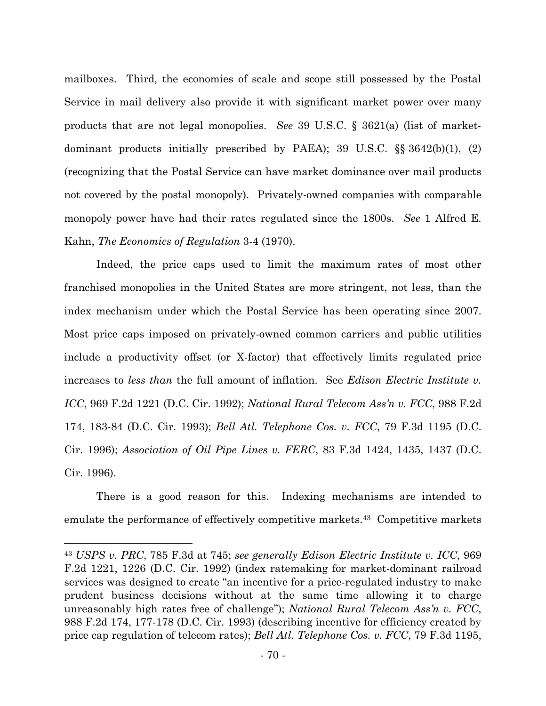mailboxes. Third, the economies of scale and scope still possessed by the Postal Service in mail delivery also provide it with significant market power over many products that are not legal monopolies. *See* 39 U.S.C. § 3621(a) (list of marketdominant products initially prescribed by PAEA); 39 U.S.C. §§ 3642(b)(1), (2) (recognizing that the Postal Service can have market dominance over mail products not covered by the postal monopoly). Privately-owned companies with comparable monopoly power have had their rates regulated since the 1800s. *See* 1 Alfred E. Kahn, *The Economics of Regulation* 3-4 (1970).

Indeed, the price caps used to limit the maximum rates of most other franchised monopolies in the United States are more stringent, not less, than the index mechanism under which the Postal Service has been operating since 2007. Most price caps imposed on privately-owned common carriers and public utilities include a productivity offset (or X-factor) that effectively limits regulated price increases to *less than* the full amount of inflation. See *Edison Electric Institute v. ICC*, 969 F.2d 1221 (D.C. Cir. 1992); *National Rural Telecom Ass'n v. FCC*, 988 F.2d 174, 183-84 (D.C. Cir. 1993); *Bell Atl. Telephone Cos. v. FCC*, 79 F.3d 1195 (D.C. Cir. 1996); *Association of Oil Pipe Lines v. FERC*, 83 F.3d 1424, 1435, 1437 (D.C. Cir. 1996).

There is a good reason for this. Indexing mechanisms are intended to emulate the performance of effectively competitive markets.<sup>43</sup> Competitive markets

<sup>43</sup> *USPS v. PRC*, 785 F.3d at 745; *see generally Edison Electric Institute v. ICC*, 969 F.2d 1221, 1226 (D.C. Cir. 1992) (index ratemaking for market-dominant railroad services was designed to create "an incentive for a price-regulated industry to make prudent business decisions without at the same time allowing it to charge unreasonably high rates free of challenge"); *National Rural Telecom Ass'n v. FCC*, 988 F.2d 174, 177-178 (D.C. Cir. 1993) (describing incentive for efficiency created by price cap regulation of telecom rates); *Bell Atl. Telephone Cos. v. FCC*, 79 F.3d 1195,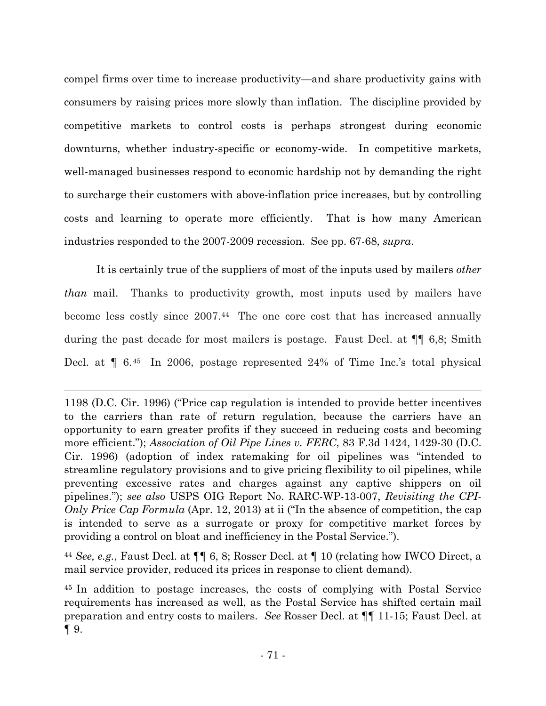compel firms over time to increase productivity—and share productivity gains with consumers by raising prices more slowly than inflation. The discipline provided by competitive markets to control costs is perhaps strongest during economic downturns, whether industry-specific or economy-wide. In competitive markets, well-managed businesses respond to economic hardship not by demanding the right to surcharge their customers with above-inflation price increases, but by controlling costs and learning to operate more efficiently. That is how many American industries responded to the 2007-2009 recession. See pp. 67-68, *supra*.

It is certainly true of the suppliers of most of the inputs used by mailers *other than* mail. Thanks to productivity growth, most inputs used by mailers have become less costly since 2007.<sup>44</sup> The one core cost that has increased annually during the past decade for most mailers is postage. Faust Decl. at ¶¶ 6,8; Smith Decl. at ¶ 6.<sup>45</sup> In 2006, postage represented 24% of Time Inc.'s total physical

1198 (D.C. Cir. 1996) ("Price cap regulation is intended to provide better incentives to the carriers than rate of return regulation, because the carriers have an opportunity to earn greater profits if they succeed in reducing costs and becoming more efficient."); *Association of Oil Pipe Lines v. FERC*, 83 F.3d 1424, 1429-30 (D.C. Cir. 1996) (adoption of index ratemaking for oil pipelines was "intended to streamline regulatory provisions and to give pricing flexibility to oil pipelines, while preventing excessive rates and charges against any captive shippers on oil pipelines."); *see also* USPS OIG Report No. RARC-WP-13-007, *Revisiting the CPI-Only Price Cap Formula* (Apr. 12, 2013) at ii ("In the absence of competition, the cap is intended to serve as a surrogate or proxy for competitive market forces by providing a control on bloat and inefficiency in the Postal Service.").

<sup>44</sup> *See, e.g.*, Faust Decl. at ¶¶ 6, 8; Rosser Decl. at ¶ 10 (relating how IWCO Direct, a mail service provider, reduced its prices in response to client demand).

<sup>45</sup> In addition to postage increases, the costs of complying with Postal Service requirements has increased as well, as the Postal Service has shifted certain mail preparation and entry costs to mailers. *See* Rosser Decl. at ¶¶ 11-15; Faust Decl. at  $\P\,9.$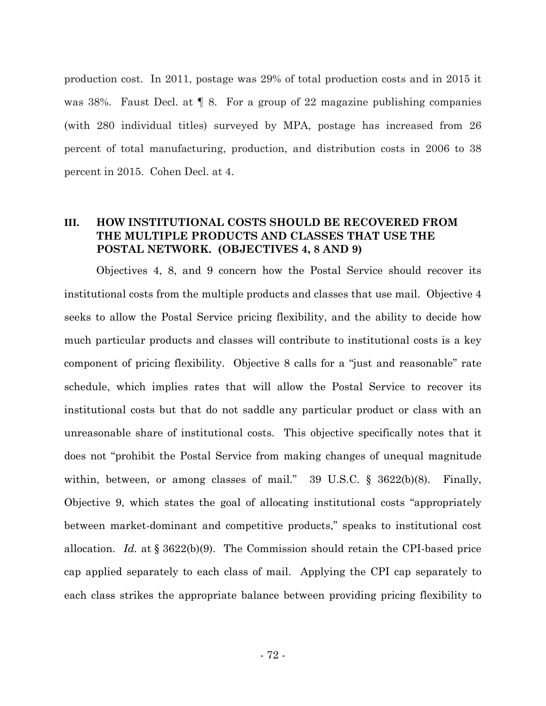production cost. In 2011, postage was 29% of total production costs and in 2015 it was 38%. Faust Decl. at ¶ 8. For a group of 22 magazine publishing companies (with 280 individual titles) surveyed by MPA, postage has increased from 26 percent of total manufacturing, production, and distribution costs in 2006 to 38 percent in 2015. Cohen Decl. at 4.

### **III. HOW INSTITUTIONAL COSTS SHOULD BE RECOVERED FROM THE MULTIPLE PRODUCTS AND CLASSES THAT USE THE POSTAL NETWORK. (OBJECTIVES 4, 8 AND 9)**

Objectives 4, 8, and 9 concern how the Postal Service should recover its institutional costs from the multiple products and classes that use mail. Objective 4 seeks to allow the Postal Service pricing flexibility, and the ability to decide how much particular products and classes will contribute to institutional costs is a key component of pricing flexibility. Objective 8 calls for a "just and reasonable" rate schedule, which implies rates that will allow the Postal Service to recover its institutional costs but that do not saddle any particular product or class with an unreasonable share of institutional costs. This objective specifically notes that it does not "prohibit the Postal Service from making changes of unequal magnitude within, between, or among classes of mail."  $39 \text{ U.S.C.}$  §  $3622(b)(8)$ . Finally, Objective 9, which states the goal of allocating institutional costs "appropriately between market-dominant and competitive products," speaks to institutional cost allocation. *Id.* at § 3622(b)(9). The Commission should retain the CPI-based price cap applied separately to each class of mail. Applying the CPI cap separately to each class strikes the appropriate balance between providing pricing flexibility to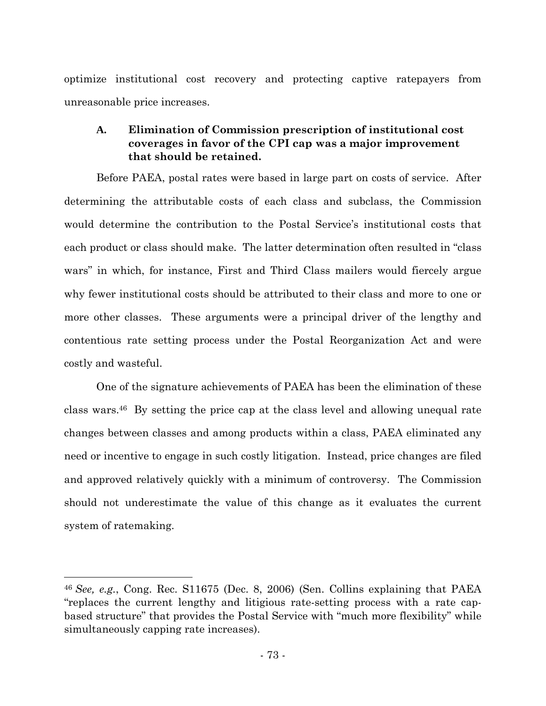optimize institutional cost recovery and protecting captive ratepayers from unreasonable price increases.

## **A. Elimination of Commission prescription of institutional cost coverages in favor of the CPI cap was a major improvement that should be retained.**

Before PAEA, postal rates were based in large part on costs of service. After determining the attributable costs of each class and subclass, the Commission would determine the contribution to the Postal Service's institutional costs that each product or class should make. The latter determination often resulted in "class wars" in which, for instance, First and Third Class mailers would fiercely argue why fewer institutional costs should be attributed to their class and more to one or more other classes. These arguments were a principal driver of the lengthy and contentious rate setting process under the Postal Reorganization Act and were costly and wasteful.

One of the signature achievements of PAEA has been the elimination of these class wars.<sup>46</sup> By setting the price cap at the class level and allowing unequal rate changes between classes and among products within a class, PAEA eliminated any need or incentive to engage in such costly litigation. Instead, price changes are filed and approved relatively quickly with a minimum of controversy. The Commission should not underestimate the value of this change as it evaluates the current system of ratemaking.

<sup>46</sup> *See, e.g.*, Cong. Rec. S11675 (Dec. 8, 2006) (Sen. Collins explaining that PAEA "replaces the current lengthy and litigious rate-setting process with a rate capbased structure" that provides the Postal Service with "much more flexibility" while simultaneously capping rate increases).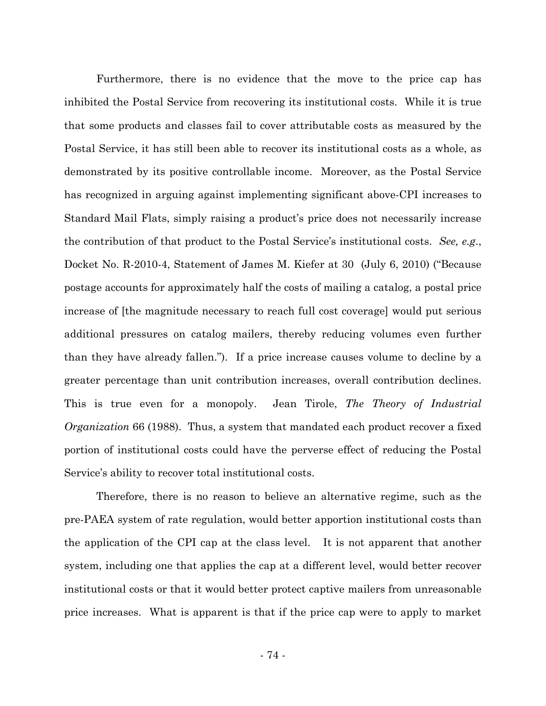Furthermore, there is no evidence that the move to the price cap has inhibited the Postal Service from recovering its institutional costs. While it is true that some products and classes fail to cover attributable costs as measured by the Postal Service, it has still been able to recover its institutional costs as a whole, as demonstrated by its positive controllable income. Moreover, as the Postal Service has recognized in arguing against implementing significant above-CPI increases to Standard Mail Flats, simply raising a product's price does not necessarily increase the contribution of that product to the Postal Service's institutional costs. *See, e.g*., Docket No. R-2010-4, Statement of James M. Kiefer at 30 (July 6, 2010) ("Because postage accounts for approximately half the costs of mailing a catalog, a postal price increase of [the magnitude necessary to reach full cost coverage] would put serious additional pressures on catalog mailers, thereby reducing volumes even further than they have already fallen."). If a price increase causes volume to decline by a greater percentage than unit contribution increases, overall contribution declines. This is true even for a monopoly. Jean Tirole, *The Theory of Industrial Organization* 66 (1988). Thus, a system that mandated each product recover a fixed portion of institutional costs could have the perverse effect of reducing the Postal Service's ability to recover total institutional costs.

Therefore, there is no reason to believe an alternative regime, such as the pre-PAEA system of rate regulation, would better apportion institutional costs than the application of the CPI cap at the class level. It is not apparent that another system, including one that applies the cap at a different level, would better recover institutional costs or that it would better protect captive mailers from unreasonable price increases. What is apparent is that if the price cap were to apply to market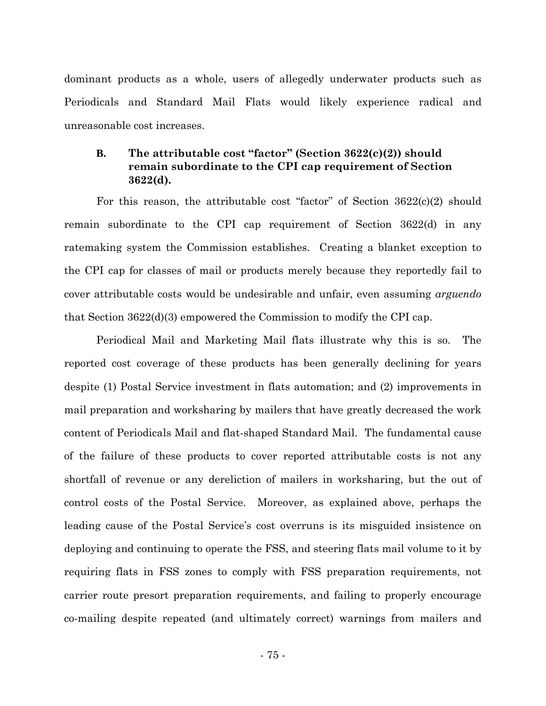dominant products as a whole, users of allegedly underwater products such as Periodicals and Standard Mail Flats would likely experience radical and unreasonable cost increases.

## **B. The attributable cost "factor" (Section 3622(c)(2)) should remain subordinate to the CPI cap requirement of Section 3622(d).**

For this reason, the attributable cost "factor" of Section 3622(c)(2) should remain subordinate to the CPI cap requirement of Section 3622(d) in any ratemaking system the Commission establishes. Creating a blanket exception to the CPI cap for classes of mail or products merely because they reportedly fail to cover attributable costs would be undesirable and unfair, even assuming *arguendo* that Section 3622(d)(3) empowered the Commission to modify the CPI cap.

Periodical Mail and Marketing Mail flats illustrate why this is so. The reported cost coverage of these products has been generally declining for years despite (1) Postal Service investment in flats automation; and (2) improvements in mail preparation and worksharing by mailers that have greatly decreased the work content of Periodicals Mail and flat-shaped Standard Mail. The fundamental cause of the failure of these products to cover reported attributable costs is not any shortfall of revenue or any dereliction of mailers in worksharing, but the out of control costs of the Postal Service. Moreover, as explained above, perhaps the leading cause of the Postal Service's cost overruns is its misguided insistence on deploying and continuing to operate the FSS, and steering flats mail volume to it by requiring flats in FSS zones to comply with FSS preparation requirements, not carrier route presort preparation requirements, and failing to properly encourage co-mailing despite repeated (and ultimately correct) warnings from mailers and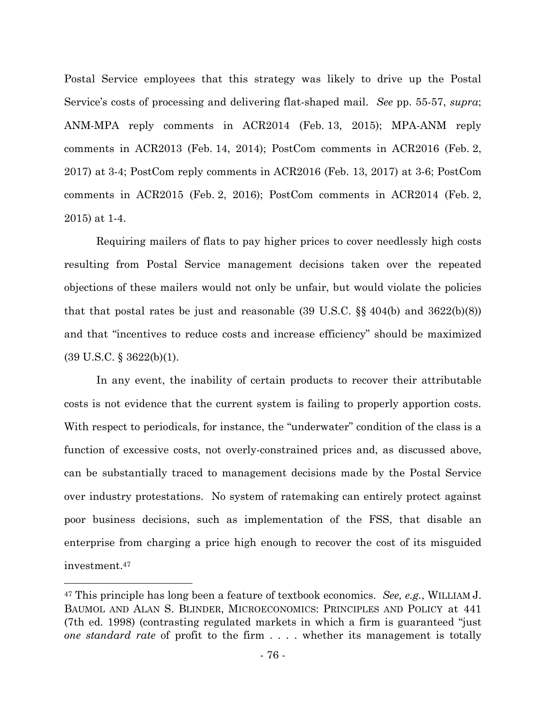Postal Service employees that this strategy was likely to drive up the Postal Service's costs of processing and delivering flat-shaped mail. *See* pp. 55-57, *supra*; ANM-MPA reply comments in ACR2014 (Feb. 13, 2015); MPA-ANM reply comments in ACR2013 (Feb. 14, 2014); PostCom comments in ACR2016 (Feb. 2, 2017) at 3-4; PostCom reply comments in ACR2016 (Feb. 13, 2017) at 3-6; PostCom comments in ACR2015 (Feb. 2, 2016); PostCom comments in ACR2014 (Feb. 2, 2015) at 1-4.

Requiring mailers of flats to pay higher prices to cover needlessly high costs resulting from Postal Service management decisions taken over the repeated objections of these mailers would not only be unfair, but would violate the policies that that postal rates be just and reasonable (39 U.S.C.  $\S$  404(b) and 3622(b)(8)) and that "incentives to reduce costs and increase efficiency" should be maximized  $(39 \text{ U.S.C.} \S 3622(b)(1)).$ 

In any event, the inability of certain products to recover their attributable costs is not evidence that the current system is failing to properly apportion costs. With respect to periodicals, for instance, the "underwater" condition of the class is a function of excessive costs, not overly-constrained prices and, as discussed above, can be substantially traced to management decisions made by the Postal Service over industry protestations. No system of ratemaking can entirely protect against poor business decisions, such as implementation of the FSS, that disable an enterprise from charging a price high enough to recover the cost of its misguided investment.<sup>47</sup>

<sup>47</sup> This principle has long been a feature of textbook economics. *See, e.g.*, WILLIAM J. BAUMOL AND ALAN S. BLINDER, MICROECONOMICS: PRINCIPLES AND POLICY at 441 (7th ed. 1998) (contrasting regulated markets in which a firm is guaranteed "just *one standard rate* of profit to the firm . . . . whether its management is totally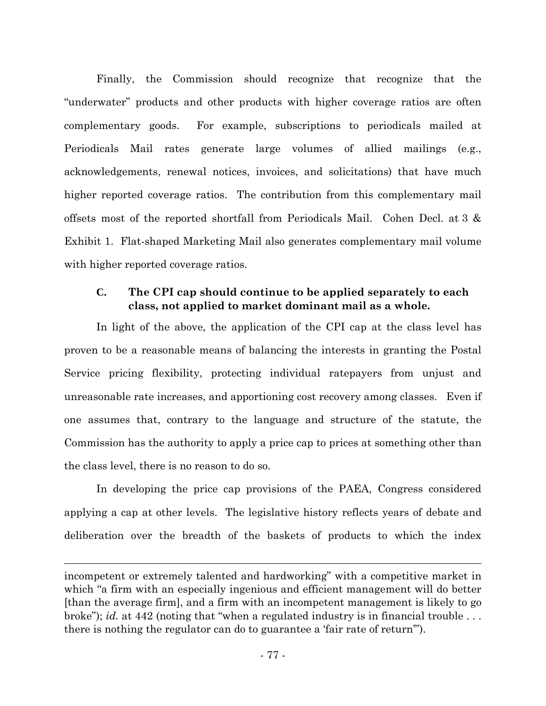Finally, the Commission should recognize that recognize that the "underwater" products and other products with higher coverage ratios are often complementary goods. For example, subscriptions to periodicals mailed at Periodicals Mail rates generate large volumes of allied mailings (e.g., acknowledgements, renewal notices, invoices, and solicitations) that have much higher reported coverage ratios. The contribution from this complementary mail offsets most of the reported shortfall from Periodicals Mail. Cohen Decl. at 3 & Exhibit 1. Flat-shaped Marketing Mail also generates complementary mail volume with higher reported coverage ratios.

### **C. The CPI cap should continue to be applied separately to each class, not applied to market dominant mail as a whole.**

In light of the above, the application of the CPI cap at the class level has proven to be a reasonable means of balancing the interests in granting the Postal Service pricing flexibility, protecting individual ratepayers from unjust and unreasonable rate increases, and apportioning cost recovery among classes. Even if one assumes that, contrary to the language and structure of the statute, the Commission has the authority to apply a price cap to prices at something other than the class level, there is no reason to do so.

In developing the price cap provisions of the PAEA, Congress considered applying a cap at other levels. The legislative history reflects years of debate and deliberation over the breadth of the baskets of products to which the index

incompetent or extremely talented and hardworking" with a competitive market in which "a firm with an especially ingenious and efficient management will do better [than the average firm], and a firm with an incompetent management is likely to go broke"); *id.* at 442 (noting that "when a regulated industry is in financial trouble . . . there is nothing the regulator can do to guarantee a 'fair rate of return'").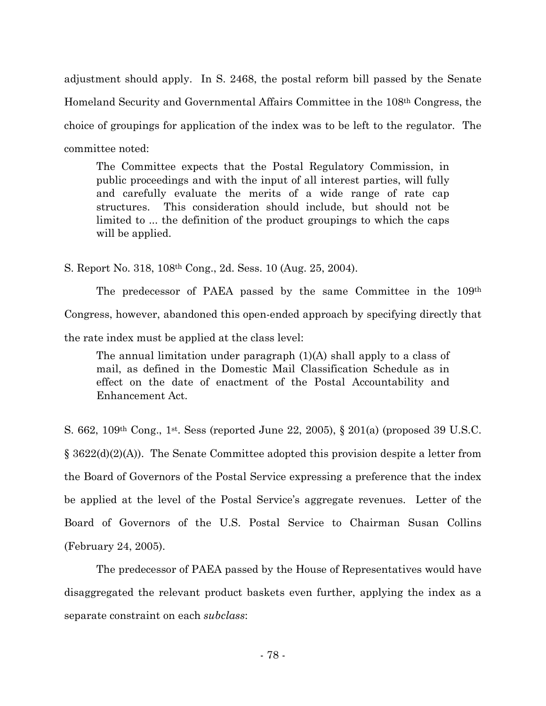adjustment should apply. In S. 2468, the postal reform bill passed by the Senate Homeland Security and Governmental Affairs Committee in the 108th Congress, the choice of groupings for application of the index was to be left to the regulator. The committee noted:

The Committee expects that the Postal Regulatory Commission, in public proceedings and with the input of all interest parties, will fully and carefully evaluate the merits of a wide range of rate cap structures. This consideration should include, but should not be limited to ... the definition of the product groupings to which the caps will be applied.

S. Report No. 318, 108th Cong., 2d. Sess. 10 (Aug. 25, 2004).

The predecessor of PAEA passed by the same Committee in the 109th Congress, however, abandoned this open-ended approach by specifying directly that the rate index must be applied at the class level:

The annual limitation under paragraph  $(1)(A)$  shall apply to a class of mail, as defined in the Domestic Mail Classification Schedule as in effect on the date of enactment of the Postal Accountability and Enhancement Act.

S. 662, 109th Cong., 1st. Sess (reported June 22, 2005), § 201(a) (proposed 39 U.S.C. § 3622(d)(2)(A)). The Senate Committee adopted this provision despite a letter from the Board of Governors of the Postal Service expressing a preference that the index be applied at the level of the Postal Service's aggregate revenues. Letter of the Board of Governors of the U.S. Postal Service to Chairman Susan Collins (February 24, 2005).

The predecessor of PAEA passed by the House of Representatives would have disaggregated the relevant product baskets even further, applying the index as a separate constraint on each *subclass*: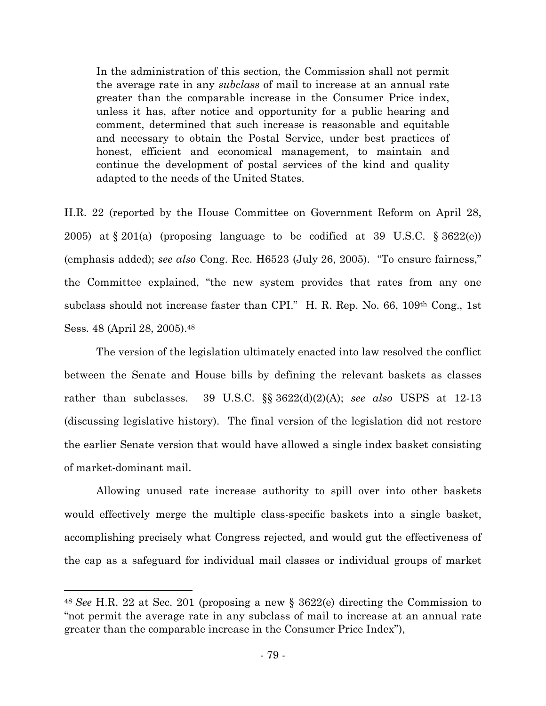In the administration of this section, the Commission shall not permit the average rate in any *subclass* of mail to increase at an annual rate greater than the comparable increase in the Consumer Price index, unless it has, after notice and opportunity for a public hearing and comment, determined that such increase is reasonable and equitable and necessary to obtain the Postal Service, under best practices of honest, efficient and economical management, to maintain and continue the development of postal services of the kind and quality adapted to the needs of the United States.

H.R. 22 (reported by the House Committee on Government Reform on April 28, 2005) at  $\S 201(a)$  (proposing language to be codified at 39 U.S.C.  $\S 3622(e)$ ) (emphasis added); *see also* Cong. Rec. H6523 (July 26, 2005). "To ensure fairness," the Committee explained, "the new system provides that rates from any one subclass should not increase faster than CPI." H. R. Rep. No. 66, 109th Cong., 1st Sess. 48 (April 28, 2005).<sup>48</sup>

The version of the legislation ultimately enacted into law resolved the conflict between the Senate and House bills by defining the relevant baskets as classes rather than subclasses. 39 U.S.C. §§ 3622(d)(2)(A); *see also* USPS at 12-13 (discussing legislative history). The final version of the legislation did not restore the earlier Senate version that would have allowed a single index basket consisting of market-dominant mail.

Allowing unused rate increase authority to spill over into other baskets would effectively merge the multiple class-specific baskets into a single basket, accomplishing precisely what Congress rejected, and would gut the effectiveness of the cap as a safeguard for individual mail classes or individual groups of market

<sup>48</sup> *See* H.R. 22 at Sec. 201 (proposing a new § 3622(e) directing the Commission to "not permit the average rate in any subclass of mail to increase at an annual rate greater than the comparable increase in the Consumer Price Index"),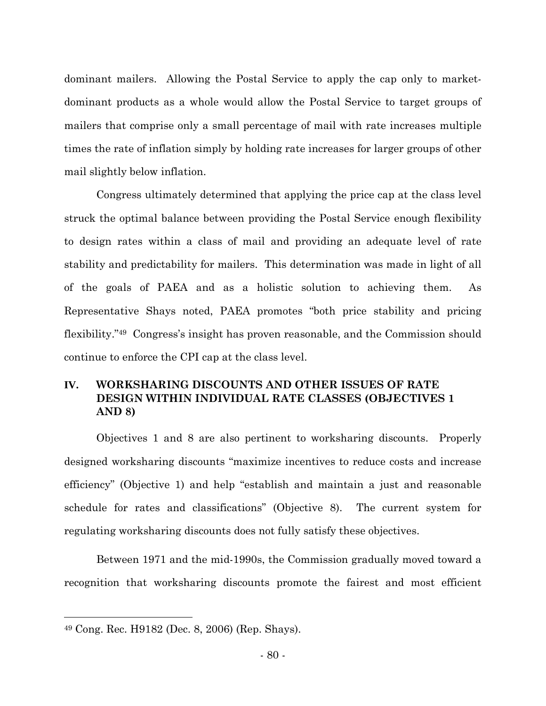dominant mailers. Allowing the Postal Service to apply the cap only to marketdominant products as a whole would allow the Postal Service to target groups of mailers that comprise only a small percentage of mail with rate increases multiple times the rate of inflation simply by holding rate increases for larger groups of other mail slightly below inflation.

Congress ultimately determined that applying the price cap at the class level struck the optimal balance between providing the Postal Service enough flexibility to design rates within a class of mail and providing an adequate level of rate stability and predictability for mailers. This determination was made in light of all of the goals of PAEA and as a holistic solution to achieving them. As Representative Shays noted, PAEA promotes "both price stability and pricing flexibility."<sup>49</sup> Congress's insight has proven reasonable, and the Commission should continue to enforce the CPI cap at the class level.

## **IV. WORKSHARING DISCOUNTS AND OTHER ISSUES OF RATE DESIGN WITHIN INDIVIDUAL RATE CLASSES (OBJECTIVES 1 AND 8)**

Objectives 1 and 8 are also pertinent to worksharing discounts. Properly designed worksharing discounts "maximize incentives to reduce costs and increase efficiency" (Objective 1) and help "establish and maintain a just and reasonable schedule for rates and classifications" (Objective 8). The current system for regulating worksharing discounts does not fully satisfy these objectives.

Between 1971 and the mid-1990s, the Commission gradually moved toward a recognition that worksharing discounts promote the fairest and most efficient

<sup>49</sup> Cong. Rec. H9182 (Dec. 8, 2006) (Rep. Shays).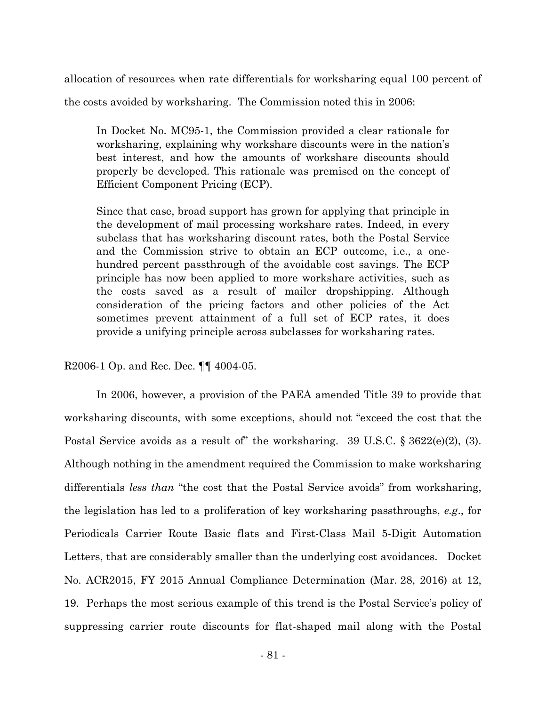allocation of resources when rate differentials for worksharing equal 100 percent of the costs avoided by worksharing. The Commission noted this in 2006:

In Docket No. MC95-1, the Commission provided a clear rationale for worksharing, explaining why workshare discounts were in the nation's best interest, and how the amounts of workshare discounts should properly be developed. This rationale was premised on the concept of Efficient Component Pricing (ECP).

Since that case, broad support has grown for applying that principle in the development of mail processing workshare rates. Indeed, in every subclass that has worksharing discount rates, both the Postal Service and the Commission strive to obtain an ECP outcome, i.e., a onehundred percent passthrough of the avoidable cost savings. The ECP principle has now been applied to more workshare activities, such as the costs saved as a result of mailer dropshipping. Although consideration of the pricing factors and other policies of the Act sometimes prevent attainment of a full set of ECP rates, it does provide a unifying principle across subclasses for worksharing rates.

R2006-1 Op. and Rec. Dec. ¶¶ 4004-05.

In 2006, however, a provision of the PAEA amended Title 39 to provide that worksharing discounts, with some exceptions, should not "exceed the cost that the Postal Service avoids as a result of" the worksharing. 39 U.S.C. § 3622(e)(2), (3). Although nothing in the amendment required the Commission to make worksharing differentials *less than* "the cost that the Postal Service avoids" from worksharing, the legislation has led to a proliferation of key worksharing passthroughs, *e.g*., for Periodicals Carrier Route Basic flats and First-Class Mail 5-Digit Automation Letters, that are considerably smaller than the underlying cost avoidances. Docket No. ACR2015, FY 2015 Annual Compliance Determination (Mar. 28, 2016) at 12, 19. Perhaps the most serious example of this trend is the Postal Service's policy of suppressing carrier route discounts for flat-shaped mail along with the Postal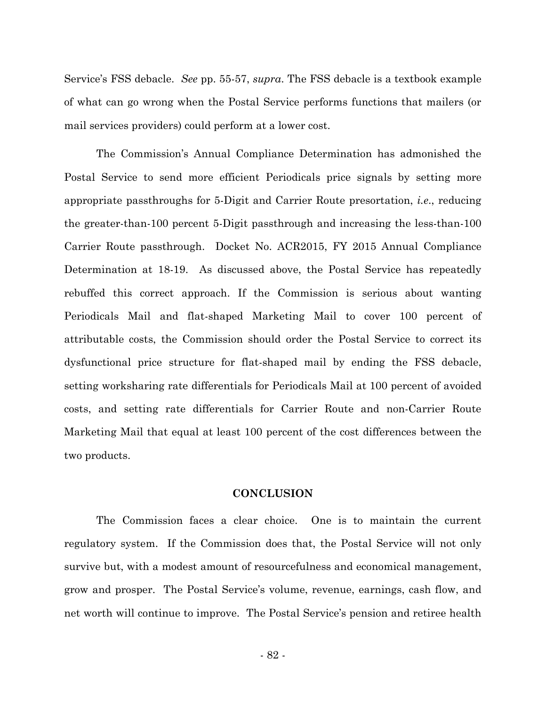Service's FSS debacle. *See* pp. 55-57, *supra*. The FSS debacle is a textbook example of what can go wrong when the Postal Service performs functions that mailers (or mail services providers) could perform at a lower cost.

The Commission's Annual Compliance Determination has admonished the Postal Service to send more efficient Periodicals price signals by setting more appropriate passthroughs for 5-Digit and Carrier Route presortation, *i.e*., reducing the greater-than-100 percent 5-Digit passthrough and increasing the less-than-100 Carrier Route passthrough. Docket No. ACR2015, FY 2015 Annual Compliance Determination at 18-19. As discussed above, the Postal Service has repeatedly rebuffed this correct approach. If the Commission is serious about wanting Periodicals Mail and flat-shaped Marketing Mail to cover 100 percent of attributable costs, the Commission should order the Postal Service to correct its dysfunctional price structure for flat-shaped mail by ending the FSS debacle, setting worksharing rate differentials for Periodicals Mail at 100 percent of avoided costs, and setting rate differentials for Carrier Route and non-Carrier Route Marketing Mail that equal at least 100 percent of the cost differences between the two products.

#### **CONCLUSION**

The Commission faces a clear choice. One is to maintain the current regulatory system. If the Commission does that, the Postal Service will not only survive but, with a modest amount of resourcefulness and economical management, grow and prosper. The Postal Service's volume, revenue, earnings, cash flow, and net worth will continue to improve. The Postal Service's pension and retiree health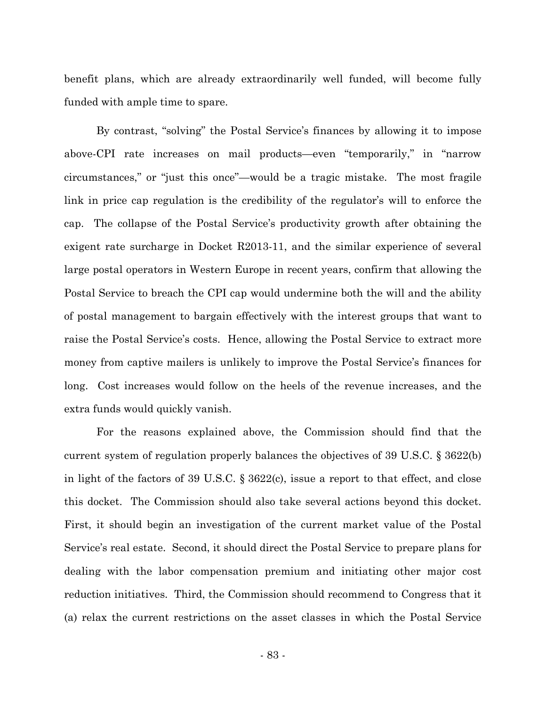benefit plans, which are already extraordinarily well funded, will become fully funded with ample time to spare.

By contrast, "solving" the Postal Service's finances by allowing it to impose above-CPI rate increases on mail products—even "temporarily," in "narrow circumstances," or "just this once"—would be a tragic mistake. The most fragile link in price cap regulation is the credibility of the regulator's will to enforce the cap. The collapse of the Postal Service's productivity growth after obtaining the exigent rate surcharge in Docket R2013-11, and the similar experience of several large postal operators in Western Europe in recent years, confirm that allowing the Postal Service to breach the CPI cap would undermine both the will and the ability of postal management to bargain effectively with the interest groups that want to raise the Postal Service's costs. Hence, allowing the Postal Service to extract more money from captive mailers is unlikely to improve the Postal Service's finances for long. Cost increases would follow on the heels of the revenue increases, and the extra funds would quickly vanish.

For the reasons explained above, the Commission should find that the current system of regulation properly balances the objectives of 39 U.S.C. § 3622(b) in light of the factors of 39 U.S.C. § 3622(c), issue a report to that effect, and close this docket. The Commission should also take several actions beyond this docket. First, it should begin an investigation of the current market value of the Postal Service's real estate. Second, it should direct the Postal Service to prepare plans for dealing with the labor compensation premium and initiating other major cost reduction initiatives. Third, the Commission should recommend to Congress that it (a) relax the current restrictions on the asset classes in which the Postal Service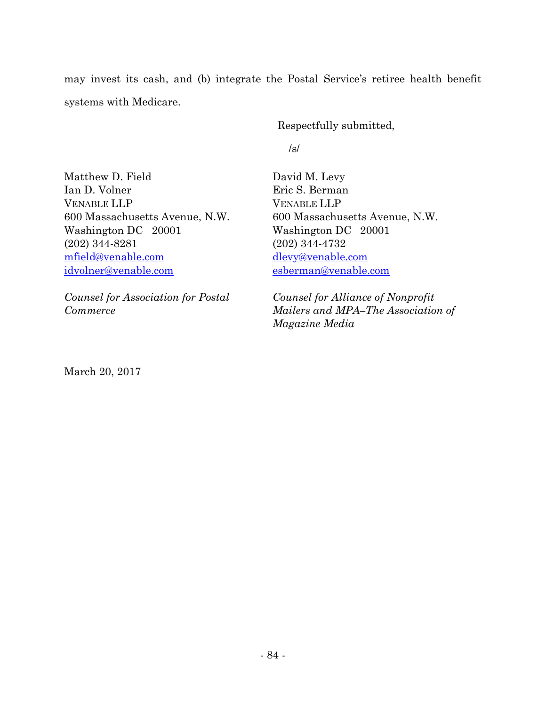may invest its cash, and (b) integrate the Postal Service's retiree health benefit systems with Medicare.

Respectfully submitted,

/s/

Matthew D. Field Ian D. Volner VENABLE LLP 600 Massachusetts Avenue, N.W. Washington DC 20001 (202) 344-8281 mfield@venable.com idvolner@venable.com

*Counsel for Association for Postal Commerce*

David M. Levy Eric S. Berman VENABLE LLP 600 Massachusetts Avenue, N.W. Washington DC 20001 (202) 344-4732 dlevy@venable.com esberman@venable.com

*Counsel for Alliance of Nonprofit Mailers and MPA–The Association of Magazine Media*

March 20, 2017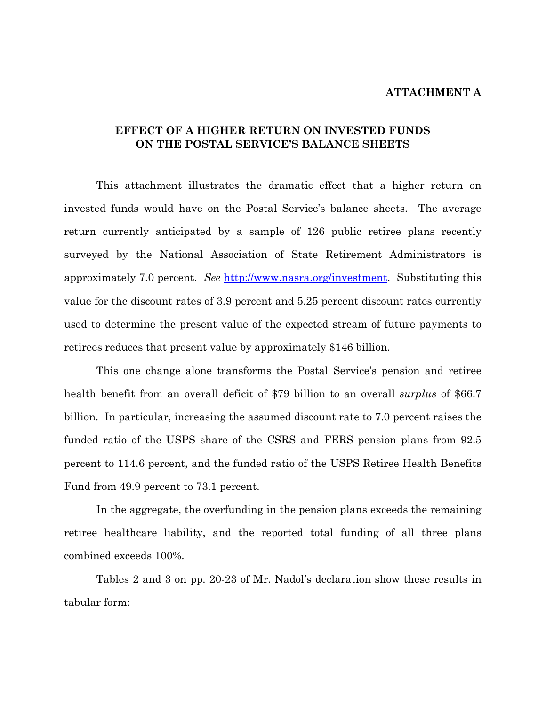#### **ATTACHMENT A**

### **EFFECT OF A HIGHER RETURN ON INVESTED FUNDS ON THE POSTAL SERVICE'S BALANCE SHEETS**

This attachment illustrates the dramatic effect that a higher return on invested funds would have on the Postal Service's balance sheets. The average return currently anticipated by a sample of 126 public retiree plans recently surveyed by the National Association of State Retirement Administrators is approximately 7.0 percent. *See* http://www.nasra.org/investment. Substituting this value for the discount rates of 3.9 percent and 5.25 percent discount rates currently used to determine the present value of the expected stream of future payments to retirees reduces that present value by approximately \$146 billion.

This one change alone transforms the Postal Service's pension and retiree health benefit from an overall deficit of \$79 billion to an overall *surplus* of \$66.7 billion. In particular, increasing the assumed discount rate to 7.0 percent raises the funded ratio of the USPS share of the CSRS and FERS pension plans from 92.5 percent to 114.6 percent, and the funded ratio of the USPS Retiree Health Benefits Fund from 49.9 percent to 73.1 percent.

In the aggregate, the overfunding in the pension plans exceeds the remaining retiree healthcare liability, and the reported total funding of all three plans combined exceeds 100%.

Tables 2 and 3 on pp. 20-23 of Mr. Nadol's declaration show these results in tabular form: